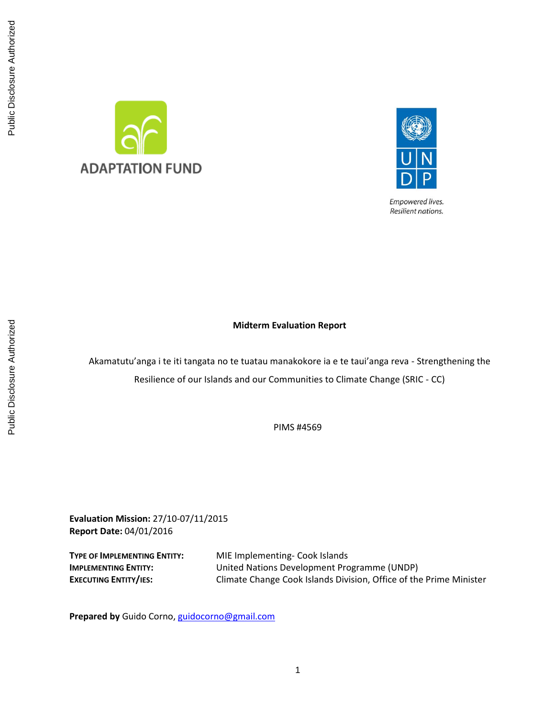



Empowered lives. Resilient nations.

# **Midterm Evaluation Report**

Akamatutu'anga i te iti tangata no te tuatau manakokore ia e te taui'anga reva - Strengthening the Resilience of our Islands and our Communities to Climate Change (SRIC - CC)

PIMS #4569

**Evaluation Mission:** 27/10-07/11/2015 **Report Date:** 04/01/2016

**TYPE OF IMPLEMENTING ENTITY:** MIE Implementing- Cook Islands **IMPLEMENTING ENTITY:** United Nations Development Programme (UNDP) **EXECUTING ENTITY/IES:** Climate Change Cook Islands Division, Office of the Prime Minister

**Prepared by** Guido Corno, [guidocorno@gmail.com](mailto:guidocorno@gmail.com)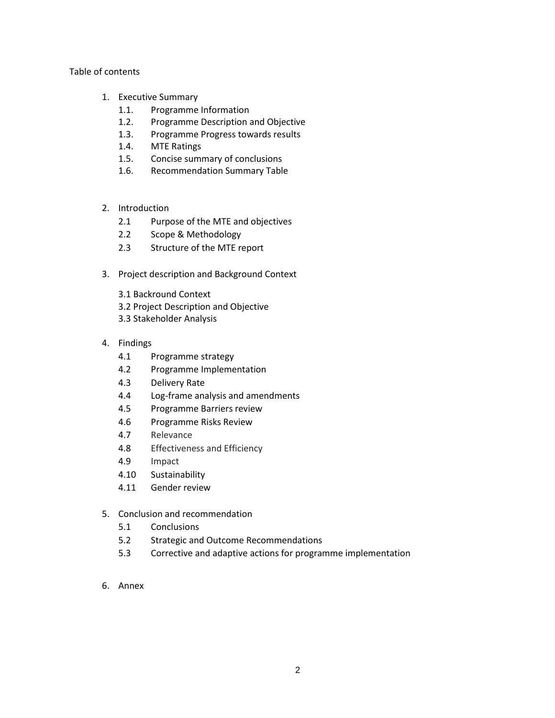# Table of contents

- 1. Executive Summary
	- 1.1. Programme Information
	- 1.2. Programme Description and Objective
	- 1.3. Programme Progress towards results
	- 1.4. MTE Ratings
	- 1.5. Concise summary of conclusions
	- 1.6. Recommendation Summary Table
- 2. Introduction
	- 2.1 Purpose of the MTE and objectives
	- 2.2 Scope & Methodology
	- 2.3 Structure of the MTE report
- 3. Project description and Background Context
	- 3.1 Backround Context 3.2 Project Description and Objective 3.3 Stakeholder Analysis
- 4. Findings
	- 4.1 Programme strategy
	- 4.2 Programme Implementation
	- 4.3 Delivery Rate
	- 4.4 Log-frame analysis and amendments
	- 4.5 Programme Barriers review
	- 4.6 Programme Risks Review
	- 4.7 Relevance
	- 4.8 Effectiveness and Efficiency
	- 4.9 Impact
	- 4.10 Sustainability
	- 4.11 Gender review
- 5. Conclusion and recommendation
	- 5.1 Conclusions
	- 5.2 Strategic and Outcome Recommendations
	- 5.3 Corrective and adaptive actions for programme implementation
- 6. Annex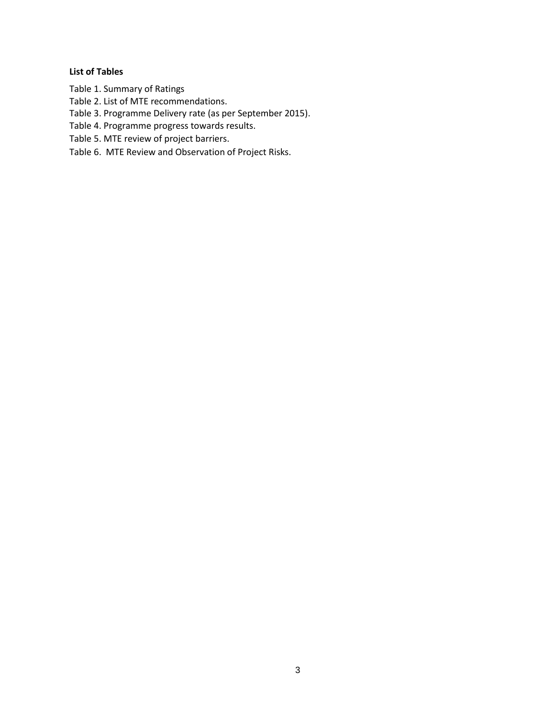# **List of Tables**

- Table 1. Summary of Ratings
- Table 2. List of MTE recommendations.
- Table 3. Programme Delivery rate (as per September 2015).
- Table 4. Programme progress towards results.
- Table 5. MTE review of project barriers.
- Table 6. MTE Review and Observation of Project Risks.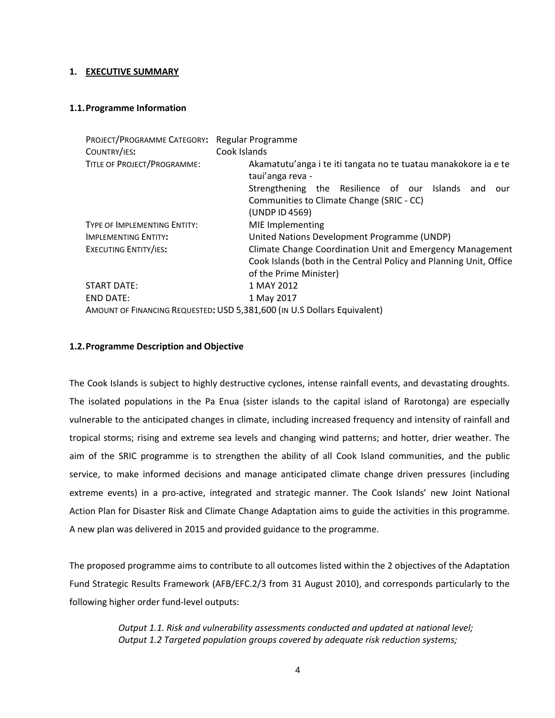# **1. EXECUTIVE SUMMARY**

# **1.1.Programme Information**

| PROJECT/PROGRAMME CATEGORY: Regular Programme |                                                                                     |  |  |  |  |  |  |  |
|-----------------------------------------------|-------------------------------------------------------------------------------------|--|--|--|--|--|--|--|
| COUNTRY/IES:                                  | Cook Islands                                                                        |  |  |  |  |  |  |  |
| TITLE OF PROJECT/PROGRAMME:                   | Akamatutu'anga i te iti tangata no te tuatau manakokore ia e te<br>taui'anga reva - |  |  |  |  |  |  |  |
|                                               | Strengthening the Resilience of our<br>Islands<br>and<br>our                        |  |  |  |  |  |  |  |
|                                               | Communities to Climate Change (SRIC - CC)                                           |  |  |  |  |  |  |  |
|                                               | (UNDP ID 4569)                                                                      |  |  |  |  |  |  |  |
| TYPE OF IMPLEMENTING ENTITY:                  | MIE Implementing                                                                    |  |  |  |  |  |  |  |
| <b>IMPLEMENTING ENTITY:</b>                   | United Nations Development Programme (UNDP)                                         |  |  |  |  |  |  |  |
| EXECUTING ENTITY/IES:                         | Climate Change Coordination Unit and Emergency Management                           |  |  |  |  |  |  |  |
|                                               | Cook Islands (both in the Central Policy and Planning Unit, Office                  |  |  |  |  |  |  |  |
|                                               | of the Prime Minister)                                                              |  |  |  |  |  |  |  |
| <b>START DATE:</b>                            | 1 MAY 2012                                                                          |  |  |  |  |  |  |  |
| <b>END DATE:</b>                              | 1 May 2017                                                                          |  |  |  |  |  |  |  |
|                                               | AMOUNT OF FINANCING REQUESTED: USD 5,381,600 (IN U.S Dollars Equivalent)            |  |  |  |  |  |  |  |

# **1.2.Programme Description and Objective**

The Cook Islands is subject to highly destructive cyclones, intense rainfall events, and devastating droughts. The isolated populations in the Pa Enua (sister islands to the capital island of Rarotonga) are especially vulnerable to the anticipated changes in climate, including increased frequency and intensity of rainfall and tropical storms; rising and extreme sea levels and changing wind patterns; and hotter, drier weather. The aim of the SRIC programme is to strengthen the ability of all Cook Island communities, and the public service, to make informed decisions and manage anticipated climate change driven pressures (including extreme events) in a pro-active, integrated and strategic manner. The Cook Islands' new Joint National Action Plan for Disaster Risk and Climate Change Adaptation aims to guide the activities in this programme. A new plan was delivered in 2015 and provided guidance to the programme.

The proposed programme aims to contribute to all outcomes listed within the 2 objectives of the Adaptation Fund Strategic Results Framework (AFB/EFC.2/3 from 31 August 2010), and corresponds particularly to the following higher order fund-level outputs:

> *Output 1.1. Risk and vulnerability assessments conducted and updated at national level; Output 1.2 Targeted population groups covered by adequate risk reduction systems;*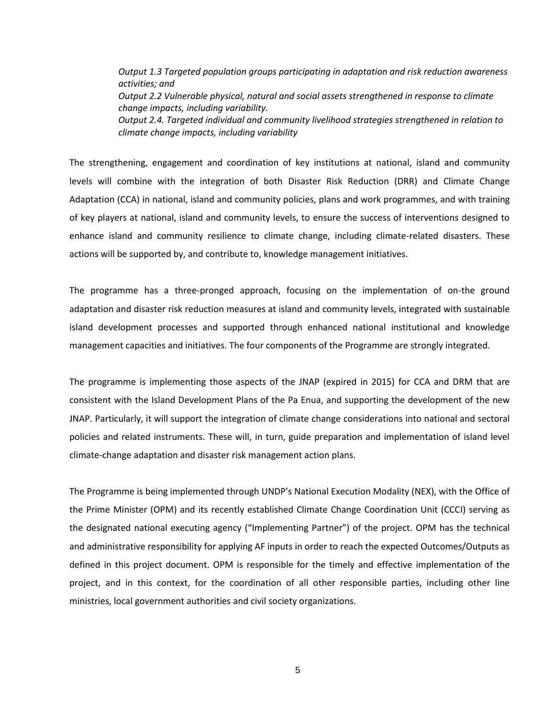*Output 1.3 Targeted population groups participating in adaptation and risk reduction awareness activities; and Output 2.2 Vulnerable physical, natural and social assets strengthened in response to climate change impacts, including variability. Output 2.4. Targeted individual and community livelihood strategies strengthened in relation to climate change impacts, including variability*

The strengthening, engagement and coordination of key institutions at national, island and community levels will combine with the integration of both Disaster Risk Reduction (DRR) and Climate Change Adaptation (CCA) in national, island and community policies, plans and work programmes, and with training of key players at national, island and community levels, to ensure the success of interventions designed to enhance island and community resilience to climate change, including climate-related disasters. These actions will be supported by, and contribute to, knowledge management initiatives.

The programme has a three-pronged approach, focusing on the implementation of on-the ground adaptation and disaster risk reduction measures at island and community levels, integrated with sustainable island development processes and supported through enhanced national institutional and knowledge management capacities and initiatives. The four components of the Programme are strongly integrated.

The programme is implementing those aspects of the JNAP (expired in 2015) for CCA and DRM that are consistent with the Island Development Plans of the Pa Enua, and supporting the development of the new JNAP. Particularly, it will support the integration of climate change considerations into national and sectoral policies and related instruments. These will, in turn, guide preparation and implementation of island level climate-change adaptation and disaster risk management action plans.

The Programme is being implemented through UNDP's National Execution Modality (NEX), with the Office of the Prime Minister (OPM) and its recently established Climate Change Coordination Unit (CCCI) serving as the designated national executing agency ("Implementing Partner") of the project. OPM has the technical and administrative responsibility for applying AF inputs in order to reach the expected Outcomes/Outputs as defined in this project document. OPM is responsible for the timely and effective implementation of the project, and in this context, for the coordination of all other responsible parties, including other line ministries, local government authorities and civil society organizations.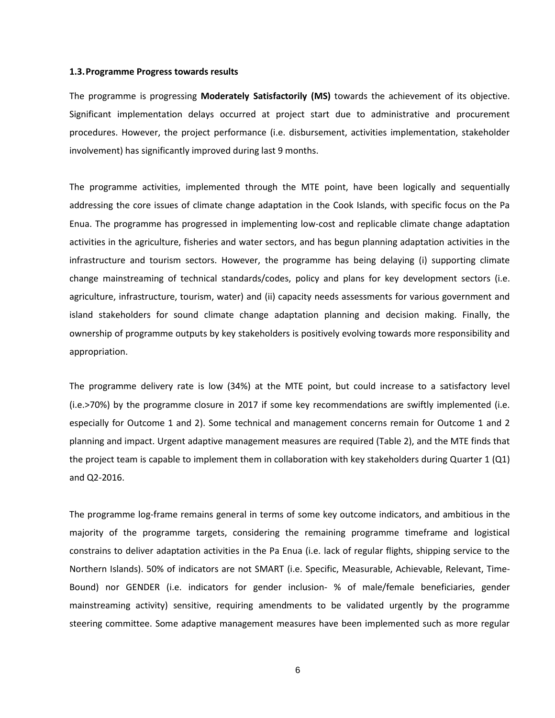#### **1.3.Programme Progress towards results**

The programme is progressing **Moderately Satisfactorily (MS)** towards the achievement of its objective. Significant implementation delays occurred at project start due to administrative and procurement procedures. However, the project performance (i.e. disbursement, activities implementation, stakeholder involvement) has significantly improved during last 9 months.

The programme activities, implemented through the MTE point, have been logically and sequentially addressing the core issues of climate change adaptation in the Cook Islands, with specific focus on the Pa Enua. The programme has progressed in implementing low-cost and replicable climate change adaptation activities in the agriculture, fisheries and water sectors, and has begun planning adaptation activities in the infrastructure and tourism sectors. However, the programme has being delaying (i) supporting climate change mainstreaming of technical standards/codes, policy and plans for key development sectors (i.e. agriculture, infrastructure, tourism, water) and (ii) capacity needs assessments for various government and island stakeholders for sound climate change adaptation planning and decision making. Finally, the ownership of programme outputs by key stakeholders is positively evolving towards more responsibility and appropriation.

The programme delivery rate is low (34%) at the MTE point, but could increase to a satisfactory level (i.e.>70%) by the programme closure in 2017 if some key recommendations are swiftly implemented (i.e. especially for Outcome 1 and 2). Some technical and management concerns remain for Outcome 1 and 2 planning and impact. Urgent adaptive management measures are required (Table 2), and the MTE finds that the project team is capable to implement them in collaboration with key stakeholders during Quarter 1 (Q1) and Q2-2016.

The programme log-frame remains general in terms of some key outcome indicators, and ambitious in the majority of the programme targets, considering the remaining programme timeframe and logistical constrains to deliver adaptation activities in the Pa Enua (i.e. lack of regular flights, shipping service to the Northern Islands). 50% of indicators are not SMART (i.e. Specific, Measurable, Achievable, Relevant, Time-Bound) nor GENDER (i.e. indicators for gender inclusion- % of male/female beneficiaries, gender mainstreaming activity) sensitive, requiring amendments to be validated urgently by the programme steering committee. Some adaptive management measures have been implemented such as more regular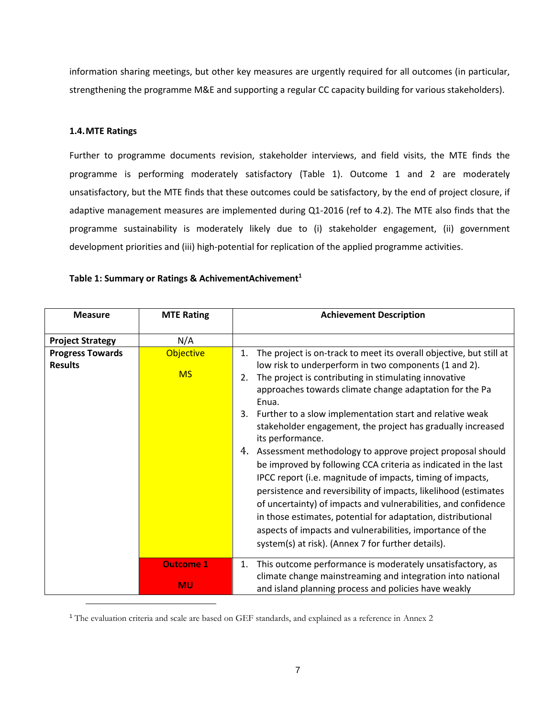information sharing meetings, but other key measures are urgently required for all outcomes (in particular, strengthening the programme M&E and supporting a regular CC capacity building for various stakeholders).

# **1.4.MTE Ratings**

l

Further to programme documents revision, stakeholder interviews, and field visits, the MTE finds the programme is performing moderately satisfactory (Table 1). Outcome 1 and 2 are moderately unsatisfactory, but the MTE finds that these outcomes could be satisfactory, by the end of project closure, if adaptive management measures are implemented during Q1-2016 (ref to 4.2). The MTE also finds that the programme sustainability is moderately likely due to (i) stakeholder engagement, (ii) government development priorities and (iii) high-potential for replication of the applied programme activities.

| <b>Measure</b>                            | <b>MTE Rating</b>             | <b>Achievement Description</b>                                                                                                                                                                                                                                                                                                                                                                                                                                                                                                                                                                                                                                                                                                                                                                                                                                                            |
|-------------------------------------------|-------------------------------|-------------------------------------------------------------------------------------------------------------------------------------------------------------------------------------------------------------------------------------------------------------------------------------------------------------------------------------------------------------------------------------------------------------------------------------------------------------------------------------------------------------------------------------------------------------------------------------------------------------------------------------------------------------------------------------------------------------------------------------------------------------------------------------------------------------------------------------------------------------------------------------------|
| <b>Project Strategy</b>                   | N/A                           |                                                                                                                                                                                                                                                                                                                                                                                                                                                                                                                                                                                                                                                                                                                                                                                                                                                                                           |
| <b>Progress Towards</b><br><b>Results</b> | <b>Objective</b><br><b>MS</b> | The project is on-track to meet its overall objective, but still at<br>1.<br>low risk to underperform in two components (1 and 2).<br>The project is contributing in stimulating innovative<br>2.<br>approaches towards climate change adaptation for the Pa<br>Enua.<br>3. Further to a slow implementation start and relative weak<br>stakeholder engagement, the project has gradually increased<br>its performance.<br>4. Assessment methodology to approve project proposal should<br>be improved by following CCA criteria as indicated in the last<br>IPCC report (i.e. magnitude of impacts, timing of impacts,<br>persistence and reversibility of impacts, likelihood (estimates<br>of uncertainty) of impacts and vulnerabilities, and confidence<br>in those estimates, potential for adaptation, distributional<br>aspects of impacts and vulnerabilities, importance of the |
|                                           | <b>Outcome 1</b>              | system(s) at risk). (Annex 7 for further details).<br>This outcome performance is moderately unsatisfactory, as<br>1.                                                                                                                                                                                                                                                                                                                                                                                                                                                                                                                                                                                                                                                                                                                                                                     |
|                                           | <b>MU</b>                     | climate change mainstreaming and integration into national<br>and island planning process and policies have weakly                                                                                                                                                                                                                                                                                                                                                                                                                                                                                                                                                                                                                                                                                                                                                                        |

## **Table 1: Summary or Ratings & AchivementAchivement<sup>1</sup>**

<sup>1</sup> The evaluation criteria and scale are based on GEF standards, and explained as a reference in Annex 2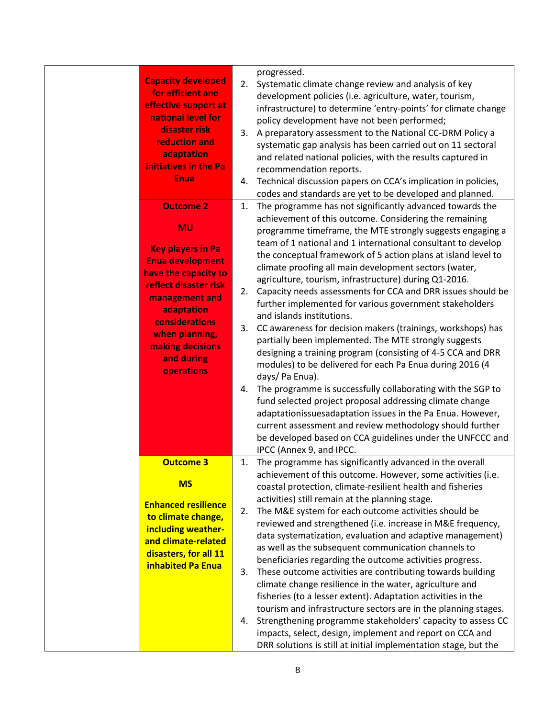| <b>Capacity developed</b><br>for efficient and<br>effective support at<br>national level for<br>disaster risk<br>reduction and<br>adaptation<br>initiatives in the Pa<br><b>Enua</b><br><b>Outcome 2</b><br><b>MU</b>    | 4.<br>1.             | progressed.<br>2. Systematic climate change review and analysis of key<br>development policies (i.e. agriculture, water, tourism,<br>infrastructure) to determine 'entry-points' for climate change<br>policy development have not been performed;<br>3. A preparatory assessment to the National CC-DRM Policy a<br>systematic gap analysis has been carried out on 11 sectoral<br>and related national policies, with the results captured in<br>recommendation reports.<br>Technical discussion papers on CCA's implication in policies,<br>codes and standards are yet to be developed and planned.<br>The programme has not significantly advanced towards the<br>achievement of this outcome. Considering the remaining<br>programme timeframe, the MTE strongly suggests engaging a<br>team of 1 national and 1 international consultant to develop                                                                                                                                             |
|--------------------------------------------------------------------------------------------------------------------------------------------------------------------------------------------------------------------------|----------------------|--------------------------------------------------------------------------------------------------------------------------------------------------------------------------------------------------------------------------------------------------------------------------------------------------------------------------------------------------------------------------------------------------------------------------------------------------------------------------------------------------------------------------------------------------------------------------------------------------------------------------------------------------------------------------------------------------------------------------------------------------------------------------------------------------------------------------------------------------------------------------------------------------------------------------------------------------------------------------------------------------------|
| <b>Key players in Pa</b><br><b>Enua development</b><br>have the capacity to<br>reflect disaster risk<br>management and<br>adaptation<br>considerations<br>when planning,<br>making decisions<br>and during<br>operations | 2.<br>3.<br>4.       | the conceptual framework of 5 action plans at island level to<br>climate proofing all main development sectors (water,<br>agriculture, tourism, infrastructure) during Q1-2016.<br>Capacity needs assessments for CCA and DRR issues should be<br>further implemented for various government stakeholders<br>and islands institutions.<br>CC awareness for decision makers (trainings, workshops) has<br>partially been implemented. The MTE strongly suggests<br>designing a training program (consisting of 4-5 CCA and DRR<br>modules) to be delivered for each Pa Enua during 2016 (4<br>days/ Pa Enua).<br>The programme is successfully collaborating with the SGP to<br>fund selected project proposal addressing climate change<br>adaptationissuesadaptation issues in the Pa Enua. However,<br>current assessment and review methodology should further<br>be developed based on CCA guidelines under the UNFCCC and<br>IPCC (Annex 9, and IPCC.                                             |
| <b>Outcome 3</b><br><b>MS</b><br><b>Enhanced resilience</b><br>to climate change,<br>including weather-<br>and climate-related<br>disasters, for all 11<br><b>inhabited Pa Enua</b>                                      | 1.<br>2.<br>3.<br>4. | The programme has significantly advanced in the overall<br>achievement of this outcome. However, some activities (i.e.<br>coastal protection, climate-resilient health and fisheries<br>activities) still remain at the planning stage.<br>The M&E system for each outcome activities should be<br>reviewed and strengthened (i.e. increase in M&E frequency,<br>data systematization, evaluation and adaptive management)<br>as well as the subsequent communication channels to<br>beneficiaries regarding the outcome activities progress.<br>These outcome activities are contributing towards building<br>climate change resilience in the water, agriculture and<br>fisheries (to a lesser extent). Adaptation activities in the<br>tourism and infrastructure sectors are in the planning stages.<br>Strengthening programme stakeholders' capacity to assess CC<br>impacts, select, design, implement and report on CCA and<br>DRR solutions is still at initial implementation stage, but the |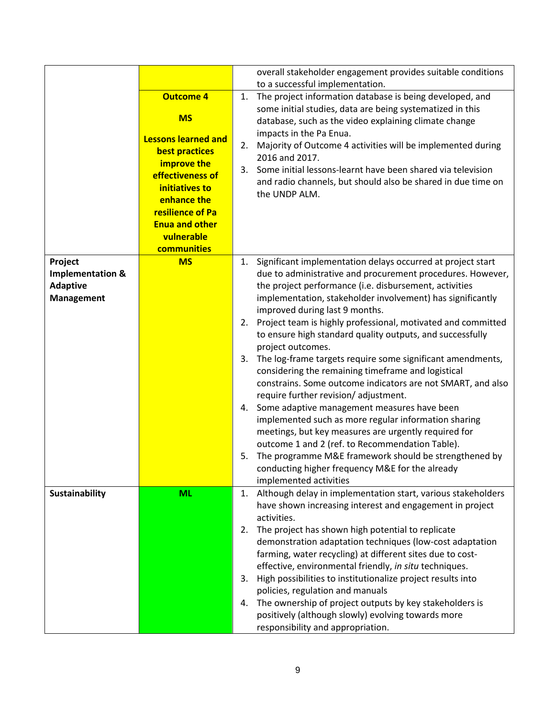|                             |                            |    | overall stakeholder engagement provides suitable conditions  |
|-----------------------------|----------------------------|----|--------------------------------------------------------------|
|                             |                            |    | to a successful implementation.                              |
|                             | <b>Outcome 4</b>           | 1. | The project information database is being developed, and     |
|                             | <b>MS</b>                  |    | some initial studies, data are being systematized in this    |
|                             |                            |    | database, such as the video explaining climate change        |
|                             | <b>Lessons learned and</b> |    | impacts in the Pa Enua.                                      |
|                             | best practices             | 2. | Majority of Outcome 4 activities will be implemented during  |
|                             | improve the                |    | 2016 and 2017.                                               |
|                             | effectiveness of           | 3. | Some initial lessons-learnt have been shared via television  |
|                             | initiatives to             |    | and radio channels, but should also be shared in due time on |
|                             | enhance the                |    | the UNDP ALM.                                                |
|                             |                            |    |                                                              |
|                             | resilience of Pa           |    |                                                              |
|                             | <b>Enua and other</b>      |    |                                                              |
|                             | vulnerable                 |    |                                                              |
|                             | communities                |    |                                                              |
| Project                     | <b>MS</b>                  | 1. | Significant implementation delays occurred at project start  |
| <b>Implementation &amp;</b> |                            |    | due to administrative and procurement procedures. However,   |
| <b>Adaptive</b>             |                            |    | the project performance (i.e. disbursement, activities       |
| <b>Management</b>           |                            |    | implementation, stakeholder involvement) has significantly   |
|                             |                            |    | improved during last 9 months.                               |
|                             |                            | 2. | Project team is highly professional, motivated and committed |
|                             |                            |    | to ensure high standard quality outputs, and successfully    |
|                             |                            |    | project outcomes.                                            |
|                             |                            | 3. | The log-frame targets require some significant amendments,   |
|                             |                            |    | considering the remaining timeframe and logistical           |
|                             |                            |    | constrains. Some outcome indicators are not SMART, and also  |
|                             |                            |    | require further revision/adjustment.                         |
|                             |                            | 4. | Some adaptive management measures have been                  |
|                             |                            |    | implemented such as more regular information sharing         |
|                             |                            |    | meetings, but key measures are urgently required for         |
|                             |                            |    | outcome 1 and 2 (ref. to Recommendation Table).              |
|                             |                            | 5. | The programme M&E framework should be strengthened by        |
|                             |                            |    | conducting higher frequency M&E for the already              |
|                             |                            |    | implemented activities                                       |
| <b>Sustainability</b>       | <b>ML</b>                  | 1. | Although delay in implementation start, various stakeholders |
|                             |                            |    | have shown increasing interest and engagement in project     |
|                             |                            |    | activities.                                                  |
|                             |                            |    | The project has shown high potential to replicate            |
|                             |                            | 2. | demonstration adaptation techniques (low-cost adaptation     |
|                             |                            |    |                                                              |
|                             |                            |    | farming, water recycling) at different sites due to cost-    |
|                             |                            |    | effective, environmental friendly, in situ techniques.       |
|                             |                            | 3. | High possibilities to institutionalize project results into  |
|                             |                            |    | policies, regulation and manuals                             |
|                             |                            | 4. | The ownership of project outputs by key stakeholders is      |
|                             |                            |    | positively (although slowly) evolving towards more           |
|                             |                            |    | responsibility and appropriation.                            |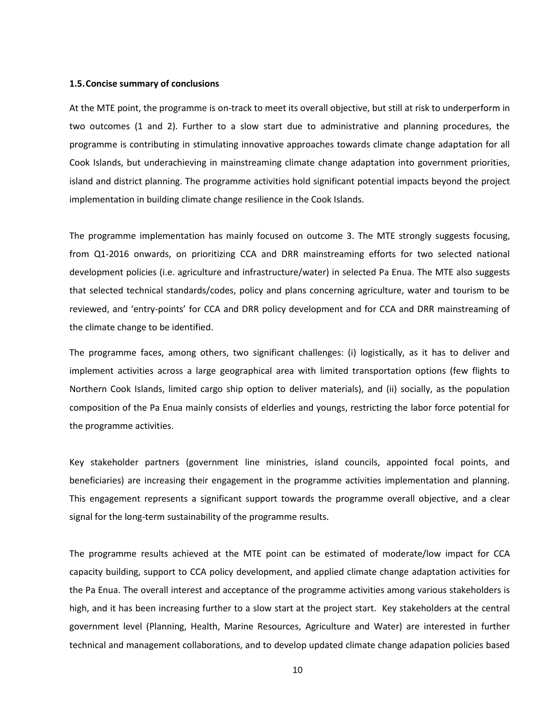### **1.5.Concise summary of conclusions**

At the MTE point, the programme is on‐track to meet its overall objective, but still at risk to underperform in two outcomes (1 and 2). Further to a slow start due to administrative and planning procedures, the programme is contributing in stimulating innovative approaches towards climate change adaptation for all Cook Islands, but underachieving in mainstreaming climate change adaptation into government priorities, island and district planning. The programme activities hold significant potential impacts beyond the project implementation in building climate change resilience in the Cook Islands.

The programme implementation has mainly focused on outcome 3. The MTE strongly suggests focusing, from Q1-2016 onwards, on prioritizing CCA and DRR mainstreaming efforts for two selected national development policies (i.e. agriculture and infrastructure/water) in selected Pa Enua. The MTE also suggests that selected technical standards/codes, policy and plans concerning agriculture, water and tourism to be reviewed, and 'entry-points' for CCA and DRR policy development and for CCA and DRR mainstreaming of the climate change to be identified.

The programme faces, among others, two significant challenges: (i) logistically, as it has to deliver and implement activities across a large geographical area with limited transportation options (few flights to Northern Cook Islands, limited cargo ship option to deliver materials), and (ii) socially, as the population composition of the Pa Enua mainly consists of elderlies and youngs, restricting the labor force potential for the programme activities.

Key stakeholder partners (government line ministries, island councils, appointed focal points, and beneficiaries) are increasing their engagement in the programme activities implementation and planning. This engagement represents a significant support towards the programme overall objective, and a clear signal for the long-term sustainability of the programme results.

The programme results achieved at the MTE point can be estimated of moderate/low impact for CCA capacity building, support to CCA policy development, and applied climate change adaptation activities for the Pa Enua. The overall interest and acceptance of the programme activities among various stakeholders is high, and it has been increasing further to a slow start at the project start. Key stakeholders at the central government level (Planning, Health, Marine Resources, Agriculture and Water) are interested in further technical and management collaborations, and to develop updated climate change adapation policies based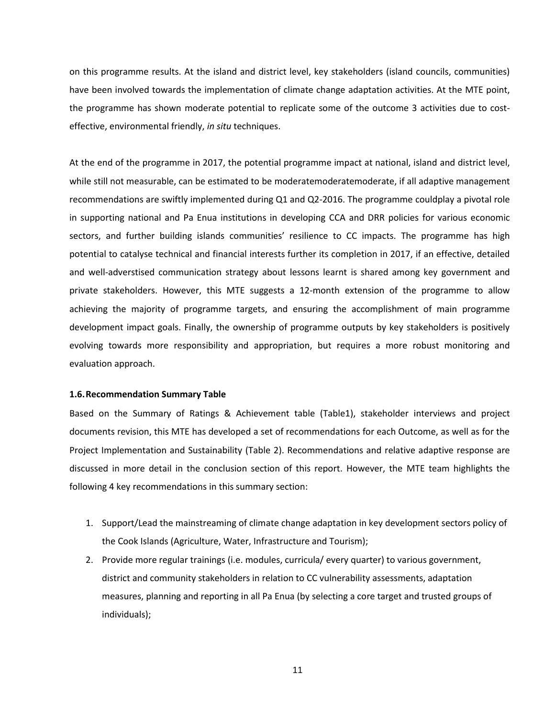on this programme results. At the island and district level, key stakeholders (island councils, communities) have been involved towards the implementation of climate change adaptation activities. At the MTE point, the programme has shown moderate potential to replicate some of the outcome 3 activities due to costeffective, environmental friendly, *in situ* techniques.

At the end of the programme in 2017, the potential programme impact at national, island and district level, while still not measurable, can be estimated to be moderatemoderatemoderate, if all adaptive management recommendations are swiftly implemented during Q1 and Q2-2016. The programme couldplay a pivotal role in supporting national and Pa Enua institutions in developing CCA and DRR policies for various economic sectors, and further building islands communities' resilience to CC impacts. The programme has high potential to catalyse technical and financial interests further its completion in 2017, if an effective, detailed and well-adverstised communication strategy about lessons learnt is shared among key government and private stakeholders. However, this MTE suggests a 12-month extension of the programme to allow achieving the majority of programme targets, and ensuring the accomplishment of main programme development impact goals. Finally, the ownership of programme outputs by key stakeholders is positively evolving towards more responsibility and appropriation, but requires a more robust monitoring and evaluation approach.

#### **1.6.Recommendation Summary Table**

Based on the Summary of Ratings & Achievement table (Table1), stakeholder interviews and project documents revision, this MTE has developed a set of recommendations for each Outcome, as well as for the Project Implementation and Sustainability (Table 2). Recommendations and relative adaptive response are discussed in more detail in the conclusion section of this report. However, the MTE team highlights the following 4 key recommendations in this summary section:

- 1. Support/Lead the mainstreaming of climate change adaptation in key development sectors policy of the Cook Islands (Agriculture, Water, Infrastructure and Tourism);
- 2. Provide more regular trainings (i.e. modules, curricula/ every quarter) to various government, district and community stakeholders in relation to CC vulnerability assessments, adaptation measures, planning and reporting in all Pa Enua (by selecting a core target and trusted groups of individuals);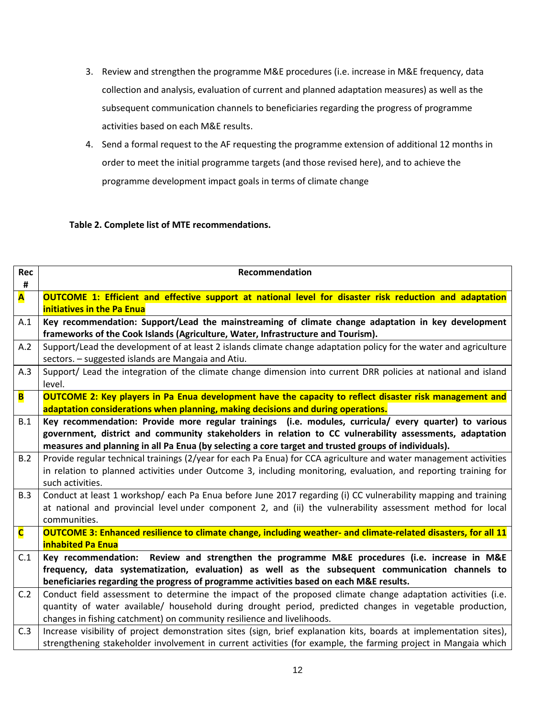- 3. Review and strengthen the programme M&E procedures (i.e. increase in M&E frequency, data collection and analysis, evaluation of current and planned adaptation measures) as well as the subsequent communication channels to beneficiaries regarding the progress of programme activities based on each M&E results.
- 4. Send a formal request to the AF requesting the programme extension of additional 12 months in order to meet the initial programme targets (and those revised here), and to achieve the programme development impact goals in terms of climate change

# **Table 2. Complete list of MTE recommendations.**

| Rec<br>#                | Recommendation                                                                                                                                                                                   |
|-------------------------|--------------------------------------------------------------------------------------------------------------------------------------------------------------------------------------------------|
| A                       | <b>OUTCOME 1: Efficient and effective support at national level for disaster risk reduction and adaptation</b><br>initiatives in the Pa Enua                                                     |
| A.1                     | Key recommendation: Support/Lead the mainstreaming of climate change adaptation in key development                                                                                               |
|                         | frameworks of the Cook Islands (Agriculture, Water, Infrastructure and Tourism).                                                                                                                 |
| A.2                     | Support/Lead the development of at least 2 islands climate change adaptation policy for the water and agriculture                                                                                |
|                         | sectors. - suggested islands are Mangaia and Atiu.                                                                                                                                               |
| A.3                     | Support/ Lead the integration of the climate change dimension into current DRR policies at national and island                                                                                   |
|                         | level.                                                                                                                                                                                           |
| B                       | <b>OUTCOME 2: Key players in Pa Enua development have the capacity to reflect disaster risk management and</b>                                                                                   |
|                         | adaptation considerations when planning, making decisions and during operations.                                                                                                                 |
| B.1                     | Key recommendation: Provide more regular trainings (i.e. modules, curricula/ every quarter) to various                                                                                           |
|                         | government, district and community stakeholders in relation to CC vulnerability assessments, adaptation                                                                                          |
|                         | measures and planning in all Pa Enua (by selecting a core target and trusted groups of individuals).                                                                                             |
| B.2                     | Provide regular technical trainings (2/year for each Pa Enua) for CCA agriculture and water management activities                                                                                |
|                         | in relation to planned activities under Outcome 3, including monitoring, evaluation, and reporting training for                                                                                  |
|                         | such activities.                                                                                                                                                                                 |
| B.3                     | Conduct at least 1 workshop/ each Pa Enua before June 2017 regarding (i) CC vulnerability mapping and training                                                                                   |
|                         | at national and provincial level under component 2, and (ii) the vulnerability assessment method for local                                                                                       |
|                         | communities.                                                                                                                                                                                     |
| $\overline{\mathsf{C}}$ | OUTCOME 3: Enhanced resilience to climate change, including weather- and climate-related disasters, for all 11                                                                                   |
| C.1                     | <b>inhabited Pa Enua</b>                                                                                                                                                                         |
|                         | Key recommendation: Review and strengthen the programme M&E procedures (i.e. increase in M&E<br>frequency, data systematization, evaluation) as well as the subsequent communication channels to |
|                         | beneficiaries regarding the progress of programme activities based on each M&E results.                                                                                                          |
| C.2                     | Conduct field assessment to determine the impact of the proposed climate change adaptation activities (i.e.                                                                                      |
|                         | quantity of water available/ household during drought period, predicted changes in vegetable production,                                                                                         |
|                         | changes in fishing catchment) on community resilience and livelihoods.                                                                                                                           |
| C.3                     | Increase visibility of project demonstration sites (sign, brief explanation kits, boards at implementation sites),                                                                               |
|                         | strengthening stakeholder involvement in current activities (for example, the farming project in Mangaia which                                                                                   |
|                         |                                                                                                                                                                                                  |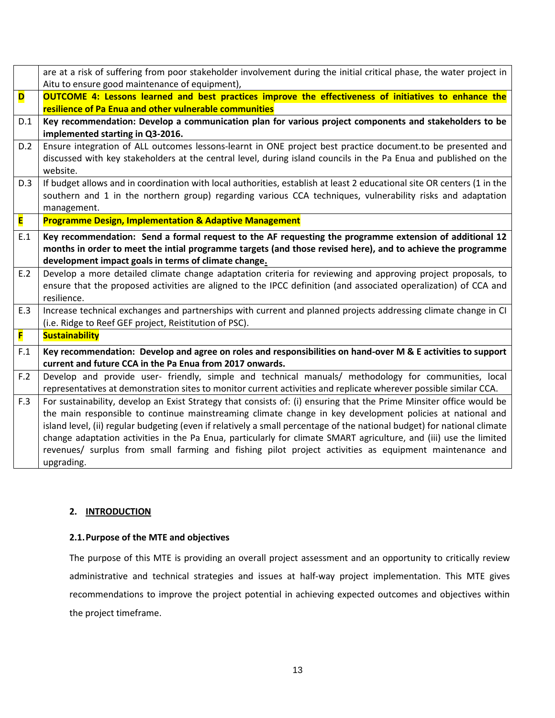|     | are at a risk of suffering from poor stakeholder involvement during the initial critical phase, the water project in     |
|-----|--------------------------------------------------------------------------------------------------------------------------|
|     | Aitu to ensure good maintenance of equipment),                                                                           |
| D   | <b>OUTCOME 4: Lessons learned and best practices improve the effectiveness of initiatives to enhance the</b>             |
|     | resilience of Pa Enua and other vulnerable communities                                                                   |
| D.1 | Key recommendation: Develop a communication plan for various project components and stakeholders to be                   |
|     | implemented starting in Q3-2016.                                                                                         |
| D.2 | Ensure integration of ALL outcomes lessons-learnt in ONE project best practice document.to be presented and              |
|     | discussed with key stakeholders at the central level, during island councils in the Pa Enua and published on the         |
|     | website.                                                                                                                 |
| D.3 | If budget allows and in coordination with local authorities, establish at least 2 educational site OR centers (1 in the  |
|     | southern and 1 in the northern group) regarding various CCA techniques, vulnerability risks and adaptation               |
|     | management.                                                                                                              |
| E   | <b>Programme Design, Implementation &amp; Adaptive Management</b>                                                        |
| E.1 | Key recommendation: Send a formal request to the AF requesting the programme extension of additional 12                  |
|     | months in order to meet the intial programme targets (and those revised here), and to achieve the programme              |
|     | development impact goals in terms of climate change.                                                                     |
| E.2 | Develop a more detailed climate change adaptation criteria for reviewing and approving project proposals, to             |
|     | ensure that the proposed activities are aligned to the IPCC definition (and associated operalization) of CCA and         |
|     | resilience.                                                                                                              |
| E.3 | Increase technical exchanges and partnerships with current and planned projects addressing climate change in CI          |
|     | (i.e. Ridge to Reef GEF project, Reistitution of PSC).                                                                   |
| F   | <b>Sustainability</b>                                                                                                    |
| F.1 | Key recommendation: Develop and agree on roles and responsibilities on hand-over M & E activities to support             |
|     | current and future CCA in the Pa Enua from 2017 onwards.                                                                 |
| F.2 | Develop and provide user- friendly, simple and technical manuals/ methodology for communities, local                     |
|     | representatives at demonstration sites to monitor current activities and replicate wherever possible similar CCA.        |
| F.3 | For sustainability, develop an Exist Strategy that consists of: (i) ensuring that the Prime Minsiter office would be     |
|     | the main responsible to continue mainstreaming climate change in key development policies at national and                |
|     | island level, (ii) regular budgeting (even if relatively a small percentage of the national budget) for national climate |
|     | change adaptation activities in the Pa Enua, particularly for climate SMART agriculture, and (iii) use the limited       |
|     | revenues/ surplus from small farming and fishing pilot project activities as equipment maintenance and                   |
|     | upgrading.                                                                                                               |

# **2. INTRODUCTION**

# **2.1.Purpose of the MTE and objectives**

The purpose of this MTE is providing an overall project assessment and an opportunity to critically review administrative and technical strategies and issues at half-way project implementation. This MTE gives recommendations to improve the project potential in achieving expected outcomes and objectives within the project timeframe.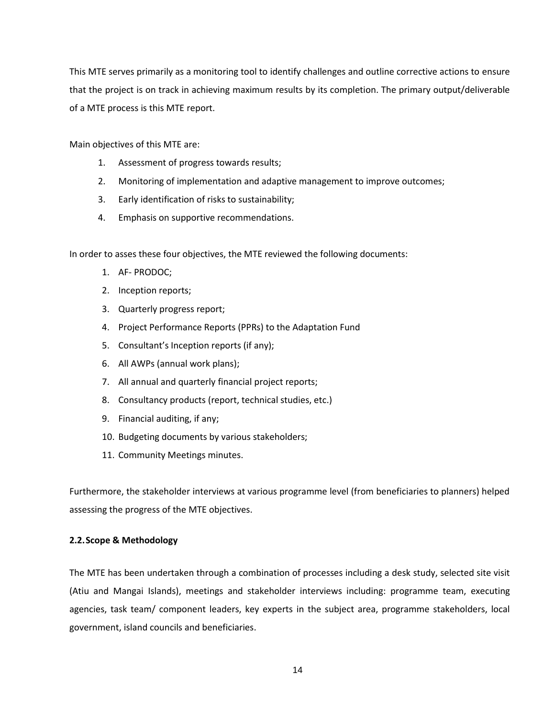This MTE serves primarily as a monitoring tool to identify challenges and outline corrective actions to ensure that the project is on track in achieving maximum results by its completion. The primary output/deliverable of a MTE process is this MTE report.

Main objectives of this MTE are:

- 1. Assessment of progress towards results;
- 2. Monitoring of implementation and adaptive management to improve outcomes;
- 3. Early identification of risks to sustainability;
- 4. Emphasis on supportive recommendations.

In order to asses these four objectives, the MTE reviewed the following documents:

- 1. AF- PRODOC;
- 2. Inception reports;
- 3. Quarterly progress report;
- 4. Project Performance Reports (PPRs) to the Adaptation Fund
- 5. Consultant's Inception reports (if any);
- 6. All AWPs (annual work plans);
- 7. All annual and quarterly financial project reports;
- 8. Consultancy products (report, technical studies, etc.)
- 9. Financial auditing, if any;
- 10. Budgeting documents by various stakeholders;
- 11. Community Meetings minutes.

Furthermore, the stakeholder interviews at various programme level (from beneficiaries to planners) helped assessing the progress of the MTE objectives.

# **2.2.Scope & Methodology**

The MTE has been undertaken through a combination of processes including a desk study, selected site visit (Atiu and Mangai Islands), meetings and stakeholder interviews including: programme team, executing agencies, task team/ component leaders, key experts in the subject area, programme stakeholders, local government, island councils and beneficiaries.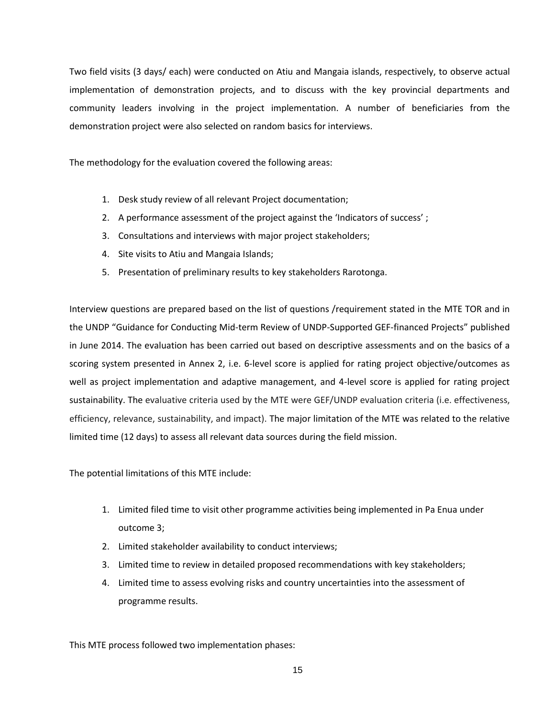Two field visits (3 days/ each) were conducted on Atiu and Mangaia islands, respectively, to observe actual implementation of demonstration projects, and to discuss with the key provincial departments and community leaders involving in the project implementation. A number of beneficiaries from the demonstration project were also selected on random basics for interviews.

The methodology for the evaluation covered the following areas:

- 1. Desk study review of all relevant Project documentation;
- 2. A performance assessment of the project against the 'Indicators of success' ;
- 3. Consultations and interviews with major project stakeholders;
- 4. Site visits to Atiu and Mangaia Islands;
- 5. Presentation of preliminary results to key stakeholders Rarotonga.

Interview questions are prepared based on the list of questions /requirement stated in the MTE TOR and in the UNDP "Guidance for Conducting Mid-term Review of UNDP-Supported GEF-financed Projects" published in June 2014. The evaluation has been carried out based on descriptive assessments and on the basics of a scoring system presented in Annex 2, i.e. 6-level score is applied for rating project objective/outcomes as well as project implementation and adaptive management, and 4-level score is applied for rating project sustainability. The evaluative criteria used by the MTE were GEF/UNDP evaluation criteria (i.e. effectiveness, efficiency, relevance, sustainability, and impact). The major limitation of the MTE was related to the relative limited time (12 days) to assess all relevant data sources during the field mission.

The potential limitations of this MTE include:

- 1. Limited filed time to visit other programme activities being implemented in Pa Enua under outcome 3;
- 2. Limited stakeholder availability to conduct interviews;
- 3. Limited time to review in detailed proposed recommendations with key stakeholders;
- 4. Limited time to assess evolving risks and country uncertainties into the assessment of programme results.

This MTE process followed two implementation phases: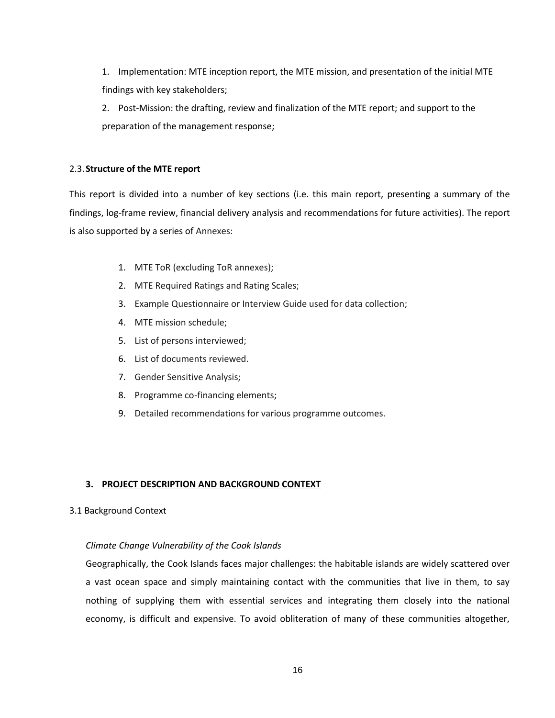1. Implementation: MTE inception report, the MTE mission, and presentation of the initial MTE findings with key stakeholders;

2. Post-Mission: the drafting, review and finalization of the MTE report; and support to the preparation of the management response;

# 2.3.**Structure of the MTE report**

This report is divided into a number of key sections (i.e. this main report, presenting a summary of the findings, log-frame review, financial delivery analysis and recommendations for future activities). The report is also supported by a series of Annexes:

- 1. MTE ToR (excluding ToR annexes);
- 2. MTE Required Ratings and Rating Scales;
- 3. Example Questionnaire or Interview Guide used for data collection;
- 4. MTE mission schedule;
- 5. List of persons interviewed;
- 6. List of documents reviewed.
- 7. Gender Sensitive Analysis;
- 8. Programme co-financing elements;
- 9. Detailed recommendations for various programme outcomes.

# **3. PROJECT DESCRIPTION AND BACKGROUND CONTEXT**

# 3.1 Background Context

# *Climate Change Vulnerability of the Cook Islands*

Geographically, the Cook Islands faces major challenges: the habitable islands are widely scattered over a vast ocean space and simply maintaining contact with the communities that live in them, to say nothing of supplying them with essential services and integrating them closely into the national economy, is difficult and expensive. To avoid obliteration of many of these communities altogether,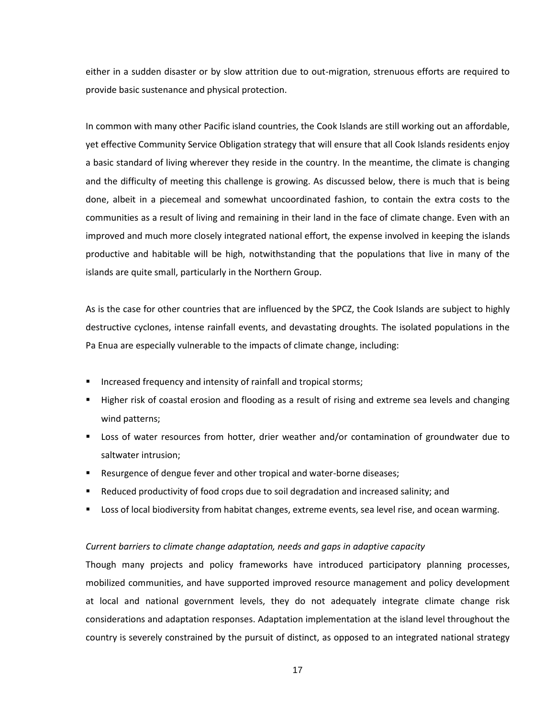either in a sudden disaster or by slow attrition due to out-migration, strenuous efforts are required to provide basic sustenance and physical protection.

In common with many other Pacific island countries, the Cook Islands are still working out an affordable, yet effective Community Service Obligation strategy that will ensure that all Cook Islands residents enjoy a basic standard of living wherever they reside in the country. In the meantime, the climate is changing and the difficulty of meeting this challenge is growing. As discussed below, there is much that is being done, albeit in a piecemeal and somewhat uncoordinated fashion, to contain the extra costs to the communities as a result of living and remaining in their land in the face of climate change. Even with an improved and much more closely integrated national effort, the expense involved in keeping the islands productive and habitable will be high, notwithstanding that the populations that live in many of the islands are quite small, particularly in the Northern Group.

As is the case for other countries that are influenced by the SPCZ, the Cook Islands are subject to highly destructive cyclones, intense rainfall events, and devastating droughts. The isolated populations in the Pa Enua are especially vulnerable to the impacts of climate change, including:

- Increased frequency and intensity of rainfall and tropical storms;
- Higher risk of coastal erosion and flooding as a result of rising and extreme sea levels and changing wind patterns;
- Loss of water resources from hotter, drier weather and/or contamination of groundwater due to saltwater intrusion;
- Resurgence of dengue fever and other tropical and water-borne diseases;
- Reduced productivity of food crops due to soil degradation and increased salinity; and
- Loss of local biodiversity from habitat changes, extreme events, sea level rise, and ocean warming.

### *Current barriers to climate change adaptation, needs and gaps in adaptive capacity*

Though many projects and policy frameworks have introduced participatory planning processes, mobilized communities, and have supported improved resource management and policy development at local and national government levels, they do not adequately integrate climate change risk considerations and adaptation responses. Adaptation implementation at the island level throughout the country is severely constrained by the pursuit of distinct, as opposed to an integrated national strategy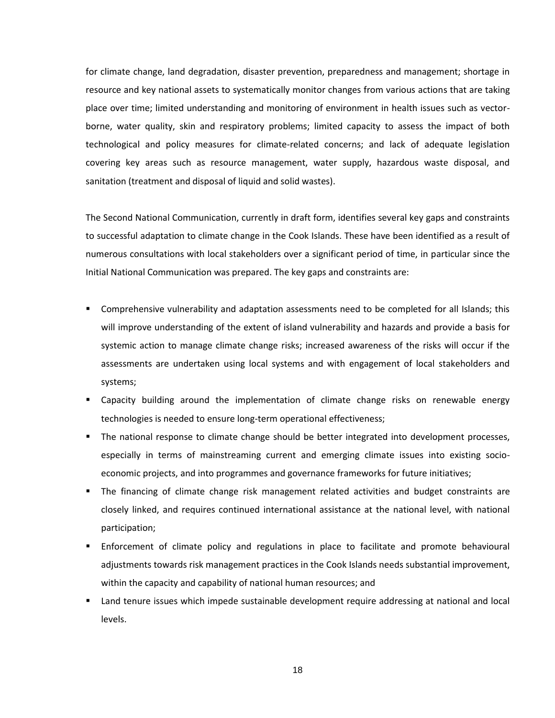for climate change, land degradation, disaster prevention, preparedness and management; shortage in resource and key national assets to systematically monitor changes from various actions that are taking place over time; limited understanding and monitoring of environment in health issues such as vectorborne, water quality, skin and respiratory problems; limited capacity to assess the impact of both technological and policy measures for climate-related concerns; and lack of adequate legislation covering key areas such as resource management, water supply, hazardous waste disposal, and sanitation (treatment and disposal of liquid and solid wastes).

The Second National Communication, currently in draft form, identifies several key gaps and constraints to successful adaptation to climate change in the Cook Islands. These have been identified as a result of numerous consultations with local stakeholders over a significant period of time, in particular since the Initial National Communication was prepared. The key gaps and constraints are:

- Comprehensive vulnerability and adaptation assessments need to be completed for all Islands; this will improve understanding of the extent of island vulnerability and hazards and provide a basis for systemic action to manage climate change risks; increased awareness of the risks will occur if the assessments are undertaken using local systems and with engagement of local stakeholders and systems;
- Capacity building around the implementation of climate change risks on renewable energy technologies is needed to ensure long-term operational effectiveness;
- The national response to climate change should be better integrated into development processes, especially in terms of mainstreaming current and emerging climate issues into existing socioeconomic projects, and into programmes and governance frameworks for future initiatives;
- The financing of climate change risk management related activities and budget constraints are closely linked, and requires continued international assistance at the national level, with national participation;
- Enforcement of climate policy and regulations in place to facilitate and promote behavioural adjustments towards risk management practices in the Cook Islands needs substantial improvement, within the capacity and capability of national human resources; and
- Land tenure issues which impede sustainable development require addressing at national and local levels.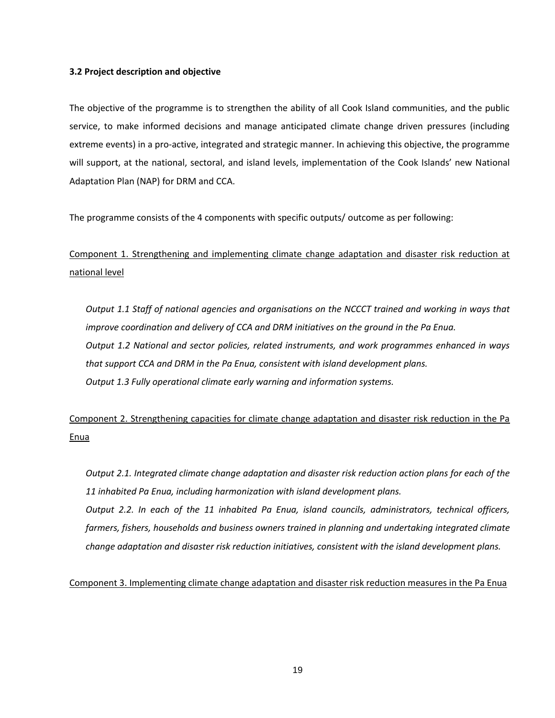## **3.2 Project description and objective**

The objective of the programme is to strengthen the ability of all Cook Island communities, and the public service, to make informed decisions and manage anticipated climate change driven pressures (including extreme events) in a pro-active, integrated and strategic manner. In achieving this objective, the programme will support, at the national, sectoral, and island levels, implementation of the Cook Islands' new National Adaptation Plan (NAP) for DRM and CCA.

The programme consists of the 4 components with specific outputs/ outcome as per following:

Component 1. Strengthening and implementing climate change adaptation and disaster risk reduction at national level

*Output 1.1 Staff of national agencies and organisations on the NCCCT trained and working in ways that improve coordination and delivery of CCA and DRM initiatives on the ground in the Pa Enua. Output 1.2 National and sector policies, related instruments, and work programmes enhanced in ways that support CCA and DRM in the Pa Enua, consistent with island development plans. Output 1.3 Fully operational climate early warning and information systems.*

Component 2. Strengthening capacities for climate change adaptation and disaster risk reduction in the Pa Enua

*Output 2.1. Integrated climate change adaptation and disaster risk reduction action plans for each of the 11 inhabited Pa Enua, including harmonization with island development plans. Output 2.2. In each of the 11 inhabited Pa Enua, island councils, administrators, technical officers, farmers, fishers, households and business owners trained in planning and undertaking integrated climate change adaptation and disaster risk reduction initiatives, consistent with the island development plans.*

Component 3. Implementing climate change adaptation and disaster risk reduction measures in the Pa Enua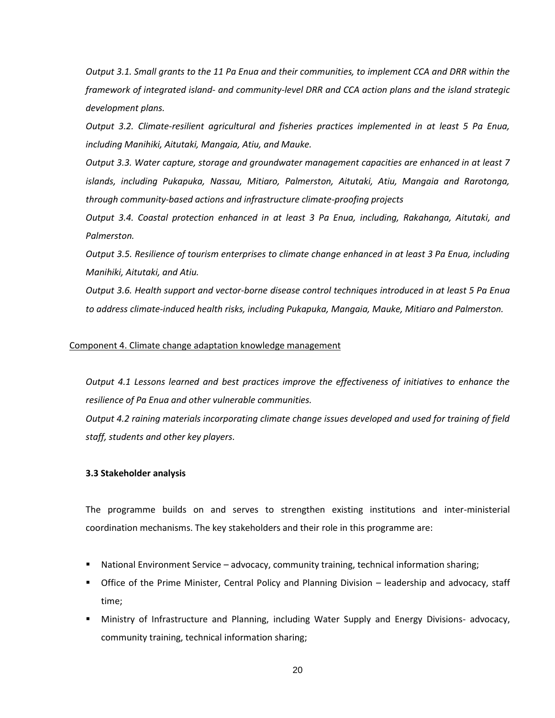*Output 3.1. Small grants to the 11 Pa Enua and their communities, to implement CCA and DRR within the framework of integrated island- and community-level DRR and CCA action plans and the island strategic development plans.*

*Output 3.2. Climate-resilient agricultural and fisheries practices implemented in at least 5 Pa Enua, including Manihiki, Aitutaki, Mangaia, Atiu, and Mauke.*

*Output 3.3. Water capture, storage and groundwater management capacities are enhanced in at least 7 islands, including Pukapuka, Nassau, Mitiaro, Palmerston, Aitutaki, Atiu, Mangaia and Rarotonga, through community-based actions and infrastructure climate-proofing projects*

*Output 3.4. Coastal protection enhanced in at least 3 Pa Enua, including, Rakahanga, Aitutaki, and Palmerston.*

*Output 3.5. Resilience of tourism enterprises to climate change enhanced in at least 3 Pa Enua, including Manihiki, Aitutaki, and Atiu.*

*Output 3.6. Health support and vector-borne disease control techniques introduced in at least 5 Pa Enua to address climate-induced health risks, including Pukapuka, Mangaia, Mauke, Mitiaro and Palmerston.*

## Component 4. Climate change adaptation knowledge management

*Output 4.1 Lessons learned and best practices improve the effectiveness of initiatives to enhance the resilience of Pa Enua and other vulnerable communities.*

*Output 4.2 raining materials incorporating climate change issues developed and used for training of field staff, students and other key players.*

### **3.3 Stakeholder analysis**

The programme builds on and serves to strengthen existing institutions and inter-ministerial coordination mechanisms. The key stakeholders and their role in this programme are:

- National Environment Service advocacy, community training, technical information sharing;
- Office of the Prime Minister, Central Policy and Planning Division leadership and advocacy, staff time;
- Ministry of Infrastructure and Planning, including Water Supply and Energy Divisions- advocacy, community training, technical information sharing;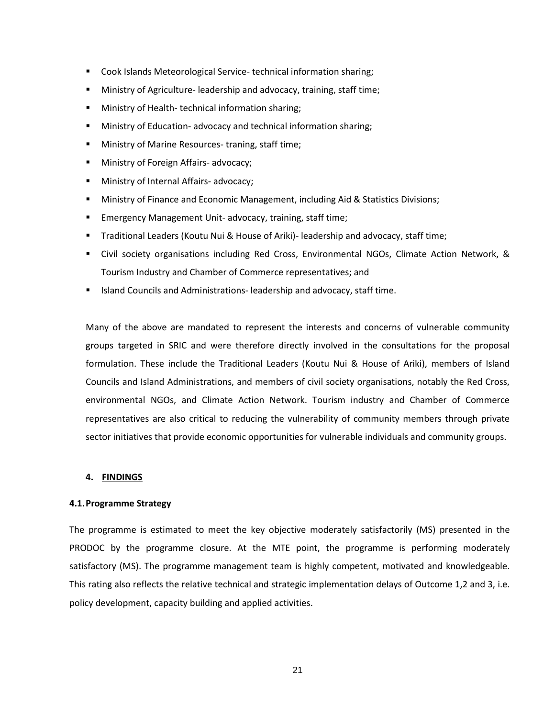- Cook Islands Meteorological Service-technical information sharing;
- Ministry of Agriculture- leadership and advocacy, training, staff time;
- Ministry of Health- technical information sharing;
- Ministry of Education- advocacy and technical information sharing;
- Ministry of Marine Resources- traning, staff time;
- Ministry of Foreign Affairs- advocacy;
- Ministry of Internal Affairs- advocacy;
- Ministry of Finance and Economic Management, including Aid & Statistics Divisions;
- Emergency Management Unit- advocacy, training, staff time;
- Traditional Leaders (Koutu Nui & House of Ariki)- leadership and advocacy, staff time;
- Civil society organisations including Red Cross, Environmental NGOs, Climate Action Network, & Tourism Industry and Chamber of Commerce representatives; and
- Island Councils and Administrations- leadership and advocacy, staff time.

Many of the above are mandated to represent the interests and concerns of vulnerable community groups targeted in SRIC and were therefore directly involved in the consultations for the proposal formulation. These include the Traditional Leaders (Koutu Nui & House of Ariki), members of Island Councils and Island Administrations, and members of civil society organisations, notably the Red Cross, environmental NGOs, and Climate Action Network. Tourism industry and Chamber of Commerce representatives are also critical to reducing the vulnerability of community members through private sector initiatives that provide economic opportunities for vulnerable individuals and community groups.

## **4. FINDINGS**

# **4.1.Programme Strategy**

The programme is estimated to meet the key objective moderately satisfactorily (MS) presented in the PRODOC by the programme closure. At the MTE point, the programme is performing moderately satisfactory (MS). The programme management team is highly competent, motivated and knowledgeable. This rating also reflects the relative technical and strategic implementation delays of Outcome 1,2 and 3, i.e. policy development, capacity building and applied activities.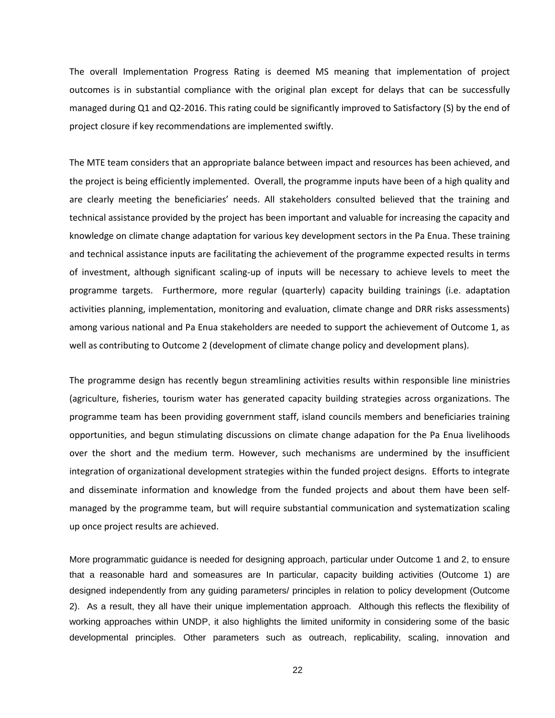The overall Implementation Progress Rating is deemed MS meaning that implementation of project outcomes is in substantial compliance with the original plan except for delays that can be successfully managed during Q1 and Q2-2016. This rating could be significantly improved to Satisfactory (S) by the end of project closure if key recommendations are implemented swiftly.

The MTE team considers that an appropriate balance between impact and resources has been achieved, and the project is being efficiently implemented. Overall, the programme inputs have been of a high quality and are clearly meeting the beneficiaries' needs. All stakeholders consulted believed that the training and technical assistance provided by the project has been important and valuable for increasing the capacity and knowledge on climate change adaptation for various key development sectors in the Pa Enua. These training and technical assistance inputs are facilitating the achievement of the programme expected results in terms of investment, although significant scaling-up of inputs will be necessary to achieve levels to meet the programme targets. Furthermore, more regular (quarterly) capacity building trainings (i.e. adaptation activities planning, implementation, monitoring and evaluation, climate change and DRR risks assessments) among various national and Pa Enua stakeholders are needed to support the achievement of Outcome 1, as well as contributing to Outcome 2 (development of climate change policy and development plans).

The programme design has recently begun streamlining activities results within responsible line ministries (agriculture, fisheries, tourism water has generated capacity building strategies across organizations. The programme team has been providing government staff, island councils members and beneficiaries training opportunities, and begun stimulating discussions on climate change adapation for the Pa Enua livelihoods over the short and the medium term. However, such mechanisms are undermined by the insufficient integration of organizational development strategies within the funded project designs. Efforts to integrate and disseminate information and knowledge from the funded projects and about them have been selfmanaged by the programme team, but will require substantial communication and systematization scaling up once project results are achieved.

More programmatic guidance is needed for designing approach, particular under Outcome 1 and 2, to ensure that a reasonable hard and someasures are In particular, capacity building activities (Outcome 1) are designed independently from any guiding parameters/ principles in relation to policy development (Outcome 2). As a result, they all have their unique implementation approach. Although this reflects the flexibility of working approaches within UNDP, it also highlights the limited uniformity in considering some of the basic developmental principles. Other parameters such as outreach, replicability, scaling, innovation and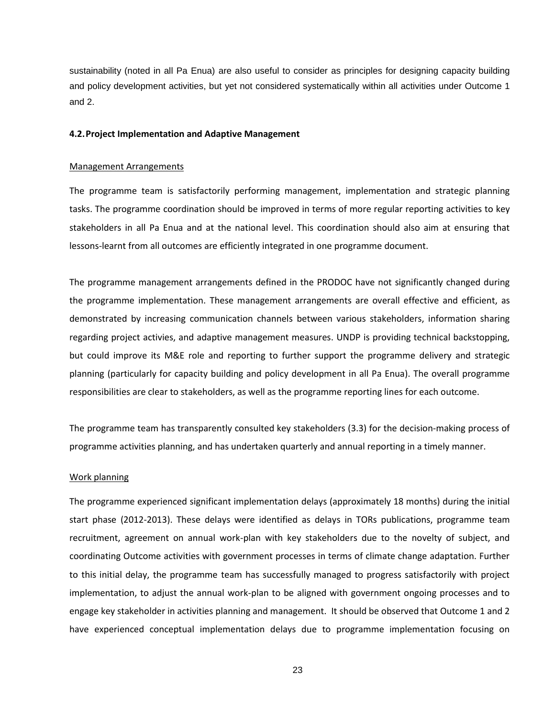sustainability (noted in all Pa Enua) are also useful to consider as principles for designing capacity building and policy development activities, but yet not considered systematically within all activities under Outcome 1 and 2.

## **4.2.Project Implementation and Adaptive Management**

#### Management Arrangements

The programme team is satisfactorily performing management, implementation and strategic planning tasks. The programme coordination should be improved in terms of more regular reporting activities to key stakeholders in all Pa Enua and at the national level. This coordination should also aim at ensuring that lessons-learnt from all outcomes are efficiently integrated in one programme document.

The programme management arrangements defined in the PRODOC have not significantly changed during the programme implementation. These management arrangements are overall effective and efficient, as demonstrated by increasing communication channels between various stakeholders, information sharing regarding project activies, and adaptive management measures. UNDP is providing technical backstopping, but could improve its M&E role and reporting to further support the programme delivery and strategic planning (particularly for capacity building and policy development in all Pa Enua). The overall programme responsibilities are clear to stakeholders, as well as the programme reporting lines for each outcome.

The programme team has transparently consulted key stakeholders (3.3) for the decision-making process of programme activities planning, and has undertaken quarterly and annual reporting in a timely manner.

#### Work planning

The programme experienced significant implementation delays (approximately 18 months) during the initial start phase (2012-2013). These delays were identified as delays in TORs publications, programme team recruitment, agreement on annual work-plan with key stakeholders due to the novelty of subject, and coordinating Outcome activities with government processes in terms of climate change adaptation. Further to this initial delay, the programme team has successfully managed to progress satisfactorily with project implementation, to adjust the annual work-plan to be aligned with government ongoing processes and to engage key stakeholder in activities planning and management. It should be observed that Outcome 1 and 2 have experienced conceptual implementation delays due to programme implementation focusing on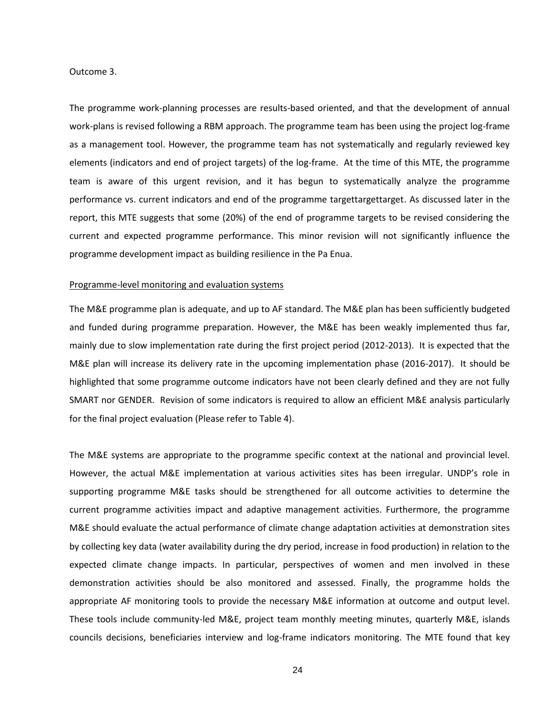### Outcome 3.

The programme work-planning processes are results-based oriented, and that the development of annual work-plans is revised following a RBM approach. The programme team has been using the project log-frame as a management tool. However, the programme team has not systematically and regularly reviewed key elements (indicators and end of project targets) of the log-frame. At the time of this MTE, the programme team is aware of this urgent revision, and it has begun to systematically analyze the programme performance vs. current indicators and end of the programme targettargettarget. As discussed later in the report, this MTE suggests that some (20%) of the end of programme targets to be revised considering the current and expected programme performance. This minor revision will not significantly influence the programme development impact as building resilience in the Pa Enua.

## Programme-level monitoring and evaluation systems

The M&E programme plan is adequate, and up to AF standard. The M&E plan has been sufficiently budgeted and funded during programme preparation. However, the M&E has been weakly implemented thus far, mainly due to slow implementation rate during the first project period (2012-2013). It is expected that the M&E plan will increase its delivery rate in the upcoming implementation phase (2016-2017). It should be highlighted that some programme outcome indicators have not been clearly defined and they are not fully SMART nor GENDER. Revision of some indicators is required to allow an efficient M&E analysis particularly for the final project evaluation (Please refer to Table 4).

The M&E systems are appropriate to the programme specific context at the national and provincial level. However, the actual M&E implementation at various activities sites has been irregular. UNDP's role in supporting programme M&E tasks should be strengthened for all outcome activities to determine the current programme activities impact and adaptive management activities. Furthermore, the programme M&E should evaluate the actual performance of climate change adaptation activities at demonstration sites by collecting key data (water availability during the dry period, increase in food production) in relation to the expected climate change impacts. In particular, perspectives of women and men involved in these demonstration activities should be also monitored and assessed. Finally, the programme holds the appropriate AF monitoring tools to provide the necessary M&E information at outcome and output level. These tools include community-led M&E, project team monthly meeting minutes, quarterly M&E, islands councils decisions, beneficiaries interview and log-frame indicators monitoring. The MTE found that key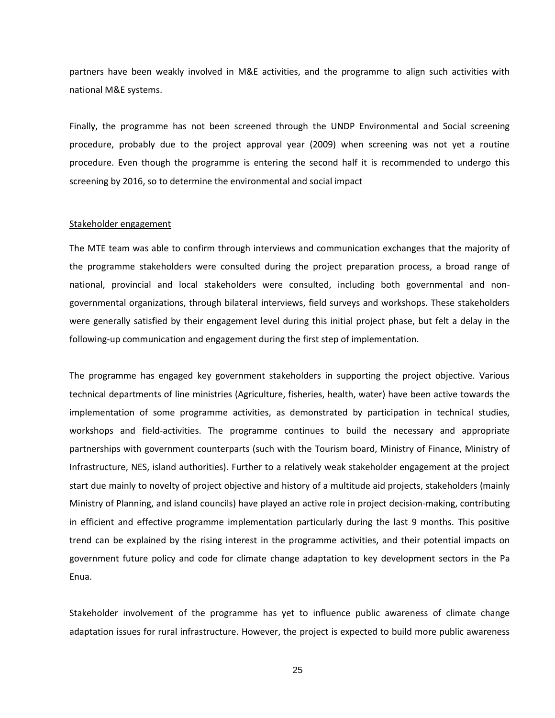partners have been weakly involved in M&E activities, and the programme to align such activities with national M&E systems.

Finally, the programme has not been screened through the UNDP Environmental and Social screening procedure, probably due to the project approval year (2009) when screening was not yet a routine procedure. Even though the programme is entering the second half it is recommended to undergo this screening by 2016, so to determine the environmental and social impact

## Stakeholder engagement

The MTE team was able to confirm through interviews and communication exchanges that the majority of the programme stakeholders were consulted during the project preparation process, a broad range of national, provincial and local stakeholders were consulted, including both governmental and nongovernmental organizations, through bilateral interviews, field surveys and workshops. These stakeholders were generally satisfied by their engagement level during this initial project phase, but felt a delay in the following-up communication and engagement during the first step of implementation.

The programme has engaged key government stakeholders in supporting the project objective. Various technical departments of line ministries (Agriculture, fisheries, health, water) have been active towards the implementation of some programme activities, as demonstrated by participation in technical studies, workshops and field-activities. The programme continues to build the necessary and appropriate partnerships with government counterparts (such with the Tourism board, Ministry of Finance, Ministry of Infrastructure, NES, island authorities). Further to a relatively weak stakeholder engagement at the project start due mainly to novelty of project objective and history of a multitude aid projects, stakeholders (mainly Ministry of Planning, and island councils) have played an active role in project decision-making, contributing in efficient and effective programme implementation particularly during the last 9 months. This positive trend can be explained by the rising interest in the programme activities, and their potential impacts on government future policy and code for climate change adaptation to key development sectors in the Pa Enua.

Stakeholder involvement of the programme has yet to influence public awareness of climate change adaptation issues for rural infrastructure. However, the project is expected to build more public awareness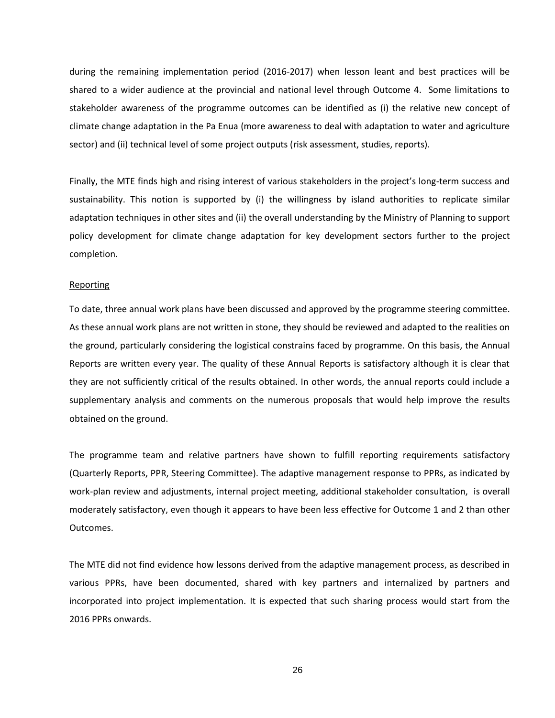during the remaining implementation period (2016-2017) when lesson leant and best practices will be shared to a wider audience at the provincial and national level through Outcome 4. Some limitations to stakeholder awareness of the programme outcomes can be identified as (i) the relative new concept of climate change adaptation in the Pa Enua (more awareness to deal with adaptation to water and agriculture sector) and (ii) technical level of some project outputs (risk assessment, studies, reports).

Finally, the MTE finds high and rising interest of various stakeholders in the project's long-term success and sustainability. This notion is supported by (i) the willingness by island authorities to replicate similar adaptation techniques in other sites and (ii) the overall understanding by the Ministry of Planning to support policy development for climate change adaptation for key development sectors further to the project completion.

### Reporting

To date, three annual work plans have been discussed and approved by the programme steering committee. As these annual work plans are not written in stone, they should be reviewed and adapted to the realities on the ground, particularly considering the logistical constrains faced by programme. On this basis, the Annual Reports are written every year. The quality of these Annual Reports is satisfactory although it is clear that they are not sufficiently critical of the results obtained. In other words, the annual reports could include a supplementary analysis and comments on the numerous proposals that would help improve the results obtained on the ground.

The programme team and relative partners have shown to fulfill reporting requirements satisfactory (Quarterly Reports, PPR, Steering Committee). The adaptive management response to PPRs, as indicated by work-plan review and adjustments, internal project meeting, additional stakeholder consultation, is overall moderately satisfactory, even though it appears to have been less effective for Outcome 1 and 2 than other Outcomes.

The MTE did not find evidence how lessons derived from the adaptive management process, as described in various PPRs, have been documented, shared with key partners and internalized by partners and incorporated into project implementation. It is expected that such sharing process would start from the 2016 PPRs onwards.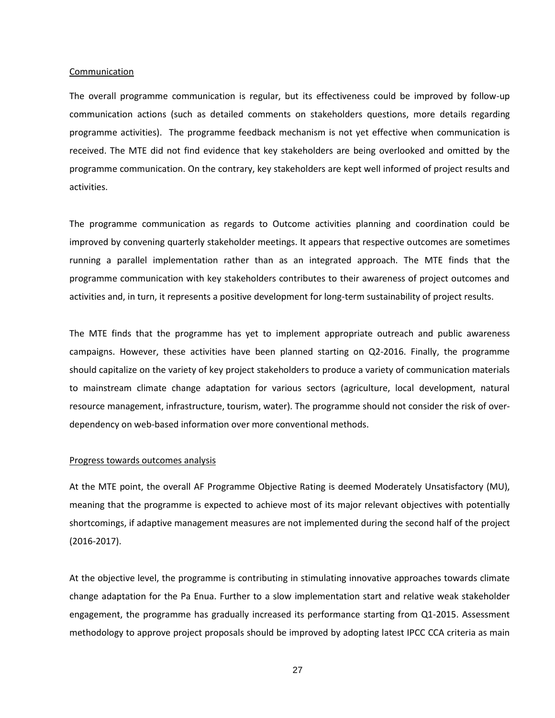#### Communication

The overall programme communication is regular, but its effectiveness could be improved by follow-up communication actions (such as detailed comments on stakeholders questions, more details regarding programme activities). The programme feedback mechanism is not yet effective when communication is received. The MTE did not find evidence that key stakeholders are being overlooked and omitted by the programme communication. On the contrary, key stakeholders are kept well informed of project results and activities.

The programme communication as regards to Outcome activities planning and coordination could be improved by convening quarterly stakeholder meetings. It appears that respective outcomes are sometimes running a parallel implementation rather than as an integrated approach. The MTE finds that the programme communication with key stakeholders contributes to their awareness of project outcomes and activities and, in turn, it represents a positive development for long-term sustainability of project results.

The MTE finds that the programme has yet to implement appropriate outreach and public awareness campaigns. However, these activities have been planned starting on Q2-2016. Finally, the programme should capitalize on the variety of key project stakeholders to produce a variety of communication materials to mainstream climate change adaptation for various sectors (agriculture, local development, natural resource management, infrastructure, tourism, water). The programme should not consider the risk of overdependency on web-based information over more conventional methods.

#### Progress towards outcomes analysis

At the MTE point, the overall AF Programme Objective Rating is deemed Moderately Unsatisfactory (MU), meaning that the programme is expected to achieve most of its major relevant objectives with potentially shortcomings, if adaptive management measures are not implemented during the second half of the project (2016-2017).

At the objective level, the programme is contributing in stimulating innovative approaches towards climate change adaptation for the Pa Enua. Further to a slow implementation start and relative weak stakeholder engagement, the programme has gradually increased its performance starting from Q1-2015. Assessment methodology to approve project proposals should be improved by adopting latest IPCC CCA criteria as main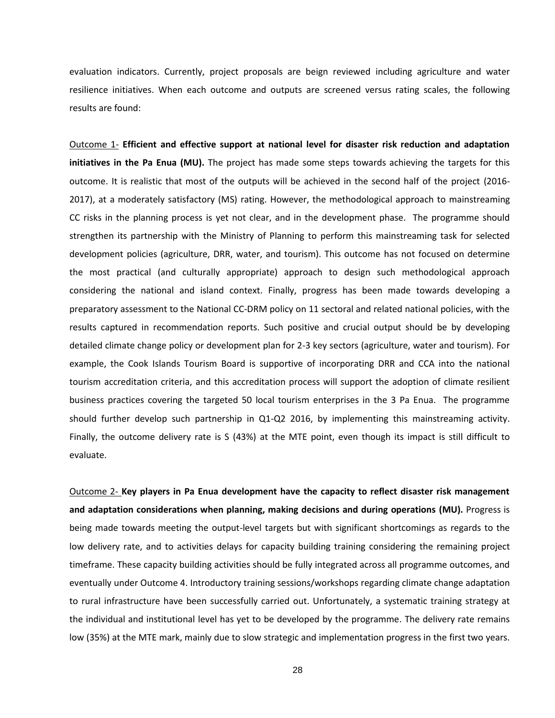evaluation indicators. Currently, project proposals are beign reviewed including agriculture and water resilience initiatives. When each outcome and outputs are screened versus rating scales, the following results are found:

Outcome 1- **Efficient and effective support at national level for disaster risk reduction and adaptation initiatives in the Pa Enua (MU).** The project has made some steps towards achieving the targets for this outcome. It is realistic that most of the outputs will be achieved in the second half of the project (2016- 2017), at a moderately satisfactory (MS) rating. However, the methodological approach to mainstreaming CC risks in the planning process is yet not clear, and in the development phase. The programme should strengthen its partnership with the Ministry of Planning to perform this mainstreaming task for selected development policies (agriculture, DRR, water, and tourism). This outcome has not focused on determine the most practical (and culturally appropriate) approach to design such methodological approach considering the national and island context. Finally, progress has been made towards developing a preparatory assessment to the National CC-DRM policy on 11 sectoral and related national policies, with the results captured in recommendation reports. Such positive and crucial output should be by developing detailed climate change policy or development plan for 2-3 key sectors (agriculture, water and tourism). For example, the Cook Islands Tourism Board is supportive of incorporating DRR and CCA into the national tourism accreditation criteria, and this accreditation process will support the adoption of climate resilient business practices covering the targeted 50 local tourism enterprises in the 3 Pa Enua. The programme should further develop such partnership in Q1-Q2 2016, by implementing this mainstreaming activity. Finally, the outcome delivery rate is S (43%) at the MTE point, even though its impact is still difficult to evaluate.

Outcome 2- **Key players in Pa Enua development have the capacity to reflect disaster risk management and adaptation considerations when planning, making decisions and during operations (MU).** Progress is being made towards meeting the output-level targets but with significant shortcomings as regards to the low delivery rate, and to activities delays for capacity building training considering the remaining project timeframe. These capacity building activities should be fully integrated across all programme outcomes, and eventually under Outcome 4. Introductory training sessions/workshops regarding climate change adaptation to rural infrastructure have been successfully carried out. Unfortunately, a systematic training strategy at the individual and institutional level has yet to be developed by the programme. The delivery rate remains low (35%) at the MTE mark, mainly due to slow strategic and implementation progress in the first two years.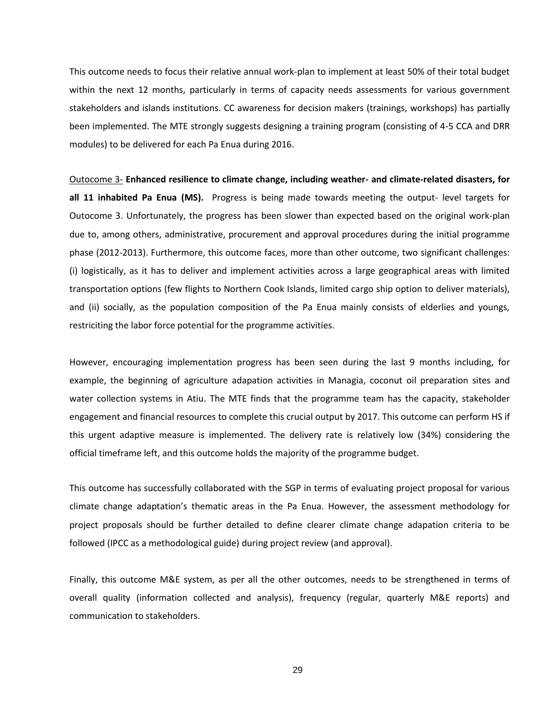This outcome needs to focus their relative annual work-plan to implement at least 50% of their total budget within the next 12 months, particularly in terms of capacity needs assessments for various government stakeholders and islands institutions. CC awareness for decision makers (trainings, workshops) has partially been implemented. The MTE strongly suggests designing a training program (consisting of 4-5 CCA and DRR modules) to be delivered for each Pa Enua during 2016.

Outocome 3- **Enhanced resilience to climate change, including weather- and climate-related disasters, for all 11 inhabited Pa Enua (MS).** Progress is being made towards meeting the output- level targets for Outocome 3. Unfortunately, the progress has been slower than expected based on the original work-plan due to, among others, administrative, procurement and approval procedures during the initial programme phase (2012-2013). Furthermore, this outcome faces, more than other outcome, two significant challenges: (i) logistically, as it has to deliver and implement activities across a large geographical areas with limited transportation options (few flights to Northern Cook Islands, limited cargo ship option to deliver materials), and (ii) socially, as the population composition of the Pa Enua mainly consists of elderlies and youngs, restriciting the labor force potential for the programme activities.

However, encouraging implementation progress has been seen during the last 9 months including, for example, the beginning of agriculture adapation activities in Managia, coconut oil preparation sites and water collection systems in Atiu. The MTE finds that the programme team has the capacity, stakeholder engagement and financial resources to complete this crucial output by 2017. This outcome can perform HS if this urgent adaptive measure is implemented. The delivery rate is relatively low (34%) considering the official timeframe left, and this outcome holds the majority of the programme budget.

This outcome has successfully collaborated with the SGP in terms of evaluating project proposal for various climate change adaptation's thematic areas in the Pa Enua. However, the assessment methodology for project proposals should be further detailed to define clearer climate change adapation criteria to be followed (IPCC as a methodological guide) during project review (and approval).

Finally, this outcome M&E system, as per all the other outcomes, needs to be strengthened in terms of overall quality (information collected and analysis), frequency (regular, quarterly M&E reports) and communication to stakeholders.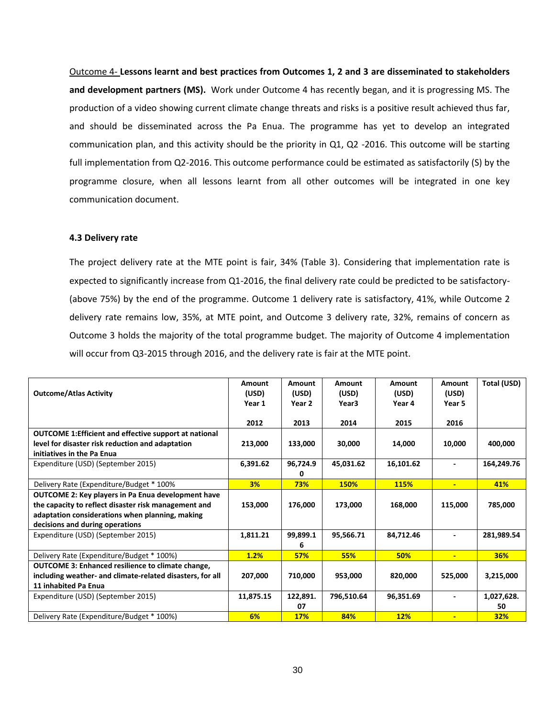Outcome 4- **Lessons learnt and best practices from Outcomes 1, 2 and 3 are disseminated to stakeholders and development partners (MS).** Work under Outcome 4 has recently began, and it is progressing MS. The production of a video showing current climate change threats and risks is a positive result achieved thus far, and should be disseminated across the Pa Enua. The programme has yet to develop an integrated communication plan, and this activity should be the priority in Q1, Q2 -2016. This outcome will be starting full implementation from Q2-2016. This outcome performance could be estimated as satisfactorily (S) by the programme closure, when all lessons learnt from all other outcomes will be integrated in one key communication document.

## **4.3 Delivery rate**

The project delivery rate at the MTE point is fair, 34% (Table 3). Considering that implementation rate is expected to significantly increase from Q1-2016, the final delivery rate could be predicted to be satisfactory- (above 75%) by the end of the programme. Outcome 1 delivery rate is satisfactory, 41%, while Outcome 2 delivery rate remains low, 35%, at MTE point, and Outcome 3 delivery rate, 32%, remains of concern as Outcome 3 holds the majority of the total programme budget. The majority of Outcome 4 implementation will occur from Q3-2015 through 2016, and the delivery rate is fair at the MTE point.

| <b>Outcome/Atlas Activity</b>                                                                                                                                                                           | Amount<br>(USD)<br>Year 1 | Amount<br>(USD)<br>Year 2 | Amount<br>(USD)<br>Year <sub>3</sub> | Amount<br>(USD)<br>Year 4 | Amount<br>(USD)<br>Year 5 | Total (USD)      |
|---------------------------------------------------------------------------------------------------------------------------------------------------------------------------------------------------------|---------------------------|---------------------------|--------------------------------------|---------------------------|---------------------------|------------------|
|                                                                                                                                                                                                         | 2012                      | 2013                      | 2014                                 | 2015                      | 2016                      |                  |
| <b>OUTCOME 1:Efficient and effective support at national</b><br>level for disaster risk reduction and adaptation<br>initiatives in the Pa Enua                                                          | 213,000                   | 133,000                   | 30,000                               | 14,000                    | 10,000                    | 400,000          |
| Expenditure (USD) (September 2015)                                                                                                                                                                      | 6,391.62                  | 96,724.9<br>0             | 45,031.62                            | 16,101.62                 |                           | 164,249.76       |
| Delivery Rate (Expenditure/Budget * 100%                                                                                                                                                                | 3%                        | 73%                       | <b>150%</b>                          | <b>115%</b>               | ÷                         | 41%              |
| <b>OUTCOME 2: Key players in Pa Enua development have</b><br>the capacity to reflect disaster risk management and<br>adaptation considerations when planning, making<br>decisions and during operations | 153,000                   | 176,000                   | 173,000                              | 168,000                   | 115,000                   | 785,000          |
| Expenditure (USD) (September 2015)                                                                                                                                                                      | 1,811.21                  | 99,899.1<br>6             | 95,566.71                            | 84,712.46                 |                           | 281,989.54       |
| Delivery Rate (Expenditure/Budget * 100%)                                                                                                                                                               | 1.2%                      | <b>57%</b>                | 55%                                  | <b>50%</b>                | $\blacksquare$            | <b>36%</b>       |
| <b>OUTCOME 3: Enhanced resilience to climate change,</b><br>including weather- and climate-related disasters, for all<br>11 inhabited Pa Enua                                                           | 207,000                   | 710,000                   | 953,000                              | 820,000                   | 525,000                   | 3,215,000        |
| Expenditure (USD) (September 2015)                                                                                                                                                                      | 11,875.15                 | 122,891.<br>07            | 796,510.64                           | 96,351.69                 |                           | 1,027,628.<br>50 |
| Delivery Rate (Expenditure/Budget * 100%)                                                                                                                                                               | 6%                        | <b>17%</b>                | 84%                                  | 12%                       | $\blacksquare$            | 32%              |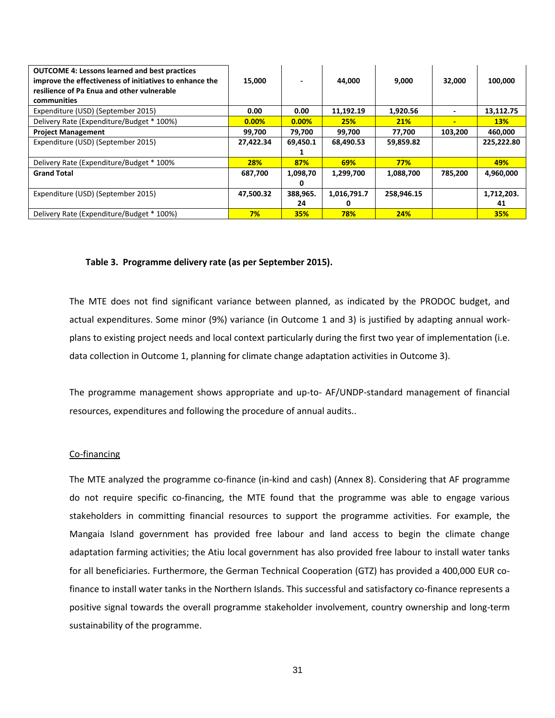| <b>OUTCOME 4: Lessons learned and best practices</b><br>improve the effectiveness of initiatives to enhance the<br>resilience of Pa Enua and other vulnerable<br>communities | 15,000     |                | 44.000           | 9,000      | 32,000  | 100,000          |
|------------------------------------------------------------------------------------------------------------------------------------------------------------------------------|------------|----------------|------------------|------------|---------|------------------|
| Expenditure (USD) (September 2015)                                                                                                                                           | 0.00       | 0.00           | 11,192.19        | 1,920.56   |         | 13,112.75        |
| Delivery Rate (Expenditure/Budget * 100%)                                                                                                                                    | 0.00%      | 0.00%          | 25%              | 21%        | -       | <b>13%</b>       |
| <b>Project Management</b>                                                                                                                                                    | 99,700     | 79,700         | 99,700           | 77,700     | 103.200 | 460,000          |
| Expenditure (USD) (September 2015)                                                                                                                                           | 27,422.34  | 69,450.1       | 68,490.53        | 59,859.82  |         | 225,222.80       |
| Delivery Rate (Expenditure/Budget * 100%                                                                                                                                     | <b>28%</b> | 87%            | 69%              | 77%        |         | 49%              |
| <b>Grand Total</b>                                                                                                                                                           | 687,700    | 1,098,70       | 1,299,700        | 1,088,700  | 785,200 | 4,960,000        |
| Expenditure (USD) (September 2015)                                                                                                                                           | 47,500.32  | 388,965.<br>24 | 1,016,791.7<br>0 | 258,946.15 |         | 1,712,203.<br>41 |
| Delivery Rate (Expenditure/Budget * 100%)                                                                                                                                    | 7%         | 35%            | 78%              | 24%        |         | <b>35%</b>       |

## **Table 3. Programme delivery rate (as per September 2015).**

The MTE does not find significant variance between planned, as indicated by the PRODOC budget, and actual expenditures. Some minor (9%) variance (in Outcome 1 and 3) is justified by adapting annual workplans to existing project needs and local context particularly during the first two year of implementation (i.e. data collection in Outcome 1, planning for climate change adaptation activities in Outcome 3).

The programme management shows appropriate and up-to- AF/UNDP-standard management of financial resources, expenditures and following the procedure of annual audits..

## Co-financing

The MTE analyzed the programme co-finance (in-kind and cash) (Annex 8). Considering that AF programme do not require specific co-financing, the MTE found that the programme was able to engage various stakeholders in committing financial resources to support the programme activities. For example, the Mangaia Island government has provided free labour and land access to begin the climate change adaptation farming activities; the Atiu local government has also provided free labour to install water tanks for all beneficiaries. Furthermore, the German Technical Cooperation (GTZ) has provided a 400,000 EUR cofinance to install water tanks in the Northern Islands. This successful and satisfactory co-finance represents a positive signal towards the overall programme stakeholder involvement, country ownership and long-term sustainability of the programme.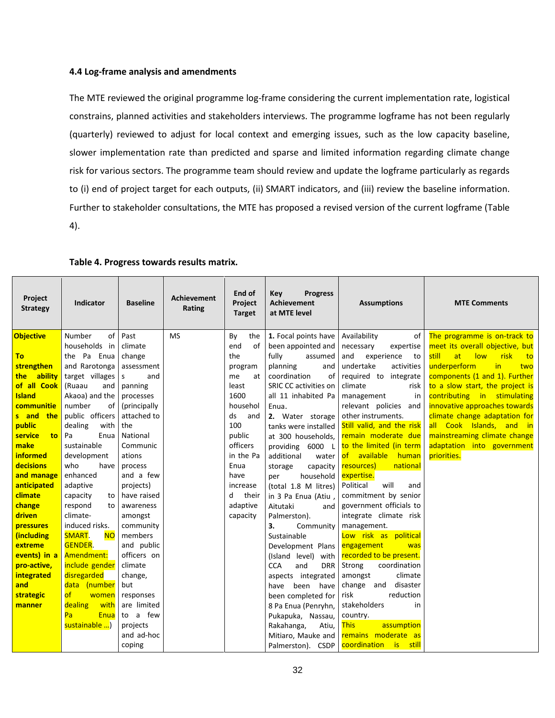# **4.4 Log-frame analysis and amendments**

The MTE reviewed the original programme log-frame considering the current implementation rate, logistical constrains, planned activities and stakeholders interviews. The programme logframe has not been regularly (quarterly) reviewed to adjust for local context and emerging issues, such as the low capacity baseline, slower implementation rate than predicted and sparse and limited information regarding climate change risk for various sectors. The programme team should review and update the logframe particularly as regards to (i) end of project target for each outputs, (ii) SMART indicators, and (iii) review the baseline information. Further to stakeholder consultations, the MTE has proposed a revised version of the current logframe (Table 4).

| The programme is on-track to<br>Number<br>Past<br><b>MS</b><br><b>Objective</b><br>Availability<br>of                                                   | risk<br>to |
|---------------------------------------------------------------------------------------------------------------------------------------------------------|------------|
| 1. Focal points have<br>By<br>the<br>οf                                                                                                                 |            |
| meet its overall objective, but<br>households in<br>been appointed and<br>climate<br>end<br>0f<br>necessary<br>expertise                                |            |
| the Pa Enua<br>fully<br>still<br>low<br>the<br>and<br>at<br><b>To</b><br>change<br>assumed<br>experience<br>to                                          |            |
| underperform<br>strengthen<br>and Rarotonga<br>undertake<br>activities<br>in<br>planning<br>assessment<br>and<br>program                                | two        |
| ability<br>target villages<br>components (1 and 1). Further<br>coordination<br>of<br>required to<br>integrate<br>s<br>and<br>the <b>the</b><br>me<br>at |            |
| of all Cook<br>SRIC CC activities on<br>to a slow start, the project is<br>(Ruaau<br>climate<br>panning<br>least<br>risk<br>and                         |            |
| <b>Island</b><br>Akaoa) and the<br>1600<br>all 11 inhabited Pa<br>contributing in stimulating<br>processes<br>management<br>in                          |            |
| innovative approaches towards<br>communitie<br>number<br>(principally<br>househol<br>relevant policies and<br>οf<br>Enua.                               |            |
| public officers<br>climate change adaptation for<br>s and<br>attached to<br>ds<br>other instruments.<br>the<br>and<br>2. Water storage                  |            |
| 100<br>Still valid, and the risk<br>all Cook Islands, and in<br>public<br>dealing<br>with<br>the<br>tanks were installed                                |            |
| mainstreaming climate change<br>public<br>remain moderate due<br>service<br>Pa<br>Enua<br>National<br>to<br>at 300 households,                          |            |
| sustainable<br>officers<br>to the limited (in term<br>adaptation into government<br>make<br>Communic<br>providing 6000<br>L                             |            |
| in the Pa<br>of available human<br><b>informed</b><br>development<br>ations<br>priorities.<br>additional<br>water                                       |            |
| decisions<br>who<br>Enua<br>have<br>resources)<br>national<br>process<br>capacity<br>storage                                                            |            |
| enhanced<br>and manage<br>and a few<br>expertise.<br>have<br>household<br>per                                                                           |            |
| anticipated<br>Political<br>adaptive<br>projects)<br>increase<br>(total 1.8 M litres)<br>will<br>and                                                    |            |
| climate<br>commitment by senior<br>have raised<br>their<br>capacity<br>d<br>in 3 Pa Enua (Atiu,<br>to                                                   |            |
| change<br>government officials to<br>respond<br>adaptive<br>awareness<br>Aitutaki<br>and<br>to                                                          |            |
| driven<br>climate-<br>integrate climate risk<br>amongst<br>capacity<br>Palmerston).                                                                     |            |
| induced risks.<br>pressures<br>community<br>management.<br>3.<br>Community                                                                              |            |
| Low risk as political<br>(including<br>SMART.<br><b>NO</b><br>members<br>Sustainable                                                                    |            |
| <b>GENDER.</b><br>and public<br>extreme<br>engagement<br>Development Plans<br>was                                                                       |            |
| events) in a<br>Amendment:<br>officers on<br>recorded to be present.<br>(Island level)<br>with                                                          |            |
| include gender<br>coordination<br>pro-active,<br>climate<br>Strong<br><b>CCA</b><br>and<br><b>DRR</b>                                                   |            |
| disregarded<br>integrated<br>climate<br>change,<br>amongst<br>aspects integrated<br>and                                                                 |            |
| disaster<br>data (number<br>but<br>change and<br>been have<br>have<br><b>of</b><br>reduction<br>responses                                               |            |
| strategic<br>women<br>risk<br>been completed for<br>are limited<br>dealing<br>with<br>stakeholders<br>8 Pa Enua (Penryhn,<br>in<br>manner               |            |
| to a few<br>Pa<br>Enua<br>Pukapuka, Nassau,<br>country.                                                                                                 |            |
| sustainable )<br>projects<br><b>This</b><br>assumption<br>Rakahanga,<br>Atiu,                                                                           |            |
| and ad-hoc<br>remains moderate as<br>Mitiaro, Mauke and                                                                                                 |            |
| coordination is still<br>coping<br>Palmerston). CSDP                                                                                                    |            |

# **Table 4. Progress towards results matrix.**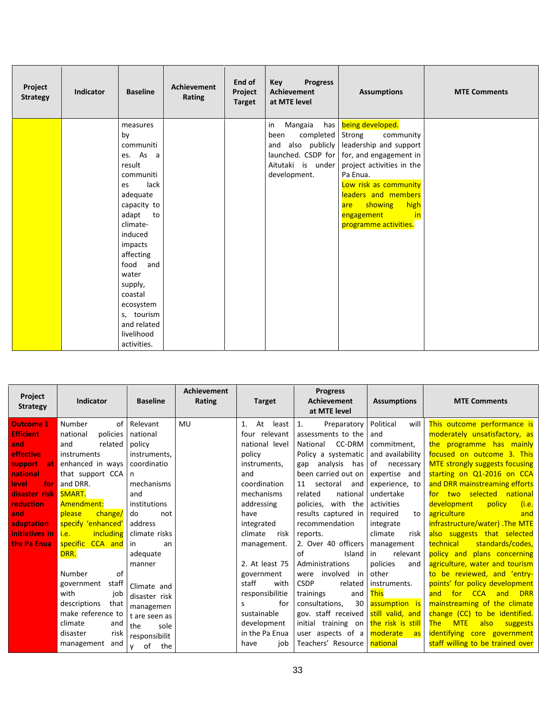| Project<br><b>Strategy</b> | Indicator | <b>Baseline</b>     | <b>Achievement</b><br>Rating | End of<br>Project<br><b>Target</b> | <b>Key</b><br><b>Progress</b><br><b>Achievement</b><br>at MTE level | <b>Assumptions</b>        | <b>MTE Comments</b> |
|----------------------------|-----------|---------------------|------------------------------|------------------------------------|---------------------------------------------------------------------|---------------------------|---------------------|
|                            |           | measures            |                              |                                    | Mangaia<br>has<br>in                                                | being developed.          |                     |
|                            |           | by                  |                              |                                    | completed<br>been                                                   | Strong<br>community       |                     |
|                            |           | communiti           |                              |                                    | also publicly<br>and                                                | leadership and support    |                     |
|                            |           | es. As a            |                              |                                    | launched. CSDP for                                                  | for, and engagement in    |                     |
|                            |           | result              |                              |                                    | Aitutaki is under                                                   | project activities in the |                     |
|                            |           | communiti           |                              |                                    | development.                                                        | Pa Enua.                  |                     |
|                            |           | lack<br>es          |                              |                                    |                                                                     | Low risk as community     |                     |
|                            |           | adequate            |                              |                                    |                                                                     | leaders and members       |                     |
|                            |           | capacity to         |                              |                                    |                                                                     | showing<br>high<br>are    |                     |
|                            |           | adapt to            |                              |                                    |                                                                     | in<br>engagement          |                     |
|                            |           | climate-<br>induced |                              |                                    |                                                                     | programme activities.     |                     |
|                            |           | impacts             |                              |                                    |                                                                     |                           |                     |
|                            |           | affecting           |                              |                                    |                                                                     |                           |                     |
|                            |           | food<br>and         |                              |                                    |                                                                     |                           |                     |
|                            |           | water               |                              |                                    |                                                                     |                           |                     |
|                            |           | supply,             |                              |                                    |                                                                     |                           |                     |
|                            |           | coastal             |                              |                                    |                                                                     |                           |                     |
|                            |           | ecosystem           |                              |                                    |                                                                     |                           |                     |
|                            |           | s, tourism          |                              |                                    |                                                                     |                           |                     |
|                            |           | and related         |                              |                                    |                                                                     |                           |                     |
|                            |           | livelihood          |                              |                                    |                                                                     |                           |                     |
|                            |           | activities.         |                              |                                    |                                                                     |                           |                     |

| Project<br><b>Strategy</b>                                                                                                                                                                                           | Indicator                                                                                                                                                                                                                                                                              | <b>Baseline</b>                                                                                                                                                                                   | Achievement<br>Rating | <b>Target</b>                                                                                                                                                                                                                              | <b>Progress</b><br><b>Achievement</b><br>at MTE level                                                                                                                                                                                                                                                                                                                    | <b>Assumptions</b>                                                                                                                                                                                                                                                      | <b>MTE Comments</b>                                                                                                                                                                                                                                                                                                                                                                                                                                                                                                                                     |
|----------------------------------------------------------------------------------------------------------------------------------------------------------------------------------------------------------------------|----------------------------------------------------------------------------------------------------------------------------------------------------------------------------------------------------------------------------------------------------------------------------------------|---------------------------------------------------------------------------------------------------------------------------------------------------------------------------------------------------|-----------------------|--------------------------------------------------------------------------------------------------------------------------------------------------------------------------------------------------------------------------------------------|--------------------------------------------------------------------------------------------------------------------------------------------------------------------------------------------------------------------------------------------------------------------------------------------------------------------------------------------------------------------------|-------------------------------------------------------------------------------------------------------------------------------------------------------------------------------------------------------------------------------------------------------------------------|---------------------------------------------------------------------------------------------------------------------------------------------------------------------------------------------------------------------------------------------------------------------------------------------------------------------------------------------------------------------------------------------------------------------------------------------------------------------------------------------------------------------------------------------------------|
| <b>Outcome 1</b><br><b>Efficient</b><br>and <sup>'</sup><br><b>effective</b><br>support<br><b>at</b><br>national<br>for<br>level<br>disaster risk<br>reduction<br>and<br>adaptation<br>initiatives in<br>the Pa Enua | Number<br>of<br>national<br>policies<br>and<br>related<br>instruments<br>enhanced in ways<br>that support CCA<br>and DRR.<br>SMART.<br>Amendment:<br>please<br>change/<br>specify 'enhanced'<br>including<br>l i.e.<br>specific CCA and<br>DRR.<br>Number<br>of<br>staff<br>government | Relevant<br>national<br>policy<br>instruments.<br>coordinatio<br>n<br>mechanisms<br>and<br>institutions<br>do<br>not<br>address<br>climate risks<br>in<br>an<br>adequate<br>manner<br>Climate and | MU                    | At<br>least<br>1.<br>four relevant<br>national level<br>policy<br>instruments,<br>and<br>coordination<br>mechanisms<br>addressing<br>have<br>integrated<br>climate<br>risk<br>management.<br>2. At least 75<br>government<br>staff<br>with | 1.<br>Preparatory<br>assessments to the<br>CC-DRM<br>National<br>Policy a systematic<br>analysis has<br>gap<br>been carried out on<br>sectoral and<br>11<br>related<br>national<br>policies, with the<br>results captured in<br>recommendation<br>reports.<br>2. Over 40 officers<br>of<br>Island<br>Administrations<br>involved<br>in<br>were<br><b>CSDP</b><br>related | Political<br>will<br>and<br>commitment,<br>and availability<br>of necessary<br>expertise and<br>experience, to<br>undertake<br>activities<br>required<br>to<br>integrate<br>climate<br>risk<br>management<br>in<br>relevant<br>policies<br>and<br>other<br>instruments. | This outcome performance is<br>moderately unsatisfactory, as<br>the programme has mainly<br>focused on outcome 3. This<br><b>MTE strongly suggests focusing</b><br>starting on Q1-2016 on CCA<br>and DRR mainstreaming efforts<br>for two selected national<br>(i.e.<br>development<br>policy<br>agriculture<br>and<br>infrastructure/water). The MTE<br>also suggests that selected<br>standards/codes,<br>technical<br>policy and plans concerning<br>agriculture, water and tourism<br>to be reviewed, and 'entry-<br>points' for policy development |
|                                                                                                                                                                                                                      | with<br>job<br>descriptions<br>that<br>make reference to<br>climate<br>and<br>disaster<br>risk<br>management<br>and                                                                                                                                                                    | disaster risk<br>managemen<br>t are seen as<br>the<br>sole<br>responsibilit<br>of<br>the<br>$\mathsf{v}$                                                                                          |                       | responsibilitie<br>for<br>S.<br>sustainable<br>development<br>in the Pa Enua<br>job<br>have                                                                                                                                                | trainings<br>and<br>consultations,<br>30<br>gov. staff received<br>initial training on the risk is still<br>user aspects of a moderate<br>Teachers' Resource   national                                                                                                                                                                                                  | <b>This</b><br>assumption is<br>still valid, and<br>as.                                                                                                                                                                                                                 | <b>DRR</b><br>for<br><b>CCA</b><br>and<br>and<br>mainstreaming of the climate<br>change (CC) to be identified.<br><b>The</b><br><b>MTE</b><br>also<br>suggests<br>identifying core government<br>staff willing to be trained over                                                                                                                                                                                                                                                                                                                       |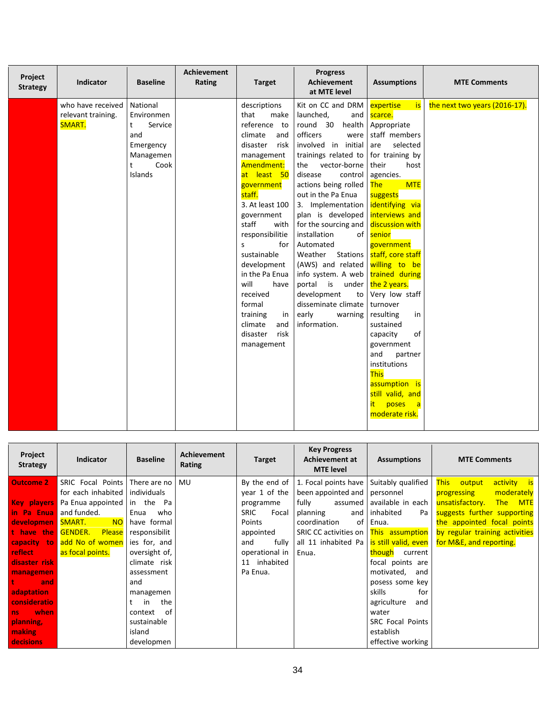| National<br>Kit on CC and DRM<br>who have received<br>descriptions<br>expertise<br>the next two years (2016-17).<br><b>is</b><br>that<br>relevant training.<br>Environmen<br>make<br>launched,<br>scarce.<br>and<br>SMART.<br>reference to<br>round 30<br>health<br>Appropriate<br>t<br>Service<br>officers<br>staff members<br>and<br>climate<br>and<br>were<br>involved in initial<br>disaster<br>are<br>selected<br>risk<br>Emergency<br>trainings related to for training by<br>Managemen<br>management<br>Cook<br>Amendment:<br>vector-borne<br>their<br>t<br>the<br>host<br>Islands<br>at least 50<br>disease<br>control<br>agencies.<br>actions being rolled<br><b>The</b><br><b>MTE</b><br>government<br>staff.<br>out in the Pa Enua<br>suggests<br>3. At least 100<br>identifying via<br>3. Implementation<br>interviews and<br>plan is developed<br>government<br>staff<br>for the sourcing and<br>discussion with<br>with<br>responsibilitie<br>installation<br>senior<br>of<br>Automated<br>for<br>government<br>$\mathsf{S}$<br>sustainable<br>staff, core staff<br>Weather<br>Stations<br>development<br>(AWS) and related<br>willing to be<br>trained during<br>in the Pa Enua<br>info system. A web<br>will<br>portal is under the 2 years.<br>have<br>received<br>development<br>Very low staff<br>to<br>formal<br>disseminate climate<br>turnover<br>early<br>resulting<br>training<br>warning<br>in<br>in<br>information.<br>climate<br>sustained<br>and<br>disaster<br>of<br>risk<br>capacity<br>government<br>management<br>and<br>partner<br>institutions<br><b>This</b> | Project<br><b>Strategy</b> | Indicator | <b>Baseline</b> | <b>Achievement</b><br>Rating | <b>Target</b> | <b>Progress</b><br><b>Achievement</b><br>at MTE level | <b>Assumptions</b> | <b>MTE Comments</b> |
|-------------------------------------------------------------------------------------------------------------------------------------------------------------------------------------------------------------------------------------------------------------------------------------------------------------------------------------------------------------------------------------------------------------------------------------------------------------------------------------------------------------------------------------------------------------------------------------------------------------------------------------------------------------------------------------------------------------------------------------------------------------------------------------------------------------------------------------------------------------------------------------------------------------------------------------------------------------------------------------------------------------------------------------------------------------------------------------------------------------------------------------------------------------------------------------------------------------------------------------------------------------------------------------------------------------------------------------------------------------------------------------------------------------------------------------------------------------------------------------------------------------------------------------------------------------------------------------------------|----------------------------|-----------|-----------------|------------------------------|---------------|-------------------------------------------------------|--------------------|---------------------|
| assumption is<br>still valid, and<br>it.<br>poses<br>$\mathsf{a}$<br>moderate risk.                                                                                                                                                                                                                                                                                                                                                                                                                                                                                                                                                                                                                                                                                                                                                                                                                                                                                                                                                                                                                                                                                                                                                                                                                                                                                                                                                                                                                                                                                                             |                            |           |                 |                              |               |                                                       |                    |                     |

| Project<br><b>Strategy</b> | <b>Indicator</b>                               | <b>Baseline</b> | <b>Achievement</b><br>Rating | <b>Target</b>        | <b>Key Progress</b><br>Achievement at<br><b>MTE</b> level | <b>Assumptions</b>        | <b>MTE Comments</b>            |
|----------------------------|------------------------------------------------|-----------------|------------------------------|----------------------|-----------------------------------------------------------|---------------------------|--------------------------------|
| <b>Outcome 2</b>           | SRIC Focal Points                              | There are no    | <b>MU</b>                    | By the end of        | 1. Focal points have Suitably qualified                   |                           | This output<br>activity is     |
|                            | for each inhabited   individuals               |                 |                              | year 1 of the        | been appointed and   personnel                            |                           | moderately<br>progressing      |
|                            | <b>Key players</b> Pa Enua appointed in the Pa |                 |                              | programme            | fully                                                     | assumed available in each | unsatisfactory.<br>The MTE     |
| in Pa Enua                 | and funded.                                    | Enua<br>who     |                              | <b>SRIC</b><br>Focal | planning                                                  | and inhabited<br>Pa       | suggests further supporting    |
| developmen SMART.          | <b>NO</b>                                      | have formal     |                              | Points               | of<br>coordination                                        | Enua.                     | the appointed focal points     |
| t have the                 | <b>Please</b><br><b>GENDER.</b>                | responsibilit   |                              | appointed            | SRIC CC activities on   This assumption                   |                           | by regular training activities |
| capacity to                | add No of women                                | ies for, and    |                              | fully<br>and         | all 11 inhabited Pa                                       | is still valid, even      | for M&E, and reporting.        |
| <b>reflect</b>             | as focal points.                               | oversight of,   |                              | operational in       | Enua.                                                     | though current            |                                |
| disaster risk              |                                                | climate risk    |                              | 11 inhabited         |                                                           | focal points are          |                                |
| managemen                  |                                                | assessment      |                              | Pa Enua.             |                                                           | motivated,<br>and         |                                |
| and                        |                                                | and             |                              |                      |                                                           | posess some key           |                                |
| adaptation                 |                                                | managemen       |                              |                      |                                                           | skills<br>for             |                                |
| <b>consideratio</b>        |                                                | the<br>in       |                              |                      |                                                           | agriculture<br>and        |                                |
| when<br>ns                 |                                                | of<br>context   |                              |                      |                                                           | water                     |                                |
| planning,                  |                                                | sustainable     |                              |                      |                                                           | <b>SRC Focal Points</b>   |                                |
| <b>making</b>              |                                                | island          |                              |                      |                                                           | establish                 |                                |
| <b>decisions</b>           |                                                | developmen      |                              |                      |                                                           | effective working         |                                |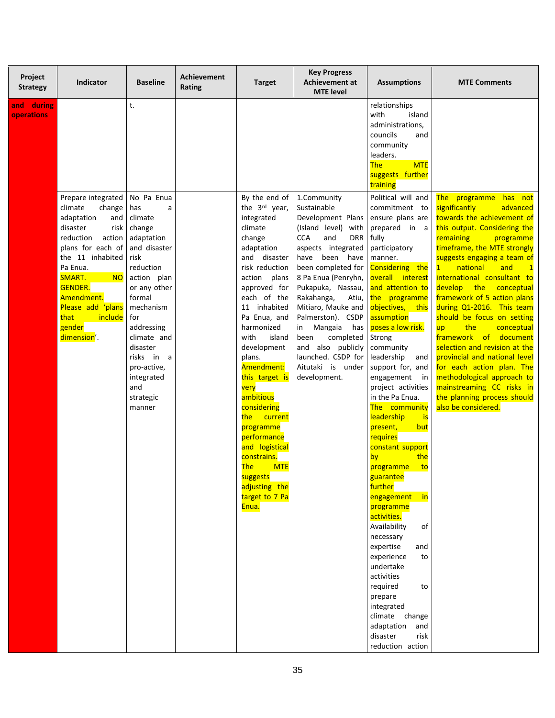| Project<br><b>Strategy</b> | <b>Indicator</b>                                                                                                                                                                                                                                                                     | <b>Baseline</b>                                                                                                                                                                                                                                                                     | <b>Achievement</b><br>Rating | <b>Target</b>                                                                                                                                                                                                                                                                                                                                                                                                                                                            | <b>Key Progress</b><br>Achievement at<br><b>MTE</b> level                                                                                                                                                                                                                                                                                                                                                          | <b>Assumptions</b>                                                                                                                                                                                                                                                                                                                                                                                                                                                                                                                                                                                                                                                                               | <b>MTE Comments</b>                                                                                                                                                                                                                                                                                                                                                                                                                                                                                                                                                                                                                                           |
|----------------------------|--------------------------------------------------------------------------------------------------------------------------------------------------------------------------------------------------------------------------------------------------------------------------------------|-------------------------------------------------------------------------------------------------------------------------------------------------------------------------------------------------------------------------------------------------------------------------------------|------------------------------|--------------------------------------------------------------------------------------------------------------------------------------------------------------------------------------------------------------------------------------------------------------------------------------------------------------------------------------------------------------------------------------------------------------------------------------------------------------------------|--------------------------------------------------------------------------------------------------------------------------------------------------------------------------------------------------------------------------------------------------------------------------------------------------------------------------------------------------------------------------------------------------------------------|--------------------------------------------------------------------------------------------------------------------------------------------------------------------------------------------------------------------------------------------------------------------------------------------------------------------------------------------------------------------------------------------------------------------------------------------------------------------------------------------------------------------------------------------------------------------------------------------------------------------------------------------------------------------------------------------------|---------------------------------------------------------------------------------------------------------------------------------------------------------------------------------------------------------------------------------------------------------------------------------------------------------------------------------------------------------------------------------------------------------------------------------------------------------------------------------------------------------------------------------------------------------------------------------------------------------------------------------------------------------------|
| and during<br>operations   | Prepare integrated<br>climate<br>change<br>adaptation<br>and<br>disaster<br>risk<br>reduction<br>action<br>plans for each of<br>the 11 inhabited<br>Pa Enua.<br>SMART.<br><b>NO</b><br><b>GENDER.</b><br>Amendment.<br>Please add 'plans<br>that<br>include<br>gender<br>dimension'. | t.<br>No Pa Enua<br>has<br>а<br>climate<br>change<br>adaptation<br>and disaster<br>risk<br>reduction<br>action plan<br>or any other<br>formal<br>mechanism<br>for<br>addressing<br>climate and<br>disaster<br>risks in a<br>pro-active,<br>integrated<br>and<br>strategic<br>manner |                              | By the end of<br>the 3rd year,<br>integrated<br>climate<br>change<br>adaptation<br>and disaster<br>risk reduction<br>action<br>plans<br>approved for<br>each of the<br>11 inhabited<br>Pa Enua, and<br>harmonized<br>with<br>island<br>development<br>plans.<br>Amendment:<br>this target is<br>very<br>ambitious<br>considering<br>the<br>current<br>programme<br>performance<br>and logistical<br>constrains.<br><b>The</b><br><b>MTE</b><br>suggests<br>adjusting the | 1.Community<br>Sustainable<br>Development Plans<br>(Island level) with<br><b>CCA</b><br>and<br><b>DRR</b><br>aspects integrated<br>have<br>been have<br>been completed for<br>8 Pa Enua (Penryhn,<br>Pukapuka, Nassau,<br>Rakahanga,<br>Atiu,<br>Mitiaro, Mauke and<br>Palmerston). CSDP<br>in Mangaia<br>has<br>completed<br>been<br>and also publicly<br>launched. CSDP for<br>Aitutaki is under<br>development. | relationships<br>with<br>island<br>administrations,<br>councils<br>and<br>community<br>leaders.<br><b>The</b><br><b>MTE</b><br>suggests further<br>training<br>Political will and<br>commitment to<br>ensure plans are<br>prepared in a<br>fully<br>participatory<br>manner.<br>Considering the<br>overall interest<br>and attention to<br>the programme<br>objectives, this<br>assumption<br>poses a low risk.<br>Strong<br>community<br>leadership<br>and<br>support for, and<br>engagement in<br>project activities<br>in the Pa Enua.<br>The community<br>leadership<br><b>is</b><br>present,<br>but<br>requires<br>constant support<br>the<br>by<br>programme<br>to<br>guarantee<br>further | The programme has not<br>significantly<br>advanced<br>towards the achievement of<br>this output. Considering the<br>remaining<br>programme<br>timeframe, the MTE strongly<br>suggests engaging a team of<br>national<br>and<br>1<br>international consultant to<br>develop the<br>conceptual<br>framework of 5 action plans<br>during Q1-2016. This team<br>should be focus on setting<br>the<br>conceptual<br>up<br>framework of<br>document<br>selection and revision at the<br>provincial and national level<br>for each action plan. The<br>methodological approach to<br>mainstreaming CC risks in<br>the planning process should<br>also be considered. |
|                            |                                                                                                                                                                                                                                                                                      |                                                                                                                                                                                                                                                                                     |                              | target to 7 Pa<br>Enua.                                                                                                                                                                                                                                                                                                                                                                                                                                                  |                                                                                                                                                                                                                                                                                                                                                                                                                    | engagement<br><b>in</b><br>programme<br>activities.<br>Availability<br>of<br>necessary                                                                                                                                                                                                                                                                                                                                                                                                                                                                                                                                                                                                           |                                                                                                                                                                                                                                                                                                                                                                                                                                                                                                                                                                                                                                                               |
|                            |                                                                                                                                                                                                                                                                                      |                                                                                                                                                                                                                                                                                     |                              |                                                                                                                                                                                                                                                                                                                                                                                                                                                                          |                                                                                                                                                                                                                                                                                                                                                                                                                    | expertise<br>and<br>experience<br>to<br>undertake<br>activities<br>required<br>to<br>prepare                                                                                                                                                                                                                                                                                                                                                                                                                                                                                                                                                                                                     |                                                                                                                                                                                                                                                                                                                                                                                                                                                                                                                                                                                                                                                               |
|                            |                                                                                                                                                                                                                                                                                      |                                                                                                                                                                                                                                                                                     |                              |                                                                                                                                                                                                                                                                                                                                                                                                                                                                          |                                                                                                                                                                                                                                                                                                                                                                                                                    | integrated<br>climate change<br>adaptation<br>and<br>disaster<br>risk<br>reduction action                                                                                                                                                                                                                                                                                                                                                                                                                                                                                                                                                                                                        |                                                                                                                                                                                                                                                                                                                                                                                                                                                                                                                                                                                                                                                               |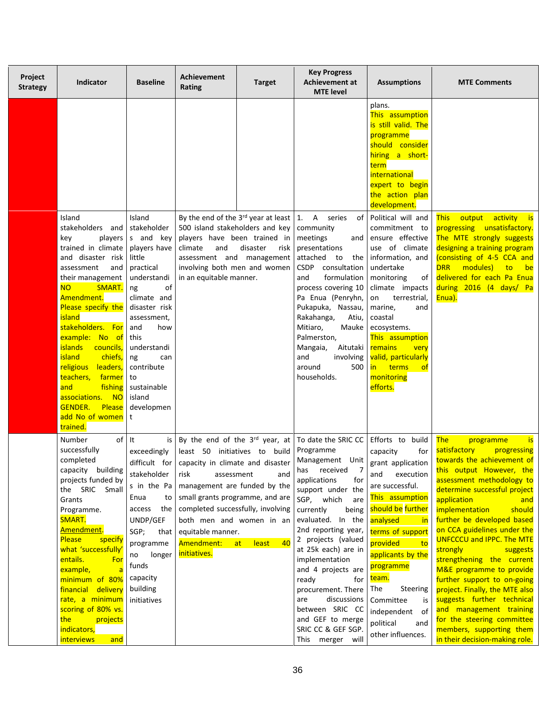| Project<br><b>Strategy</b> | <b>Indicator</b>                                                                                                                                                                                                                                                                                                                                                                             | <b>Baseline</b>                                                                                                                                                                                                                                            | <b>Achievement</b><br>Rating                                                                                                                                                                                                                  | <b>Target</b>            | <b>Key Progress</b><br><b>Achievement at</b><br><b>MTE</b> level                                                                                                                                                                                                                                                                                                                                    | <b>Assumptions</b>                                                                                                                                                                                                                                                                                                                                                                                                                                                                                                               | <b>MTE Comments</b>                                                                                                                                                                                                                                                                                                                                                                                                                                                                                                                                    |
|----------------------------|----------------------------------------------------------------------------------------------------------------------------------------------------------------------------------------------------------------------------------------------------------------------------------------------------------------------------------------------------------------------------------------------|------------------------------------------------------------------------------------------------------------------------------------------------------------------------------------------------------------------------------------------------------------|-----------------------------------------------------------------------------------------------------------------------------------------------------------------------------------------------------------------------------------------------|--------------------------|-----------------------------------------------------------------------------------------------------------------------------------------------------------------------------------------------------------------------------------------------------------------------------------------------------------------------------------------------------------------------------------------------------|----------------------------------------------------------------------------------------------------------------------------------------------------------------------------------------------------------------------------------------------------------------------------------------------------------------------------------------------------------------------------------------------------------------------------------------------------------------------------------------------------------------------------------|--------------------------------------------------------------------------------------------------------------------------------------------------------------------------------------------------------------------------------------------------------------------------------------------------------------------------------------------------------------------------------------------------------------------------------------------------------------------------------------------------------------------------------------------------------|
|                            | Island<br>stakeholders and<br>key<br>trained in climate<br>and disaster risk<br>assessment<br>and<br>their management<br><b>NO</b><br>SMART.<br>Amendment.<br>Please specify the<br>island<br>stakeholders. For<br>example: No of<br><b>islands</b><br>councils,<br><b>island</b><br>chiefs,<br>religious<br>leaders,<br>teachers,<br>farmer<br>fishing<br>and<br><b>NO</b><br>associations. | Island<br>stakeholder<br>players s and key<br>players have<br>little<br>practical<br>understandi<br>of<br>ng<br>climate and<br>disaster risk<br>assessment,<br>and<br>how<br>this<br>understandi<br>ng<br>can<br>contribute<br>to<br>sustainable<br>island | By the end of the $3^{rd}$ year at least 1.<br>500 island stakeholders and key<br>players have been trained in<br>climate<br>and<br>assessment and management<br>involving both men and women<br>in an equitable manner.                      | disaster<br>risk         | $\overline{A}$<br>series<br>of<br>community<br>meetings<br>and<br>presentations<br>attached to<br>the<br>CSDP consultation<br>and<br>formulation<br>process covering 10<br>Pa Enua (Penryhn,<br>Pukapuka, Nassau,<br>Rakahanga,<br>Atiu,<br>Mitiaro,<br>Mauke<br>Palmerston,<br>Mangaia,<br>Aitutaki<br>and<br>involving<br>around<br>500<br>households.                                            | plans.<br>This assumption<br>is still valid. The<br>programme<br>should consider<br>hiring a short-<br>term<br><i>international</i><br>expert to begin<br>the action plan<br>development.<br>Political will and<br>commitment to<br>ensure effective<br>use of climate<br>information, and<br>undertake<br>monitoring<br>οf<br>climate impacts<br>terrestrial,<br>on<br>marine,<br>and<br>coastal<br>ecosystems.<br>This assumption<br>remains<br>very<br>valid, particularly<br>in terms<br>$\circ$ f<br>monitoring<br>efforts. | <b>This</b><br>output activity is<br>progressing unsatisfactory.<br>The MTE strongly suggests<br>designing a training program<br>(consisting of 4-5 CCA and<br><b>DRR</b><br>modules)<br>to<br><b>be</b><br>delivered for each Pa Enua<br>during 2016 (4 days/ Pa<br>Enua).                                                                                                                                                                                                                                                                            |
|                            | <b>GENDER.</b><br>Please<br>add No of women<br>trained.<br>Number<br>of It<br>successfully<br>completed                                                                                                                                                                                                                                                                                      | developmen<br>t<br>is<br>exceedingly<br>difficult for                                                                                                                                                                                                      | By the end of the 3rd year, at<br>least 50 initiatives to build                                                                                                                                                                               |                          | To date the SRIC CC Efforts to build<br>Programme<br>Management Unit                                                                                                                                                                                                                                                                                                                                | capacity<br>for<br>grant application                                                                                                                                                                                                                                                                                                                                                                                                                                                                                             | <b>The</b><br><b>is</b><br>programme<br>satisfactory<br>progressing<br>towards the achievement of                                                                                                                                                                                                                                                                                                                                                                                                                                                      |
|                            | capacity building<br>projects funded by<br>the SRIC Small<br>Grants<br>Programme.<br>SMART.<br>Amendment.<br><b>Please</b><br>specify<br>what 'successfully'<br>entails.<br>For<br>example,<br>minimum of 80%<br>financial delivery<br>rate, a minimum<br>scoring of 80% vs.<br>the<br>projects<br>indicators,<br><i>interviews</i><br>and                                                   | stakeholder<br>s in the Pa<br>Enua<br>to<br>the<br>access<br>UNDP/GEF<br>SGP;<br>that<br>programme<br>longer<br>no<br>funds<br>capacity<br>building<br>initiatives                                                                                         | capacity in climate and disaster<br>risk<br>assessment<br>management are funded by the<br>small grants programme, and are<br>completed successfully, involving<br>both men and women in an<br>equitable manner.<br>Amendment:<br>initiatives. | and<br>least<br>40<br>at | has received<br>$\overline{7}$<br>applications<br>for<br>support under the<br>SGP, which<br>are<br>currently<br>being<br>evaluated. In the<br>2nd reporting year,<br>2 projects (valued<br>at 25k each) are in<br>implementation<br>and 4 projects are<br>ready<br>for<br>procurement. There<br>discussions<br>are<br>between SRIC CC<br>and GEF to merge<br>SRIC CC & GEF SGP.<br>This merger will | execution<br>and<br>are successful.<br>This assumption<br>should be further<br>analysed<br><u>in</u><br>terms of support<br>provided<br>to<br>applicants by the<br>programme<br>team.<br>The<br>Steering<br>Committee<br>is<br>independent of<br>political<br>and<br>other influences.                                                                                                                                                                                                                                           | this output However, the<br>assessment methodology to<br>determine successful project<br>application<br>and<br><i>implementation</i><br>should<br>further be developed based<br>on CCA guidelines under the<br><b>UNFCCCU and IPPC. The MTE</b><br>strongly<br>suggests<br>strengthening the current<br>M&E programme to provide<br>further support to on-going<br>project. Finally, the MTE also<br>suggests further technical<br>and management training<br>for the steering committee<br>members, supporting them<br>in their decision-making role. |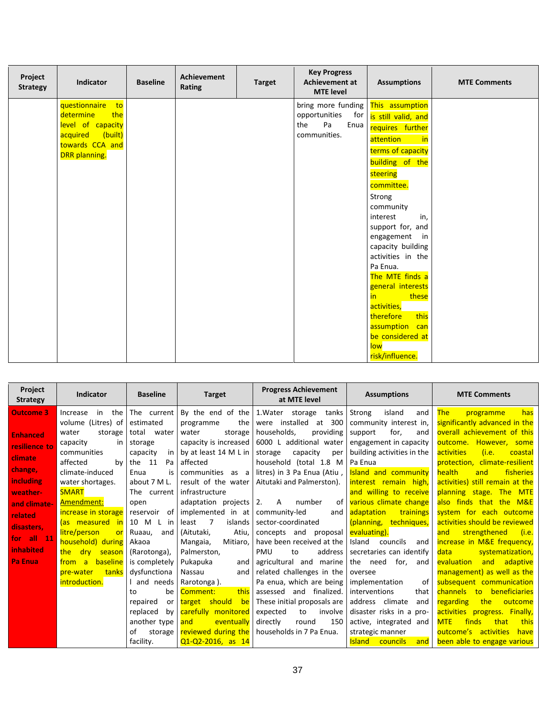| Project<br><b>Strategy</b> | Indicator           | <b>Baseline</b> | <b>Achievement</b><br>Rating | <b>Target</b> | <b>Key Progress</b><br><b>Achievement at</b><br><b>MTE</b> level | <b>Assumptions</b>                    | <b>MTE Comments</b> |
|----------------------------|---------------------|-----------------|------------------------------|---------------|------------------------------------------------------------------|---------------------------------------|---------------------|
|                            | questionnaire<br>to |                 |                              |               | bring more funding                                               | This assumption                       |                     |
|                            | determine<br>the    |                 |                              |               | opportunities<br>for                                             | is still valid, and                   |                     |
|                            | level of capacity   |                 |                              |               | Pa<br>Enua<br>the                                                | requires further                      |                     |
|                            | (built)<br>acquired |                 |                              |               | communities.                                                     | attention<br>$\overline{\mathsf{in}}$ |                     |
|                            | towards CCA and     |                 |                              |               |                                                                  | terms of capacity                     |                     |
|                            | DRR planning.       |                 |                              |               |                                                                  | building of the                       |                     |
|                            |                     |                 |                              |               |                                                                  | steering                              |                     |
|                            |                     |                 |                              |               |                                                                  | committee.                            |                     |
|                            |                     |                 |                              |               |                                                                  | Strong                                |                     |
|                            |                     |                 |                              |               |                                                                  | community                             |                     |
|                            |                     |                 |                              |               |                                                                  | interest<br>in,                       |                     |
|                            |                     |                 |                              |               |                                                                  | support for, and                      |                     |
|                            |                     |                 |                              |               |                                                                  | engagement in                         |                     |
|                            |                     |                 |                              |               |                                                                  | capacity building                     |                     |
|                            |                     |                 |                              |               |                                                                  | activities in the                     |                     |
|                            |                     |                 |                              |               |                                                                  | Pa Enua.                              |                     |
|                            |                     |                 |                              |               |                                                                  | The MTE finds a                       |                     |
|                            |                     |                 |                              |               |                                                                  | general interests                     |                     |
|                            |                     |                 |                              |               |                                                                  | in.<br>these                          |                     |
|                            |                     |                 |                              |               |                                                                  | activities,                           |                     |
|                            |                     |                 |                              |               |                                                                  | therefore<br>this                     |                     |
|                            |                     |                 |                              |               |                                                                  | assumption can                        |                     |
|                            |                     |                 |                              |               |                                                                  | be considered at                      |                     |
|                            |                     |                 |                              |               |                                                                  | low                                   |                     |
|                            |                     |                 |                              |               |                                                                  | risk/influence.                       |                     |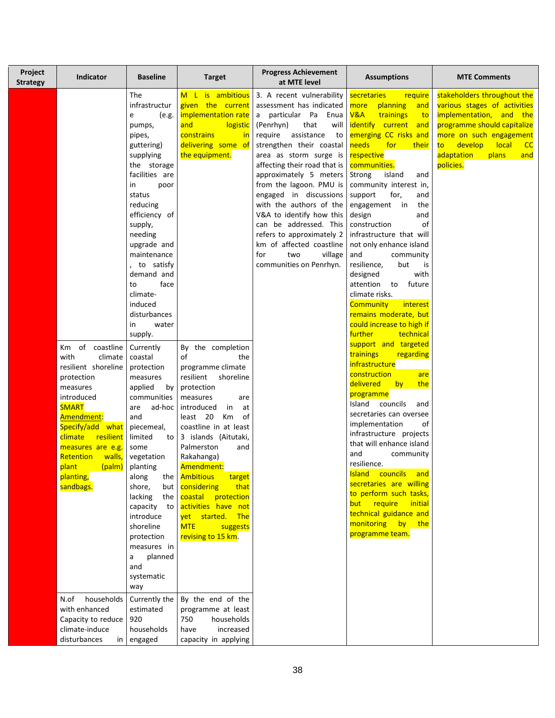| Project<br><b>Strategy</b> | <b>Indicator</b>                                                                                                                                                                                                                                                                            | <b>Baseline</b>                                                                                                                                                                                                                                                                                                                                                                                                                                                                                                                                                                                                                                                                                    | <b>Target</b>                                                                                                                                                                                                                                                                                                                                                                                                                                                                                                                                                                                                     | <b>Progress Achievement</b><br>at MTE level                                                                                                                                                                                                                                                                                                                                                                                                                                                               | <b>Assumptions</b>                                                                                                                                                                                                                                                                                                                                                                                                                                                                                                                                                                                                                                                                                                                                                                                                                                                                                                                                                                                                                                                                                       | <b>MTE Comments</b>                                                                                                                                                                                                                                           |
|----------------------------|---------------------------------------------------------------------------------------------------------------------------------------------------------------------------------------------------------------------------------------------------------------------------------------------|----------------------------------------------------------------------------------------------------------------------------------------------------------------------------------------------------------------------------------------------------------------------------------------------------------------------------------------------------------------------------------------------------------------------------------------------------------------------------------------------------------------------------------------------------------------------------------------------------------------------------------------------------------------------------------------------------|-------------------------------------------------------------------------------------------------------------------------------------------------------------------------------------------------------------------------------------------------------------------------------------------------------------------------------------------------------------------------------------------------------------------------------------------------------------------------------------------------------------------------------------------------------------------------------------------------------------------|-----------------------------------------------------------------------------------------------------------------------------------------------------------------------------------------------------------------------------------------------------------------------------------------------------------------------------------------------------------------------------------------------------------------------------------------------------------------------------------------------------------|----------------------------------------------------------------------------------------------------------------------------------------------------------------------------------------------------------------------------------------------------------------------------------------------------------------------------------------------------------------------------------------------------------------------------------------------------------------------------------------------------------------------------------------------------------------------------------------------------------------------------------------------------------------------------------------------------------------------------------------------------------------------------------------------------------------------------------------------------------------------------------------------------------------------------------------------------------------------------------------------------------------------------------------------------------------------------------------------------------|---------------------------------------------------------------------------------------------------------------------------------------------------------------------------------------------------------------------------------------------------------------|
|                            | Km of coastline<br>with<br>climate<br>resilient shoreline<br>protection<br>measures<br>introduced<br><b>SMART</b><br>Amendment:<br>Specify/add what<br>climate resilient<br>measures are e.g.<br><b>Retention</b> walls,<br>plant<br>(palm)<br>planting,<br>sandbags.<br>households<br>N.of | The<br>infrastructur<br>(e.g.<br>e<br>pumps,<br>pipes,<br>guttering)<br>supplying<br>the storage<br>facilities are<br>in<br>poor<br>status<br>reducing<br>efficiency of<br>supply,<br>needing<br>upgrade and<br>maintenance<br>, to satisfy<br>demand and<br>face<br>to<br>climate-<br>induced<br>disturbances<br>water<br>in<br>supply.<br>Currently<br>coastal<br>protection<br>measures<br>applied<br>by<br>communities<br>ad-hoc<br>are<br>and<br>piecemeal,<br>limited<br>to<br>some<br>vegetation<br>planting<br>along<br>shore,<br>but<br>lacking<br>the<br>capacity to<br>introduce<br>shoreline<br>protection<br>measures in<br>planned<br>a<br>and<br>systematic<br>way<br>Currently the | M L is ambitious<br>given the current<br>implementation rate<br>and<br>logistic<br>constrains<br><u>in</u><br>delivering some of<br>the equipment.<br>By the completion<br>of<br>the<br>programme climate<br>resilient<br>shoreline<br>protection<br>measures<br>are<br>introduced<br>in<br>at<br>least 20 Km<br>0f<br>coastline in at least<br>3 islands (Aitutaki,<br>Palmerston<br>and<br>Rakahanga)<br>Amendment:<br>the   Ambitious<br>target<br>  considering<br>that<br>coastal protection<br>activities have not<br>yet started. The<br><b>MTE</b><br>suggests<br>revising to 15 km.<br>By the end of the | 3. A recent vulnerability<br>assessment has indicated<br>a particular Pa Enua<br>that<br>(Penrhyn)<br>will<br>require assistance<br>to<br>strengthen their coastal<br>area as storm surge is<br>affecting their road that is<br>approximately 5 meters<br>from the lagoon. PMU is<br>engaged in discussions<br>with the authors of the<br>V&A to identify how this<br>can be addressed. This<br>refers to approximately 2<br>km of affected coastline<br>for<br>two<br>village<br>communities on Penrhyn. | secretaries<br>require<br>more<br>planning<br>and<br>V&A<br>trainings<br>to<br>identify current and<br>emerging CC risks and<br>needs<br>for<br><b>their</b><br>respective<br>communities.<br>Strong<br>island<br>and<br>community interest in,<br>support<br>for,<br>and<br>engagement in<br>the<br>design<br>and<br>of<br>construction<br>infrastructure that will<br>not only enhance island<br>and<br>community<br>resilience,<br>but<br>is<br>designed<br>with<br>attention to future<br>climate risks.<br><b>Community</b><br>interest<br>remains moderate, but<br>could increase to high if<br>further<br>technical<br>support and targeted<br>trainings<br>regarding<br>infrastructure<br>construction<br>are<br>delivered<br>by<br>the<br>programme<br>Island councils<br>and<br>secretaries can oversee<br>implementation<br>of<br>infrastructure projects<br>that will enhance island<br>and<br>community<br>resilience.<br>Island councils and<br>secretaries are willing<br>to perform such tasks,<br>but require initial<br>technical guidance and<br>monitoring by the<br>programme team. | stakeholders throughout the<br>various stages of activities<br>implementation, and the<br>programme should capitalize<br>more on such engagement<br>develop<br><b>local</b><br>$\overline{\phantom{a}}$ CC<br>to l<br>adaptation<br>plans<br>and<br>policies. |
|                            | with enhanced<br>Capacity to reduce<br>climate-induce<br>disturbances<br>in                                                                                                                                                                                                                 | estimated<br>920<br>households<br>engaged                                                                                                                                                                                                                                                                                                                                                                                                                                                                                                                                                                                                                                                          | programme at least<br>750<br>households<br>increased<br>have<br>capacity in applying                                                                                                                                                                                                                                                                                                                                                                                                                                                                                                                              |                                                                                                                                                                                                                                                                                                                                                                                                                                                                                                           |                                                                                                                                                                                                                                                                                                                                                                                                                                                                                                                                                                                                                                                                                                                                                                                                                                                                                                                                                                                                                                                                                                          |                                                                                                                                                                                                                                                               |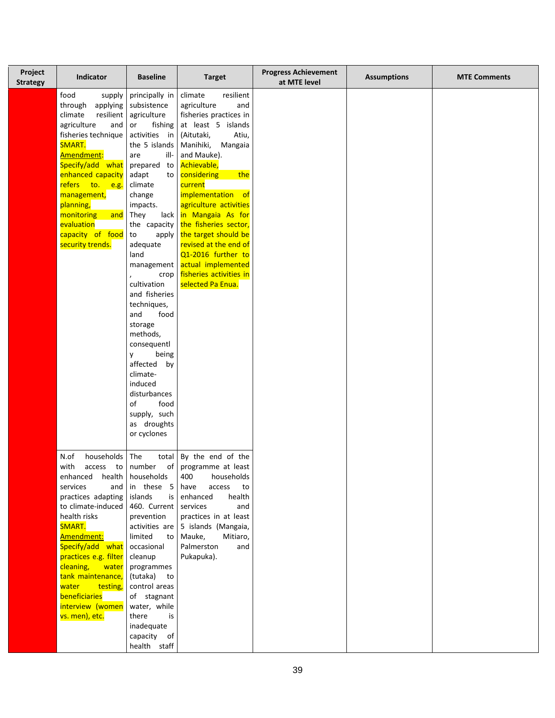| Project<br><b>Strategy</b> | Indicator                                                                                                                                                                                                                                                                                                                                     | <b>Baseline</b>                                                                                                                                                                                                                                                                                                                                                                                                                                                                                                  | <b>Target</b>                                                                                                                                                                                                                                                                                                                                                                                                                                      | <b>Progress Achievement</b><br>at MTE level | <b>Assumptions</b> | <b>MTE Comments</b> |
|----------------------------|-----------------------------------------------------------------------------------------------------------------------------------------------------------------------------------------------------------------------------------------------------------------------------------------------------------------------------------------------|------------------------------------------------------------------------------------------------------------------------------------------------------------------------------------------------------------------------------------------------------------------------------------------------------------------------------------------------------------------------------------------------------------------------------------------------------------------------------------------------------------------|----------------------------------------------------------------------------------------------------------------------------------------------------------------------------------------------------------------------------------------------------------------------------------------------------------------------------------------------------------------------------------------------------------------------------------------------------|---------------------------------------------|--------------------|---------------------|
|                            | food<br>supply<br>through<br>applying<br>climate<br>resilient<br>agriculture<br>and<br>fisheries technique<br>SMART.<br>Amendment:<br>Specify/add what<br>enhanced capacity<br>refers to. e.g.<br>management,<br>planning,<br>monitoring<br>and<br>evaluation<br>capacity of food<br>security trends.                                         | principally in<br>subsistence<br>agriculture<br>fishing<br>or<br>activities in<br>the 5 islands<br>ill-<br>are<br>prepared to<br>adapt<br>to I<br>climate<br>change<br>impacts.<br>They<br>lack  <br>the capacity<br>apply<br>to<br>adequate<br>land<br>management  <br>crop<br>cultivation<br>and fisheries<br>techniques,<br>and<br>food<br>storage<br>methods,<br>consequentl<br>being<br>y<br>affected by<br>climate-<br>induced<br>disturbances<br>food<br>of<br>supply, such<br>as droughts<br>or cyclones | climate<br>resilient<br>agriculture<br>and<br>fisheries practices in<br>at least 5 islands<br>(Aitutaki,<br>Atiu,<br>Manihiki,<br>Mangaia<br>and Mauke).<br>Achievable,<br>considering<br>the<br>current<br>implementation of<br>agriculture activities<br>in Mangaia As for<br>the fisheries sector,<br>the target should be<br>revised at the end of<br>Q1-2016 further to<br>actual implemented<br>fisheries activities in<br>selected Pa Enua. |                                             |                    |                     |
|                            | N.of<br>households<br>with<br>access<br>to<br>enhanced<br>health  <br>services<br>and<br>practices adapting<br>to climate-induced<br>health risks<br>SMART.<br>Amendment:<br>Specify/add what<br>practices e.g. filter<br>cleaning,<br>water<br>tank maintenance,<br>water<br>testing,<br>beneficiaries<br>interview (women<br>vs. men), etc. | The<br>total<br>of<br>number<br>households<br>in these 5<br>islands<br>is<br>460. Current<br>prevention<br>activities are<br>limited<br>to<br>occasional<br>cleanup<br>programmes<br>(tutaka) to<br>control areas<br>of stagnant<br>water, while<br>there<br>is<br>inadequate<br>capacity of<br>health staff                                                                                                                                                                                                     | By the end of the<br>programme at least<br>households<br>400<br>access<br>have<br>to<br>enhanced<br>health<br>services<br>and<br>practices in at least<br>5 islands (Mangaia,<br>Mauke,<br>Mitiaro,<br>Palmerston<br>and<br>Pukapuka).                                                                                                                                                                                                             |                                             |                    |                     |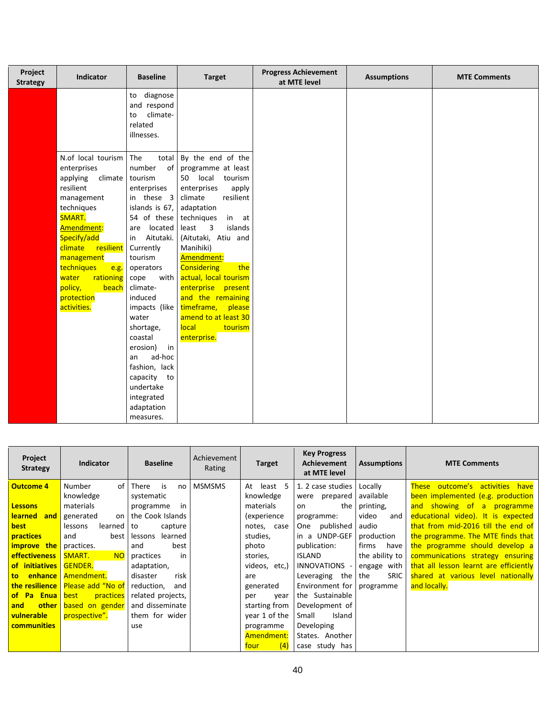| Project<br><b>Strategy</b> | <b>Indicator</b>          | <b>Baseline</b>                   | <b>Target</b>                                | <b>Progress Achievement</b><br>at MTE level | <b>Assumptions</b> | <b>MTE Comments</b> |
|----------------------------|---------------------------|-----------------------------------|----------------------------------------------|---------------------------------------------|--------------------|---------------------|
|                            |                           | diagnose<br>to                    |                                              |                                             |                    |                     |
|                            |                           | and respond                       |                                              |                                             |                    |                     |
|                            |                           | climate-<br>to<br>related         |                                              |                                             |                    |                     |
|                            |                           | illnesses.                        |                                              |                                             |                    |                     |
|                            |                           |                                   |                                              |                                             |                    |                     |
|                            | N.of local tourism        | The<br>total                      | By the end of the                            |                                             |                    |                     |
|                            | enterprises               | number<br>of                      | programme at least                           |                                             |                    |                     |
|                            | applying<br>climate       | tourism                           | 50 local<br>tourism                          |                                             |                    |                     |
|                            | resilient                 | enterprises                       | enterprises<br>apply                         |                                             |                    |                     |
|                            | management                | in these 3                        | climate<br>resilient                         |                                             |                    |                     |
|                            | techniques                | islands is 67,                    | adaptation                                   |                                             |                    |                     |
|                            | SMART.                    | 54 of these                       | techniques<br>in at                          |                                             |                    |                     |
|                            | Amendment:<br>Specify/add | located<br>are<br>Aitutaki.<br>in | least<br>3<br>islands<br>(Aitutaki, Atiu and |                                             |                    |                     |
|                            | climate<br>resilient      | Currently                         | Manihiki)                                    |                                             |                    |                     |
|                            | management                | tourism                           | Amendment:                                   |                                             |                    |                     |
|                            | techniques<br>e.g.        | operators                         | the<br><b>Considering</b>                    |                                             |                    |                     |
|                            | rationing<br>water        | with<br>cope                      | actual, local tourism                        |                                             |                    |                     |
|                            | policy,<br>beach          | climate-                          | enterprise present                           |                                             |                    |                     |
|                            | protection                | induced                           | and the remaining                            |                                             |                    |                     |
|                            | activities.               | impacts (like                     | timeframe,<br>please                         |                                             |                    |                     |
|                            |                           | water                             | amend to at least 30                         |                                             |                    |                     |
|                            |                           | shortage,                         | local<br>tourism                             |                                             |                    |                     |
|                            |                           | coastal                           | enterprise.                                  |                                             |                    |                     |
|                            |                           | erosion)<br>in                    |                                              |                                             |                    |                     |
|                            |                           | ad-hoc<br>an                      |                                              |                                             |                    |                     |
|                            |                           | fashion, lack                     |                                              |                                             |                    |                     |
|                            |                           | capacity to<br>undertake          |                                              |                                             |                    |                     |
|                            |                           | integrated                        |                                              |                                             |                    |                     |
|                            |                           | adaptation                        |                                              |                                             |                    |                     |
|                            |                           | measures.                         |                                              |                                             |                    |                     |

| Project<br><b>Strategy</b> | <b>Indicator</b>                          | <b>Baseline</b>    | Achievement<br>Rating | <b>Target</b>    | <b>Key Progress</b><br><b>Achievement</b><br>at MTE level | <b>Assumptions</b> | <b>MTE Comments</b>                       |
|----------------------------|-------------------------------------------|--------------------|-----------------------|------------------|-----------------------------------------------------------|--------------------|-------------------------------------------|
| Outcome 4                  | Number<br>of I                            | There<br>is<br>no  | <b>MSMSMS</b>         | least<br>5<br>At | 1. 2 case studies                                         | Locally            | outcome's activities have<br><b>These</b> |
|                            | knowledge                                 | systematic         |                       | knowledge        | were prepared                                             | available          | been implemented (e.g. production         |
| <b>Lessons</b>             | materials                                 | in<br>programme    |                       | materials        | the<br><sub>on</sub>                                      | printing,          | and showing of<br>a programme             |
| <b>learned</b><br>and I    | generated<br>on I                         | the Cook Islands   |                       | (experience      | programme:                                                | video<br>and       | educational video). It is expected        |
| best                       | lessons<br>learned                        | capture<br>to      |                       | notes, case      | One published                                             | audio              | that from mid-2016 till the end of        |
| <b>practices</b>           | and<br>best l                             | learned<br>lessons |                       | studies,         | in a UNDP-GEF                                             | production         | the programme. The MTE finds that         |
| improve the                | practices.                                | best<br>and        |                       | photo            | publication:                                              | firms<br>have      | the programme should develop a            |
| <b>effectiveness</b>       | SMART.<br><b>NO</b>                       | practices<br>in    |                       | stories,         | <b>ISLAND</b>                                             | the ability to     | communications strategy ensuring          |
| of initiatives             | <b>GENDER.</b>                            | adaptation,        |                       | videos, etc,)    | INNOVATIONS -                                             | engage with        | that all lesson learnt are efficiently    |
| <b>to</b>                  | <b>enhance</b> Amendment.                 | disaster<br>risk   |                       | are              | Leveraging the                                            | <b>SRIC</b><br>the | shared at various level nationally        |
|                            | <b>the resilience</b>   Please add "No of | reduction,<br>and  |                       | generated        | Environment for                                           | programme          | and locally.                              |
| of Pa<br><b>Enua</b> best  | practices                                 | related projects,  |                       | year<br>per      | the Sustainable                                           |                    |                                           |
| and                        | other based on gender                     | and disseminate    |                       | starting from    | Development of                                            |                    |                                           |
| vulnerable                 | prospective".                             | them for wider     |                       | year 1 of the    | Island<br>Small                                           |                    |                                           |
| <b>communities</b>         |                                           | use                |                       | programme        | Developing                                                |                    |                                           |
|                            |                                           |                    |                       | Amendment:       | States. Another                                           |                    |                                           |
|                            |                                           |                    |                       | (4)<br>four.     | case study has                                            |                    |                                           |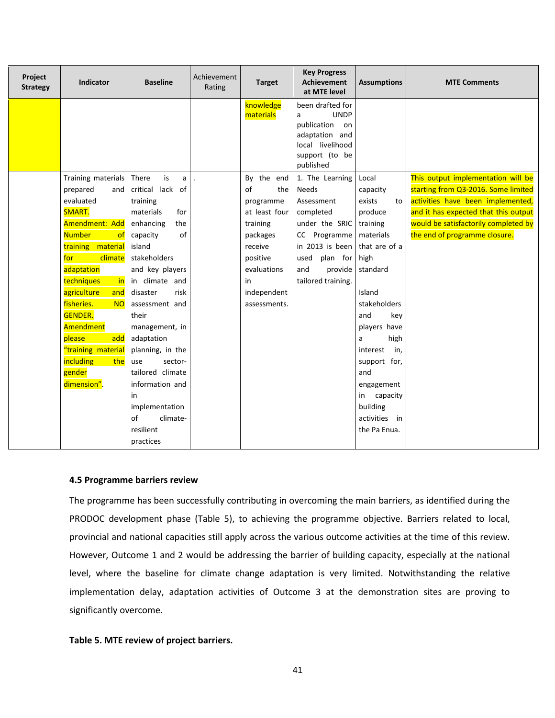| Project<br><b>Strategy</b> | <b>Indicator</b>           | <b>Baseline</b>             | Achievement<br>Rating | <b>Target</b>          | <b>Key Progress</b><br><b>Achievement</b><br>at MTE level                                                                      | <b>Assumptions</b>           | <b>MTE Comments</b>                  |
|----------------------------|----------------------------|-----------------------------|-----------------------|------------------------|--------------------------------------------------------------------------------------------------------------------------------|------------------------------|--------------------------------------|
|                            |                            |                             |                       | knowledge<br>materials | been drafted for<br><b>UNDP</b><br>a<br>publication<br>on<br>adaptation and<br>local livelihood<br>support (to be<br>published |                              |                                      |
|                            | Training materials         | is<br>There<br>a            | $\overline{a}$        | By the end             | 1. The Learning                                                                                                                | Local                        | This output implementation will be   |
|                            | prepared<br>and            | lack of<br>critical         |                       | $\sigma$ f<br>the      | <b>Needs</b>                                                                                                                   | capacity                     | starting from Q3-2016. Some limited  |
|                            | evaluated                  | training                    |                       | programme              | Assessment                                                                                                                     | exists<br>to                 | activities have been implemented,    |
|                            | SMART.                     | materials<br>for            |                       | at least four          | completed                                                                                                                      | produce                      | and it has expected that this output |
|                            | Amendment: Add             | enhancing<br>the            |                       | training               | under the SRIC training                                                                                                        |                              | would be satisfactorily completed by |
|                            | <b>Number</b><br>-of       | of<br>capacity              |                       | packages               | CC Programme   materials                                                                                                       |                              | the end of programme closure.        |
|                            | training material          | island                      |                       | receive                | in 2013 is been that are of a                                                                                                  |                              |                                      |
|                            | climate<br>for             | stakeholders                |                       | positive               | used<br>plan for                                                                                                               | high                         |                                      |
|                            | adaptation                 | and key players             |                       | evaluations            | and<br>provide                                                                                                                 | standard                     |                                      |
|                            | techniques<br>in           | in climate and              |                       | in                     | tailored training.                                                                                                             |                              |                                      |
|                            | agriculture<br>and         | disaster<br>risk            |                       | independent            |                                                                                                                                | Island                       |                                      |
|                            | fisheries.<br><b>NO</b>    | assessment and              |                       | assessments.           |                                                                                                                                | stakeholders                 |                                      |
|                            | <b>GENDER.</b>             | their                       |                       |                        |                                                                                                                                | and<br>key                   |                                      |
|                            | Amendment                  | management, in              |                       |                        |                                                                                                                                | players have                 |                                      |
|                            | please<br>add              | adaptation                  |                       |                        |                                                                                                                                | high<br>a                    |                                      |
|                            | "training material         | planning, in the<br>sector- |                       |                        |                                                                                                                                | interest<br>in,              |                                      |
|                            | including<br>the<br>gender | use<br>tailored climate     |                       |                        |                                                                                                                                | support for,<br>and          |                                      |
|                            | dimension".                | information and             |                       |                        |                                                                                                                                |                              |                                      |
|                            |                            | in                          |                       |                        |                                                                                                                                | engagement<br>capacity<br>in |                                      |
|                            |                            | implementation              |                       |                        |                                                                                                                                | building                     |                                      |
|                            |                            | of<br>climate-              |                       |                        |                                                                                                                                | activities in                |                                      |
|                            |                            | resilient                   |                       |                        |                                                                                                                                | the Pa Enua.                 |                                      |
|                            |                            | practices                   |                       |                        |                                                                                                                                |                              |                                      |
|                            |                            |                             |                       |                        |                                                                                                                                |                              |                                      |

# **4.5 Programme barriers review**

The programme has been successfully contributing in overcoming the main barriers, as identified during the PRODOC development phase (Table 5), to achieving the programme objective. Barriers related to local, provincial and national capacities still apply across the various outcome activities at the time of this review. However, Outcome 1 and 2 would be addressing the barrier of building capacity, especially at the national level, where the baseline for climate change adaptation is very limited. Notwithstanding the relative implementation delay, adaptation activities of Outcome 3 at the demonstration sites are proving to significantly overcome.

# **Table 5. MTE review of project barriers.**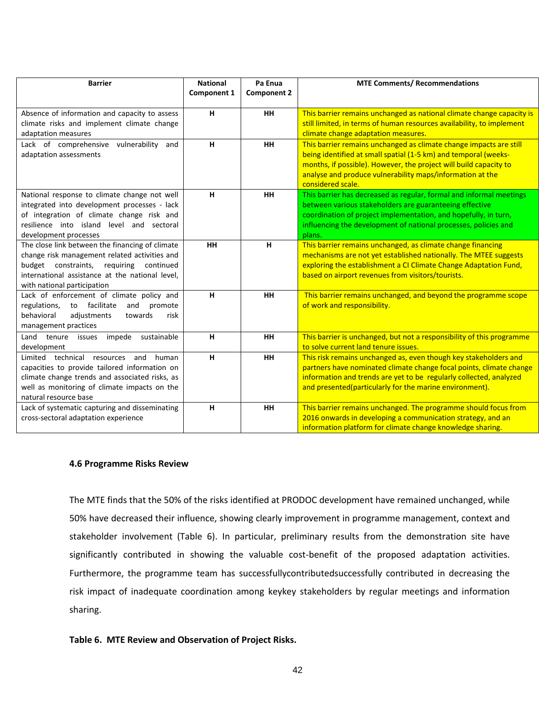| <b>Barrier</b>                                                                                                                                                                                                                | <b>National</b> | Pa Enua            | <b>MTE Comments/ Recommendations</b>                                                                                                                                                                                                                                                         |
|-------------------------------------------------------------------------------------------------------------------------------------------------------------------------------------------------------------------------------|-----------------|--------------------|----------------------------------------------------------------------------------------------------------------------------------------------------------------------------------------------------------------------------------------------------------------------------------------------|
|                                                                                                                                                                                                                               | Component 1     | <b>Component 2</b> |                                                                                                                                                                                                                                                                                              |
| Absence of information and capacity to assess<br>climate risks and implement climate change<br>adaptation measures                                                                                                            | н               | <b>HH</b>          | This barrier remains unchanged as national climate change capacity is<br>still limited, in terms of human resources availability, to implement<br>climate change adaptation measures.                                                                                                        |
| Lack of comprehensive vulnerability<br>and<br>adaptation assessments                                                                                                                                                          | н               | <b>HH</b>          | This barrier remains unchanged as climate change impacts are still<br>being identified at small spatial (1-5 km) and temporal (weeks-<br>months, if possible). However, the project will build capacity to<br>analyse and produce vulnerability maps/information at the<br>considered scale. |
| National response to climate change not well<br>integrated into development processes - lack<br>of integration of climate change risk and<br>resilience into island level and sectoral<br>development processes               | н               | <b>HH</b>          | This barrier has decreased as regular, formal and informal meetings<br>between various stakeholders are guaranteeing effective<br>coordination of project implementation, and hopefully, in turn,<br>influencing the development of national processes, policies and<br>plans.               |
| The close link between the financing of climate<br>change risk management related activities and<br>budget constraints, requiring continued<br>international assistance at the national level.<br>with national participation | <b>HH</b>       | н                  | This barrier remains unchanged, as climate change financing<br>mechanisms are not yet established nationally. The MTEE suggests<br>exploring the establishment a CI Climate Change Adaptation Fund,<br>based on airport revenues from visitors/tourists.                                     |
| Lack of enforcement of climate policy and<br>regulations,<br>facilitate<br>and<br>promote<br>to<br>behavioral<br>risk<br>adjustments<br>towards<br>management practices                                                       | н               | <b>HH</b>          | This barrier remains unchanged, and beyond the programme scope<br>of work and responsibility.                                                                                                                                                                                                |
| Land tenure<br>impede<br>sustainable<br>issues<br>development                                                                                                                                                                 | н               | <b>HH</b>          | This barrier is unchanged, but not a responsibility of this programme<br>to solve current land tenure issues.                                                                                                                                                                                |
| Limited technical resources<br>and<br>human<br>capacities to provide tailored information on<br>climate change trends and associated risks, as<br>well as monitoring of climate impacts on the<br>natural resource base       | H               | HH                 | This risk remains unchanged as, even though key stakeholders and<br>partners have nominated climate change focal points, climate change<br>information and trends are yet to be regularly collected, analyzed<br>and presented(particularly for the marine environment).                     |
| Lack of systematic capturing and disseminating<br>cross-sectoral adaptation experience                                                                                                                                        | н               | <b>HH</b>          | This barrier remains unchanged. The programme should focus from<br>2016 onwards in developing a communication strategy, and an<br>information platform for climate change knowledge sharing.                                                                                                 |

# **4.6 Programme Risks Review**

The MTE finds that the 50% of the risks identified at PRODOC development have remained unchanged, while 50% have decreased their influence, showing clearly improvement in programme management, context and stakeholder involvement (Table 6). In particular, preliminary results from the demonstration site have significantly contributed in showing the valuable cost-benefit of the proposed adaptation activities. Furthermore, the programme team has successfullycontributedsuccessfully contributed in decreasing the risk impact of inadequate coordination among keykey stakeholders by regular meetings and information sharing.

# **Table 6. MTE Review and Observation of Project Risks.**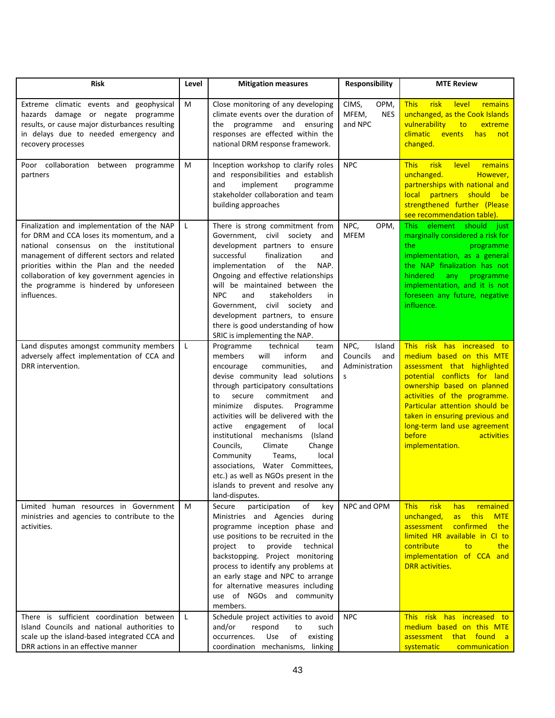| <b>Risk</b>                                                                                                                                                                                                                                                                                                                             |   | <b>Mitigation measures</b>                                                                                                                                                                                                                                                                                                                                                                                                                                                                                                                                                              | Responsibility                                           | <b>MTE Review</b>                                                                                                                                                                                                                                                                                                                  |
|-----------------------------------------------------------------------------------------------------------------------------------------------------------------------------------------------------------------------------------------------------------------------------------------------------------------------------------------|---|-----------------------------------------------------------------------------------------------------------------------------------------------------------------------------------------------------------------------------------------------------------------------------------------------------------------------------------------------------------------------------------------------------------------------------------------------------------------------------------------------------------------------------------------------------------------------------------------|----------------------------------------------------------|------------------------------------------------------------------------------------------------------------------------------------------------------------------------------------------------------------------------------------------------------------------------------------------------------------------------------------|
| Extreme climatic events and geophysical<br>hazards damage or negate programme<br>results, or cause major disturbances resulting<br>in delays due to needed emergency and<br>recovery processes                                                                                                                                          | М | Close monitoring of any developing<br>climate events over the duration of<br>the programme and ensuring<br>responses are effected within the<br>national DRM response framework.                                                                                                                                                                                                                                                                                                                                                                                                        | OPM,<br>CIMS,<br>MFEM,<br><b>NES</b><br>and NPC          | <b>This</b><br>risk<br>level<br>remains<br>unchanged, as the Cook Islands<br>vulnerability<br>extreme<br>to<br>climatic<br>events<br>has<br>not<br>changed.                                                                                                                                                                        |
| Poor collaboration<br>between<br>programme<br>partners                                                                                                                                                                                                                                                                                  | М | Inception workshop to clarify roles<br>and responsibilities and establish<br>implement<br>programme<br>and<br>stakeholder collaboration and team<br>building approaches                                                                                                                                                                                                                                                                                                                                                                                                                 | <b>NPC</b>                                               | risk<br><b>This</b><br>level<br>remains<br>unchanged.<br>However,<br>partnerships with national and<br>local partners should<br>be <b>be</b><br>strengthened further (Please<br>see recommendation table).                                                                                                                         |
| Finalization and implementation of the NAP<br>for DRM and CCA loses its momentum, and a<br>national consensus on the institutional<br>management of different sectors and related<br>priorities within the Plan and the needed<br>collaboration of key government agencies in<br>the programme is hindered by unforeseen<br>influences. | L | There is strong commitment from<br>Government,<br>civil society<br>and<br>development partners to ensure<br>successful<br>finalization<br>and<br>of the<br>implementation<br>NAP.<br>Ongoing and effective relationships<br>will be maintained between the<br>stakeholders<br>NPC<br>and<br>in<br>civil society<br>Government,<br>and<br>development partners, to ensure<br>there is good understanding of how<br>SRIC is implementing the NAP.                                                                                                                                         | NPC,<br>OPM,<br>MFEM                                     | element should just<br>This -<br>marginally considered a risk for<br>the<br>programme<br>implementation, as a general<br>the NAP finalization has not<br>hindered<br>any and<br>programme<br>implementation, and it is not<br>foreseen any future, negative<br>influence.                                                          |
| Land disputes amongst community members<br>adversely affect implementation of CCA and<br>DRR intervention.                                                                                                                                                                                                                              | L | Programme<br>technical<br>team<br>will<br>inform<br>members<br>and<br>communities,<br>encourage<br>and<br>devise community lead solutions<br>through participatory consultations<br>commitment<br>to<br>secure<br>and<br>minimize<br>disputes.<br>Programme<br>activities will be delivered with the<br>engagement<br>local<br>active<br>οf<br>institutional mechanisms<br>(Island<br>Councils,<br>Climate<br>Change<br>local<br>Community<br>Teams,<br>associations, Water Committees,<br>etc.) as well as NGOs present in the<br>islands to prevent and resolve any<br>land-disputes. | NPC,<br>Island<br>Councils<br>and<br>Administration<br>S | This risk has increased to<br>medium based on this MTE<br>assessment that highlighted<br>potential conflicts for land<br>ownership based on planned<br>activities of the programme.<br>Particular attention should be<br>taken in ensuring previous and<br>long-term land use agreement<br>before<br>activities<br>implementation. |
| Limited human resources in Government<br>ministries and agencies to contribute to the<br>activities.                                                                                                                                                                                                                                    | M | of<br>Secure<br>participation<br>key<br>Ministries and Agencies during<br>programme inception phase and<br>use positions to be recruited in the<br>project<br>to<br>provide<br>technical<br>Project monitoring<br>backstopping.<br>process to identify any problems at<br>an early stage and NPC to arrange<br>for alternative measures including<br>use of NGOs and community<br>members.                                                                                                                                                                                              | NPC and OPM                                              | <b>This</b><br>risk<br>remained<br>has<br>unchanged,<br>this<br>as<br><b>MTE</b><br>confirmed<br>assessment<br>the<br>limited HR available in CI to<br>contribute<br>to<br>the<br>implementation of CCA and<br><b>DRR</b> activities.                                                                                              |
| There is sufficient coordination between<br>Island Councils and national authorities to<br>scale up the island-based integrated CCA and<br>DRR actions in an effective manner                                                                                                                                                           | L | Schedule project activities to avoid<br>and/or<br>respond<br>to<br>such<br>Use<br>of<br>occurrences.<br>existing<br>coordination mechanisms, linking                                                                                                                                                                                                                                                                                                                                                                                                                                    | <b>NPC</b>                                               | This risk has increased to<br>medium based on this MTE<br>assessment that found a<br>systematic<br>communication                                                                                                                                                                                                                   |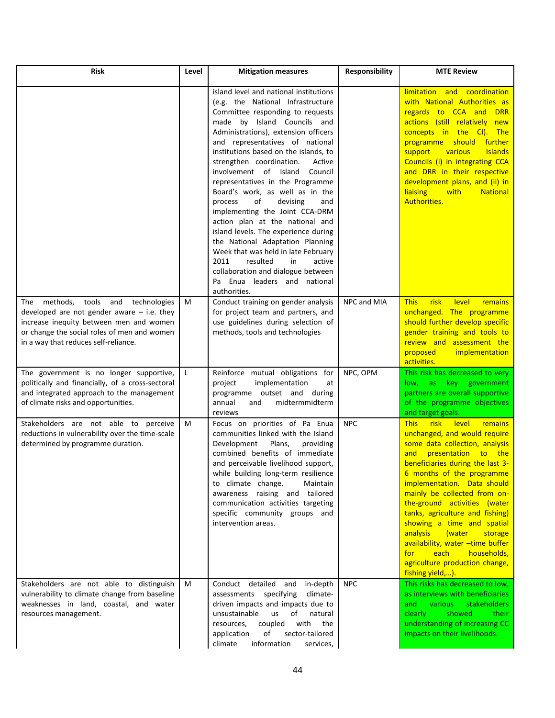| <b>Risk</b>                                                                                                                                                                                                              | Level | <b>Mitigation measures</b>                                                                                                                                                                                                                                                                                                                                                                                                                                                                                                                                                                                                                                                                                                                                                   | Responsibility | <b>MTE Review</b>                                                                                                                                                                                                                                                                                                                                                                                                                                                                                                                        |
|--------------------------------------------------------------------------------------------------------------------------------------------------------------------------------------------------------------------------|-------|------------------------------------------------------------------------------------------------------------------------------------------------------------------------------------------------------------------------------------------------------------------------------------------------------------------------------------------------------------------------------------------------------------------------------------------------------------------------------------------------------------------------------------------------------------------------------------------------------------------------------------------------------------------------------------------------------------------------------------------------------------------------------|----------------|------------------------------------------------------------------------------------------------------------------------------------------------------------------------------------------------------------------------------------------------------------------------------------------------------------------------------------------------------------------------------------------------------------------------------------------------------------------------------------------------------------------------------------------|
|                                                                                                                                                                                                                          |       | island level and national institutions<br>(e.g. the National Infrastructure<br>Committee responding to requests<br>made by Island Councils and<br>Administrations), extension officers<br>and representatives of national<br>institutions based on the islands, to<br>strengthen coordination.<br>Active<br>involvement of Island<br>Council<br>representatives in the Programme<br>Board's work, as well as in the<br>process<br>of<br>devising<br>and<br>implementing the Joint CCA-DRM<br>action plan at the national and<br>island levels. The experience during<br>the National Adaptation Planning<br>Week that was held in late February<br>2011<br>resulted<br>in<br>active<br>collaboration and dialogue between<br>Enua leaders and national<br>Pa<br>authorities. |                | limitation and coordination<br>with National Authorities as<br>regards to CCA and<br><b>DRR</b><br>actions (still relatively new<br>concepts in the CI). The<br>should further<br>programme<br>various<br><b>Islands</b><br>support<br>Councils (i) in integrating CCA<br>and DRR in their respective<br>development plans, and (ii) in<br><b>liaising</b><br>with<br><b>National</b><br>Authorities.                                                                                                                                    |
| The methods,<br>tools and technologies<br>developed are not gender aware $-$ i.e. they<br>increase inequity between men and women<br>or change the social roles of men and women<br>in a way that reduces self-reliance. | M     | Conduct training on gender analysis<br>for project team and partners, and<br>use guidelines during selection of<br>methods, tools and technologies                                                                                                                                                                                                                                                                                                                                                                                                                                                                                                                                                                                                                           | NPC and MIA    | <b>This</b><br>risk<br>level<br>remains<br>unchanged. The programme<br>should further develop specific<br>gender training and tools to<br>review and assessment the<br>proposed<br>implementation<br>activities.                                                                                                                                                                                                                                                                                                                         |
| The government is no longer supportive,<br>politically and financially, of a cross-sectoral<br>and integrated approach to the management<br>of climate risks and opportunities.                                          | L     | Reinforce mutual obligations for<br>implementation<br>project<br>at<br>programme outset and during<br>midtermmidterm<br>annual<br>and<br>reviews                                                                                                                                                                                                                                                                                                                                                                                                                                                                                                                                                                                                                             | NPC, OPM       | This risk has decreased to very<br>key government<br>as<br>low,<br>partners are overall supportive<br>of the programme objectives<br>and target goals.                                                                                                                                                                                                                                                                                                                                                                                   |
| Stakeholders are not able to perceive<br>reductions in vulnerability over the time-scale<br>determined by programme duration.                                                                                            | M     | Focus on priorities of Pa Enua<br>communities linked with the Island<br>Development<br>Plans,<br>providing<br>combined benefits of immediate<br>and perceivable livelihood support,<br>while building long-term resilience<br>to climate change.<br>Maintain<br>awareness raising and tailored<br>communication activities targeting<br>specific community groups and<br>intervention areas.                                                                                                                                                                                                                                                                                                                                                                                 | <b>NPC</b>     | risk<br><b>This</b><br>level<br><b>remains</b><br>unchanged, and would require<br>some data collection, analysis<br>presentation to the<br>and<br>beneficiaries during the last 3-<br>6 months of the programme<br>implementation. Data should<br>mainly be collected from on-<br>the-ground activities (water<br>tanks, agriculture and fishing)<br>showing a time and spatial<br>analysis<br>(water<br>storage<br>availability, water -time buffer<br>each<br>households,<br>for<br>agriculture production change,<br>fishing yield,). |
| Stakeholders are not able to distinguish<br>vulnerability to climate change from baseline<br>weaknesses in land, coastal, and water<br>resources management.                                                             | M     | Conduct detailed<br>and<br>in-depth<br>assessments specifying<br>climate-<br>driven impacts and impacts due to<br>unsustainable<br><b>us</b><br>of<br>natural<br>resources,<br>coupled<br>with<br>the<br>of<br>application<br>sector-tailored<br>climate<br>information<br>services,                                                                                                                                                                                                                                                                                                                                                                                                                                                                                         | <b>NPC</b>     | This risks has decreased to low,<br>as interviews with beneficiaries<br><b>various</b><br>stakeholders<br>and<br>showed<br>clearly<br>their<br>understanding of increasing CC<br>impacts on their livelihoods.                                                                                                                                                                                                                                                                                                                           |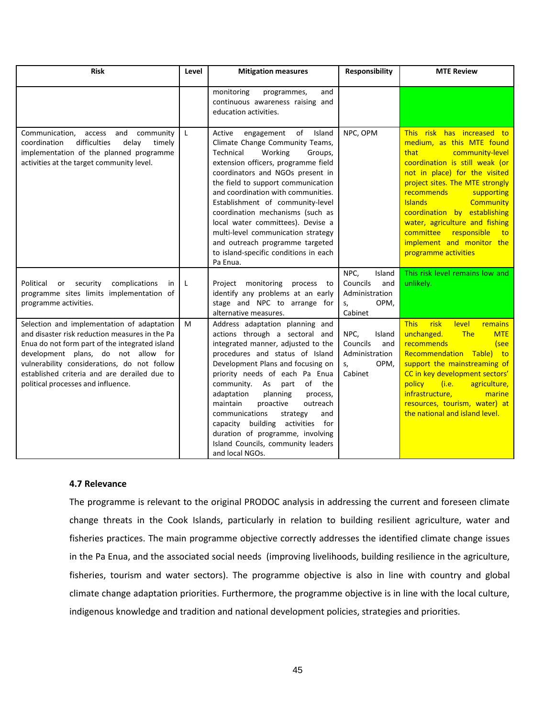| <b>Risk</b>                                                                                                                                                                                                                                                                                                                | Level        | <b>Mitigation measures</b>                                                                                                                                                                                                                                                                                                                                                                                                                                                                                   | Responsibility                                                               | <b>MTE Review</b>                                                                                                                                                                                                                                                                                                                                                                                                   |
|----------------------------------------------------------------------------------------------------------------------------------------------------------------------------------------------------------------------------------------------------------------------------------------------------------------------------|--------------|--------------------------------------------------------------------------------------------------------------------------------------------------------------------------------------------------------------------------------------------------------------------------------------------------------------------------------------------------------------------------------------------------------------------------------------------------------------------------------------------------------------|------------------------------------------------------------------------------|---------------------------------------------------------------------------------------------------------------------------------------------------------------------------------------------------------------------------------------------------------------------------------------------------------------------------------------------------------------------------------------------------------------------|
|                                                                                                                                                                                                                                                                                                                            |              | monitoring<br>and<br>programmes,<br>continuous awareness raising and<br>education activities.                                                                                                                                                                                                                                                                                                                                                                                                                |                                                                              |                                                                                                                                                                                                                                                                                                                                                                                                                     |
| Communication,<br>and community<br>access<br>difficulties<br>delay<br>coordination<br>timely<br>implementation of the planned programme<br>activities at the target community level.                                                                                                                                       | $\mathsf{L}$ | of<br>Active<br>engagement<br>Island<br>Climate Change Community Teams,<br>Technical<br>Working<br>Groups,<br>extension officers, programme field<br>coordinators and NGOs present in<br>the field to support communication<br>and coordination with communities.<br>Establishment of community-level<br>coordination mechanisms (such as<br>local water committees). Devise a<br>multi-level communication strategy<br>and outreach programme targeted<br>to island-specific conditions in each<br>Pa Enua. | NPC, OPM                                                                     | This risk has increased to<br>medium, as this MTE found<br>that<br>community-level<br>coordination is still weak (or<br>not in place) for the visited<br>project sites. The MTE strongly<br>recommends<br>supporting<br><b>Islands</b><br><b>Community</b><br>coordination by establishing<br>water, agriculture and fishing<br>committee<br>responsible<br>to<br>implement and monitor the<br>programme activities |
| complications<br>Political<br>security<br>or<br>in<br>programme sites limits implementation of<br>programme activities.                                                                                                                                                                                                    | L            | Project monitoring process to<br>identify any problems at an early<br>stage and NPC to arrange for<br>alternative measures.                                                                                                                                                                                                                                                                                                                                                                                  | NPC,<br>Island<br>Councils<br>and<br>Administration<br>OPM,<br>S,<br>Cabinet | This risk level remains low and<br>unlikely.                                                                                                                                                                                                                                                                                                                                                                        |
| Selection and implementation of adaptation<br>and disaster risk reduction measures in the Pa<br>Enua do not form part of the integrated island<br>development plans, do not allow for<br>vulnerability considerations, do not follow<br>established criteria and are derailed due to<br>political processes and influence. | M            | Address adaptation planning and<br>actions through a sectoral and<br>integrated manner, adjusted to the<br>procedures and status of Island<br>Development Plans and focusing on<br>priority needs of each Pa Enua<br>community.<br>As<br>of the<br>part<br>adaptation<br>planning<br>process,<br>maintain<br>proactive<br>outreach<br>communications<br>and<br>strategy<br>capacity building activities for<br>duration of programme, involving<br>Island Councils, community leaders<br>and local NGOs.     | NPC,<br>Island<br>Councils<br>and<br>Administration<br>OPM,<br>s,<br>Cabinet | <b>This</b><br>risk<br>level<br>remains<br><b>The</b><br>unchanged.<br><b>MTE</b><br>recommends<br>(see<br>Recommendation Table) to<br>support the mainstreaming of<br>CC in key development sectors'<br>(i.e.<br>agriculture,<br>policy<br>infrastructure,<br>marine<br>resources, tourism, water) at<br>the national and island level.                                                                            |

# **4.7 Relevance**

The programme is relevant to the original PRODOC analysis in addressing the current and foreseen climate change threats in the Cook Islands, particularly in relation to building resilient agriculture, water and fisheries practices. The main programme objective correctly addresses the identified climate change issues in the Pa Enua, and the associated social needs (improving livelihoods, building resilience in the agriculture, fisheries, tourism and water sectors). The programme objective is also in line with country and global climate change adaptation priorities. Furthermore, the programme objective is in line with the local culture, indigenous knowledge and tradition and national development policies, strategies and priorities.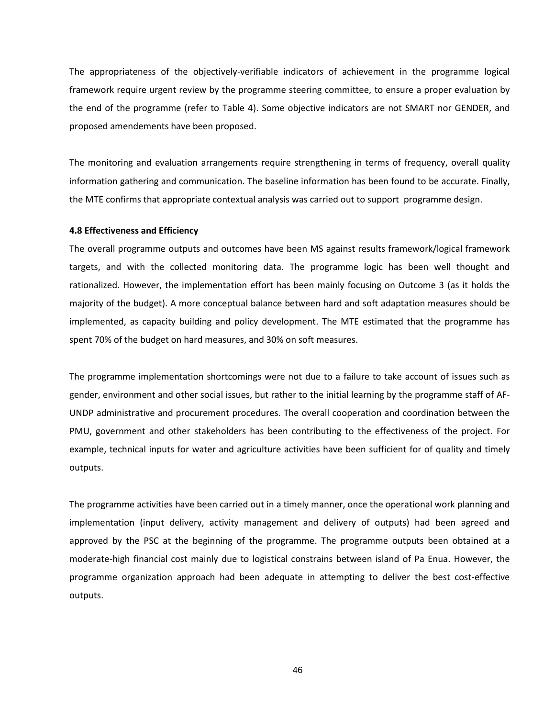The appropriateness of the objectively-verifiable indicators of achievement in the programme logical framework require urgent review by the programme steering committee, to ensure a proper evaluation by the end of the programme (refer to Table 4). Some objective indicators are not SMART nor GENDER, and proposed amendements have been proposed.

The monitoring and evaluation arrangements require strengthening in terms of frequency, overall quality information gathering and communication. The baseline information has been found to be accurate. Finally, the MTE confirms that appropriate contextual analysis was carried out to support programme design.

### **4.8 Effectiveness and Efficiency**

The overall programme outputs and outcomes have been MS against results framework/logical framework targets, and with the collected monitoring data. The programme logic has been well thought and rationalized. However, the implementation effort has been mainly focusing on Outcome 3 (as it holds the majority of the budget). A more conceptual balance between hard and soft adaptation measures should be implemented, as capacity building and policy development. The MTE estimated that the programme has spent 70% of the budget on hard measures, and 30% on soft measures.

The programme implementation shortcomings were not due to a failure to take account of issues such as gender, environment and other social issues, but rather to the initial learning by the programme staff of AF-UNDP administrative and procurement procedures. The overall cooperation and coordination between the PMU, government and other stakeholders has been contributing to the effectiveness of the project. For example, technical inputs for water and agriculture activities have been sufficient for of quality and timely outputs.

The programme activities have been carried out in a timely manner, once the operational work planning and implementation (input delivery, activity management and delivery of outputs) had been agreed and approved by the PSC at the beginning of the programme. The programme outputs been obtained at a moderate-high financial cost mainly due to logistical constrains between island of Pa Enua. However, the programme organization approach had been adequate in attempting to deliver the best cost-effective outputs.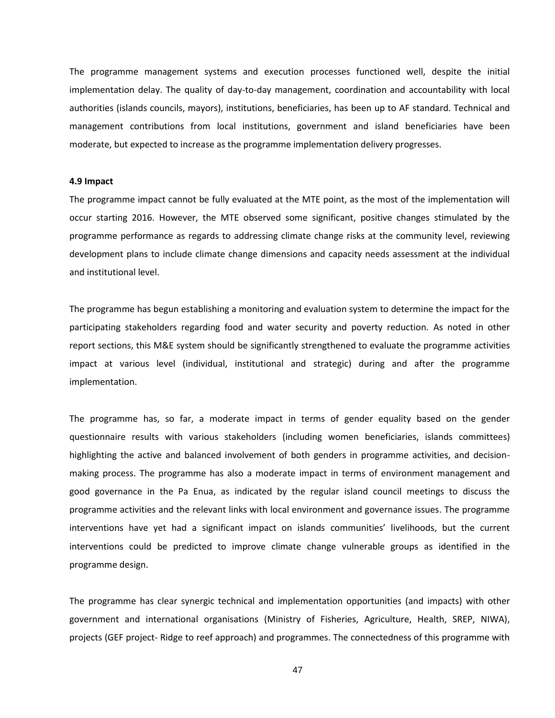The programme management systems and execution processes functioned well, despite the initial implementation delay. The quality of day-to-day management, coordination and accountability with local authorities (islands councils, mayors), institutions, beneficiaries, has been up to AF standard. Technical and management contributions from local institutions, government and island beneficiaries have been moderate, but expected to increase as the programme implementation delivery progresses.

## **4.9 Impact**

The programme impact cannot be fully evaluated at the MTE point, as the most of the implementation will occur starting 2016. However, the MTE observed some significant, positive changes stimulated by the programme performance as regards to addressing climate change risks at the community level, reviewing development plans to include climate change dimensions and capacity needs assessment at the individual and institutional level.

The programme has begun establishing a monitoring and evaluation system to determine the impact for the participating stakeholders regarding food and water security and poverty reduction. As noted in other report sections, this M&E system should be significantly strengthened to evaluate the programme activities impact at various level (individual, institutional and strategic) during and after the programme implementation.

The programme has, so far, a moderate impact in terms of gender equality based on the gender questionnaire results with various stakeholders (including women beneficiaries, islands committees) highlighting the active and balanced involvement of both genders in programme activities, and decisionmaking process. The programme has also a moderate impact in terms of environment management and good governance in the Pa Enua, as indicated by the regular island council meetings to discuss the programme activities and the relevant links with local environment and governance issues. The programme interventions have yet had a significant impact on islands communities' livelihoods, but the current interventions could be predicted to improve climate change vulnerable groups as identified in the programme design.

The programme has clear synergic technical and implementation opportunities (and impacts) with other government and international organisations (Ministry of Fisheries, Agriculture, Health, SREP, NIWA), projects (GEF project- Ridge to reef approach) and programmes. The connectedness of this programme with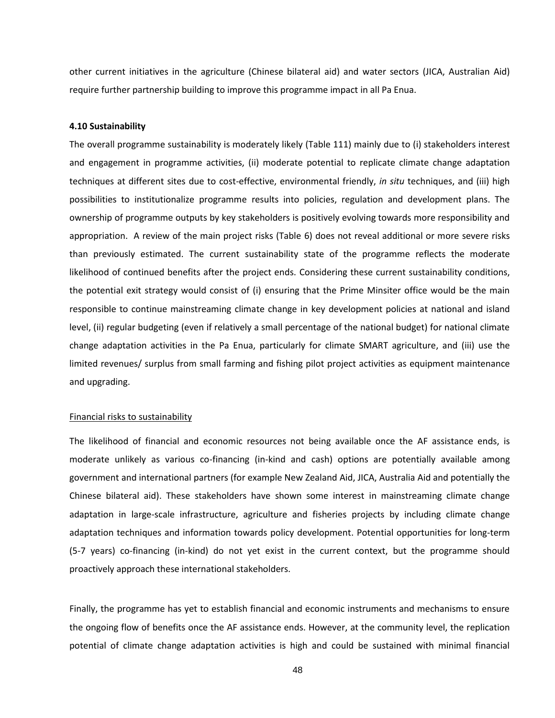other current initiatives in the agriculture (Chinese bilateral aid) and water sectors (JICA, Australian Aid) require further partnership building to improve this programme impact in all Pa Enua.

#### **4.10 Sustainability**

The overall programme sustainability is moderately likely (Table 111) mainly due to (i) stakeholders interest and engagement in programme activities, (ii) moderate potential to replicate climate change adaptation techniques at different sites due to cost-effective, environmental friendly, *in situ* techniques, and (iii) high possibilities to institutionalize programme results into policies, regulation and development plans. The ownership of programme outputs by key stakeholders is positively evolving towards more responsibility and appropriation. A review of the main project risks (Table 6) does not reveal additional or more severe risks than previously estimated. The current sustainability state of the programme reflects the moderate likelihood of continued benefits after the project ends. Considering these current sustainability conditions, the potential exit strategy would consist of (i) ensuring that the Prime Minsiter office would be the main responsible to continue mainstreaming climate change in key development policies at national and island level, (ii) regular budgeting (even if relatively a small percentage of the national budget) for national climate change adaptation activities in the Pa Enua, particularly for climate SMART agriculture, and (iii) use the limited revenues/ surplus from small farming and fishing pilot project activities as equipment maintenance and upgrading.

#### Financial risks to sustainability

The likelihood of financial and economic resources not being available once the AF assistance ends, is moderate unlikely as various co-financing (in-kind and cash) options are potentially available among government and international partners (for example New Zealand Aid, JICA, Australia Aid and potentially the Chinese bilateral aid). These stakeholders have shown some interest in mainstreaming climate change adaptation in large-scale infrastructure, agriculture and fisheries projects by including climate change adaptation techniques and information towards policy development. Potential opportunities for long-term (5-7 years) co-financing (in-kind) do not yet exist in the current context, but the programme should proactively approach these international stakeholders.

Finally, the programme has yet to establish financial and economic instruments and mechanisms to ensure the ongoing flow of benefits once the AF assistance ends. However, at the community level, the replication potential of climate change adaptation activities is high and could be sustained with minimal financial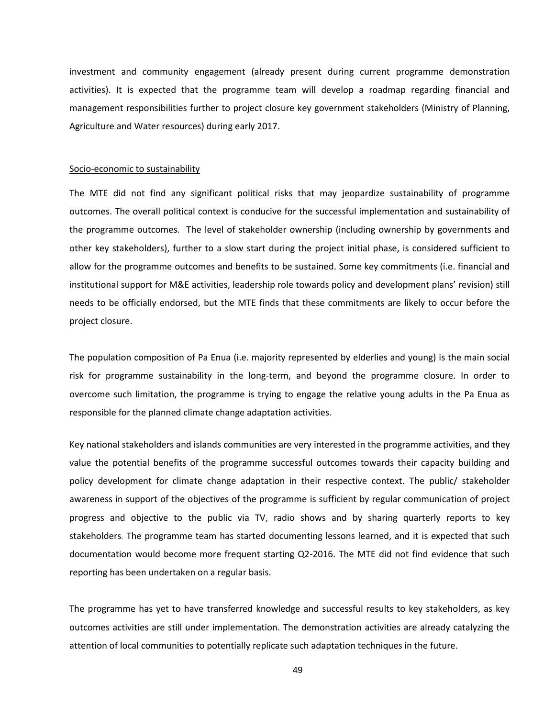investment and community engagement (already present during current programme demonstration activities). It is expected that the programme team will develop a roadmap regarding financial and management responsibilities further to project closure key government stakeholders (Ministry of Planning, Agriculture and Water resources) during early 2017.

### Socio-economic to sustainability

The MTE did not find any significant political risks that may jeopardize sustainability of programme outcomes. The overall political context is conducive for the successful implementation and sustainability of the programme outcomes. The level of stakeholder ownership (including ownership by governments and other key stakeholders), further to a slow start during the project initial phase, is considered sufficient to allow for the programme outcomes and benefits to be sustained. Some key commitments (i.e. financial and institutional support for M&E activities, leadership role towards policy and development plans' revision) still needs to be officially endorsed, but the MTE finds that these commitments are likely to occur before the project closure.

The population composition of Pa Enua (i.e. majority represented by elderlies and young) is the main social risk for programme sustainability in the long-term, and beyond the programme closure. In order to overcome such limitation, the programme is trying to engage the relative young adults in the Pa Enua as responsible for the planned climate change adaptation activities.

Key national stakeholders and islands communities are very interested in the programme activities, and they value the potential benefits of the programme successful outcomes towards their capacity building and policy development for climate change adaptation in their respective context. The public/ stakeholder awareness in support of the objectives of the programme is sufficient by regular communication of project progress and objective to the public via TV, radio shows and by sharing quarterly reports to key stakeholders. The programme team has started documenting lessons learned, and it is expected that such documentation would become more frequent starting Q2-2016. The MTE did not find evidence that such reporting has been undertaken on a regular basis.

The programme has yet to have transferred knowledge and successful results to key stakeholders, as key outcomes activities are still under implementation. The demonstration activities are already catalyzing the attention of local communities to potentially replicate such adaptation techniques in the future.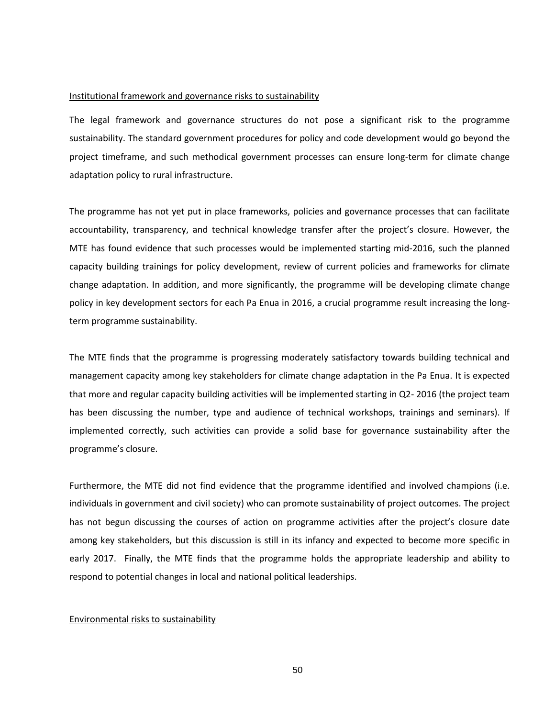#### Institutional framework and governance risks to sustainability

The legal framework and governance structures do not pose a significant risk to the programme sustainability. The standard government procedures for policy and code development would go beyond the project timeframe, and such methodical government processes can ensure long-term for climate change adaptation policy to rural infrastructure.

The programme has not yet put in place frameworks, policies and governance processes that can facilitate accountability, transparency, and technical knowledge transfer after the project's closure. However, the MTE has found evidence that such processes would be implemented starting mid-2016, such the planned capacity building trainings for policy development, review of current policies and frameworks for climate change adaptation. In addition, and more significantly, the programme will be developing climate change policy in key development sectors for each Pa Enua in 2016, a crucial programme result increasing the longterm programme sustainability.

The MTE finds that the programme is progressing moderately satisfactory towards building technical and management capacity among key stakeholders for climate change adaptation in the Pa Enua. It is expected that more and regular capacity building activities will be implemented starting in Q2- 2016 (the project team has been discussing the number, type and audience of technical workshops, trainings and seminars). If implemented correctly, such activities can provide a solid base for governance sustainability after the programme's closure.

Furthermore, the MTE did not find evidence that the programme identified and involved champions (i.e. individuals in government and civil society) who can promote sustainability of project outcomes. The project has not begun discussing the courses of action on programme activities after the project's closure date among key stakeholders, but this discussion is still in its infancy and expected to become more specific in early 2017. Finally, the MTE finds that the programme holds the appropriate leadership and ability to respond to potential changes in local and national political leaderships.

## Environmental risks to sustainability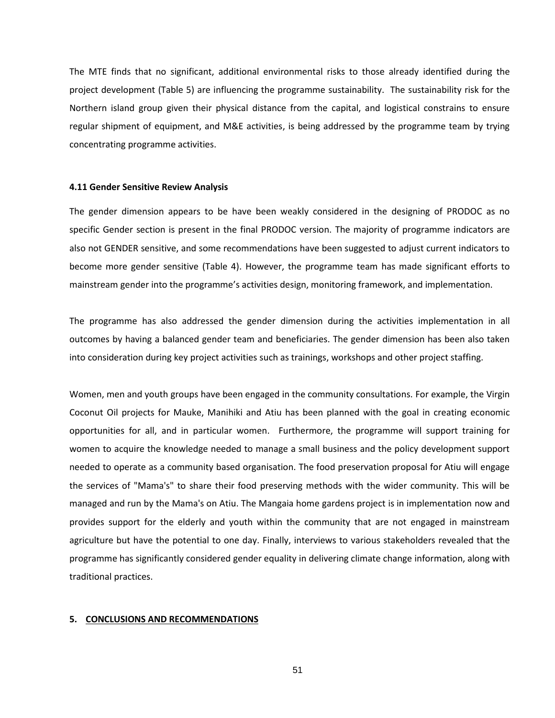The MTE finds that no significant, additional environmental risks to those already identified during the project development (Table 5) are influencing the programme sustainability. The sustainability risk for the Northern island group given their physical distance from the capital, and logistical constrains to ensure regular shipment of equipment, and M&E activities, is being addressed by the programme team by trying concentrating programme activities.

#### **4.11 Gender Sensitive Review Analysis**

The gender dimension appears to be have been weakly considered in the designing of PRODOC as no specific Gender section is present in the final PRODOC version. The majority of programme indicators are also not GENDER sensitive, and some recommendations have been suggested to adjust current indicators to become more gender sensitive (Table 4). However, the programme team has made significant efforts to mainstream gender into the programme's activities design, monitoring framework, and implementation.

The programme has also addressed the gender dimension during the activities implementation in all outcomes by having a balanced gender team and beneficiaries. The gender dimension has been also taken into consideration during key project activities such as trainings, workshops and other project staffing.

Women, men and youth groups have been engaged in the community consultations. For example, the Virgin Coconut Oil projects for Mauke, Manihiki and Atiu has been planned with the goal in creating economic opportunities for all, and in particular women. Furthermore, the programme will support training for women to acquire the knowledge needed to manage a small business and the policy development support needed to operate as a community based organisation. The food preservation proposal for Atiu will engage the services of "Mama's" to share their food preserving methods with the wider community. This will be managed and run by the Mama's on Atiu. The Mangaia home gardens project is in implementation now and provides support for the elderly and youth within the community that are not engaged in mainstream agriculture but have the potential to one day. Finally, interviews to various stakeholders revealed that the programme has significantly considered gender equality in delivering climate change information, along with traditional practices.

# **5. CONCLUSIONS AND RECOMMENDATIONS**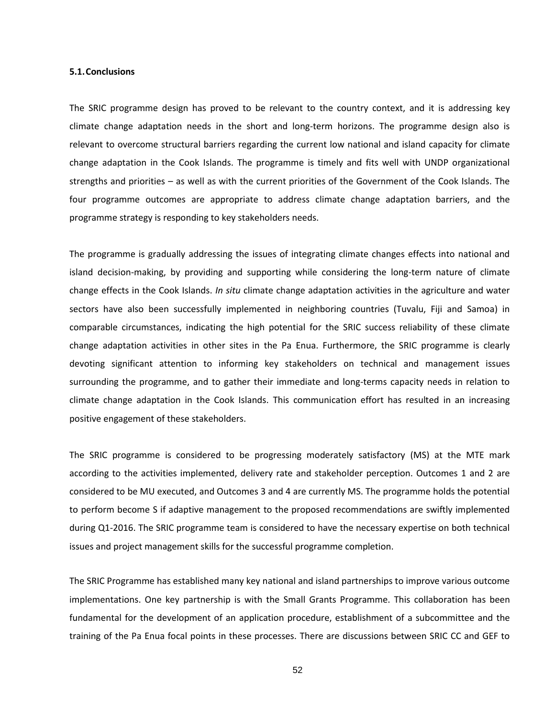#### **5.1.Conclusions**

The SRIC programme design has proved to be relevant to the country context, and it is addressing key climate change adaptation needs in the short and long-term horizons. The programme design also is relevant to overcome structural barriers regarding the current low national and island capacity for climate change adaptation in the Cook Islands. The programme is timely and fits well with UNDP organizational strengths and priorities – as well as with the current priorities of the Government of the Cook Islands. The four programme outcomes are appropriate to address climate change adaptation barriers, and the programme strategy is responding to key stakeholders needs.

The programme is gradually addressing the issues of integrating climate changes effects into national and island decision-making, by providing and supporting while considering the long-term nature of climate change effects in the Cook Islands. *In situ* climate change adaptation activities in the agriculture and water sectors have also been successfully implemented in neighboring countries (Tuvalu, Fiji and Samoa) in comparable circumstances, indicating the high potential for the SRIC success reliability of these climate change adaptation activities in other sites in the Pa Enua. Furthermore, the SRIC programme is clearly devoting significant attention to informing key stakeholders on technical and management issues surrounding the programme, and to gather their immediate and long-terms capacity needs in relation to climate change adaptation in the Cook Islands. This communication effort has resulted in an increasing positive engagement of these stakeholders.

The SRIC programme is considered to be progressing moderately satisfactory (MS) at the MTE mark according to the activities implemented, delivery rate and stakeholder perception. Outcomes 1 and 2 are considered to be MU executed, and Outcomes 3 and 4 are currently MS. The programme holds the potential to perform become S if adaptive management to the proposed recommendations are swiftly implemented during Q1-2016. The SRIC programme team is considered to have the necessary expertise on both technical issues and project management skills for the successful programme completion.

The SRIC Programme has established many key national and island partnerships to improve various outcome implementations. One key partnership is with the Small Grants Programme. This collaboration has been fundamental for the development of an application procedure, establishment of a subcommittee and the training of the Pa Enua focal points in these processes. There are discussions between SRIC CC and GEF to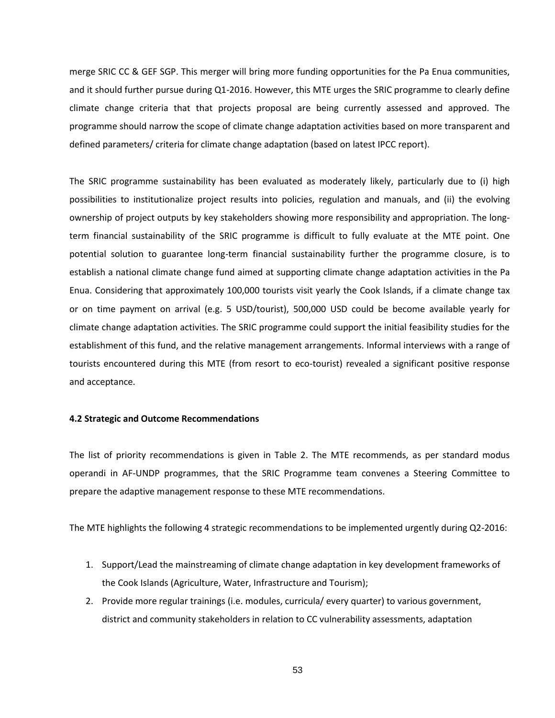merge SRIC CC & GEF SGP. This merger will bring more funding opportunities for the Pa Enua communities, and it should further pursue during Q1-2016. However, this MTE urges the SRIC programme to clearly define climate change criteria that that projects proposal are being currently assessed and approved. The programme should narrow the scope of climate change adaptation activities based on more transparent and defined parameters/ criteria for climate change adaptation (based on latest IPCC report).

The SRIC programme sustainability has been evaluated as moderately likely, particularly due to (i) high possibilities to institutionalize project results into policies, regulation and manuals, and (ii) the evolving ownership of project outputs by key stakeholders showing more responsibility and appropriation. The longterm financial sustainability of the SRIC programme is difficult to fully evaluate at the MTE point. One potential solution to guarantee long-term financial sustainability further the programme closure, is to establish a national climate change fund aimed at supporting climate change adaptation activities in the Pa Enua. Considering that approximately 100,000 tourists visit yearly the Cook Islands, if a climate change tax or on time payment on arrival (e.g. 5 USD/tourist), 500,000 USD could be become available yearly for climate change adaptation activities. The SRIC programme could support the initial feasibility studies for the establishment of this fund, and the relative management arrangements. Informal interviews with a range of tourists encountered during this MTE (from resort to eco-tourist) revealed a significant positive response and acceptance.

### **4.2 Strategic and Outcome Recommendations**

The list of priority recommendations is given in Table 2. The MTE recommends, as per standard modus operandi in AF-UNDP programmes, that the SRIC Programme team convenes a Steering Committee to prepare the adaptive management response to these MTE recommendations.

The MTE highlights the following 4 strategic recommendations to be implemented urgently during Q2-2016:

- 1. Support/Lead the mainstreaming of climate change adaptation in key development frameworks of the Cook Islands (Agriculture, Water, Infrastructure and Tourism);
- 2. Provide more regular trainings (i.e. modules, curricula/ every quarter) to various government, district and community stakeholders in relation to CC vulnerability assessments, adaptation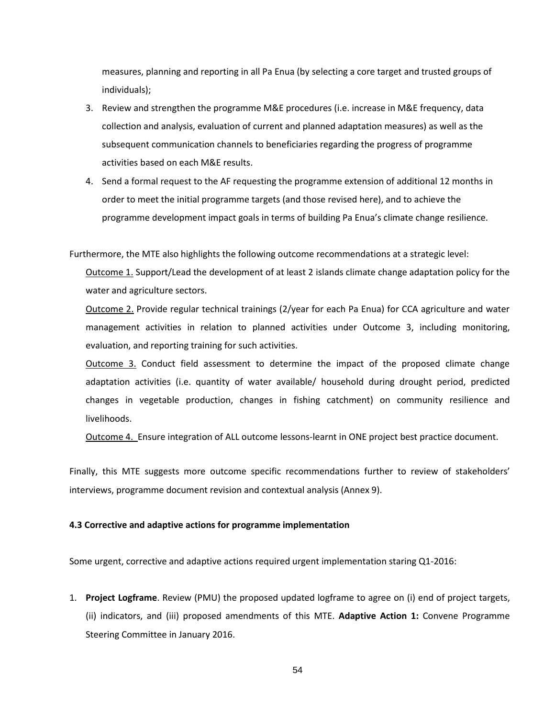measures, planning and reporting in all Pa Enua (by selecting a core target and trusted groups of individuals);

- 3. Review and strengthen the programme M&E procedures (i.e. increase in M&E frequency, data collection and analysis, evaluation of current and planned adaptation measures) as well as the subsequent communication channels to beneficiaries regarding the progress of programme activities based on each M&E results.
- 4. Send a formal request to the AF requesting the programme extension of additional 12 months in order to meet the initial programme targets (and those revised here), and to achieve the programme development impact goals in terms of building Pa Enua's climate change resilience.

Furthermore, the MTE also highlights the following outcome recommendations at a strategic level:

Outcome 1. Support/Lead the development of at least 2 islands climate change adaptation policy for the water and agriculture sectors.

Outcome 2. Provide regular technical trainings (2/year for each Pa Enua) for CCA agriculture and water management activities in relation to planned activities under Outcome 3, including monitoring, evaluation, and reporting training for such activities.

Outcome 3. Conduct field assessment to determine the impact of the proposed climate change adaptation activities (i.e. quantity of water available/ household during drought period, predicted changes in vegetable production, changes in fishing catchment) on community resilience and livelihoods.

Outcome 4. Ensure integration of ALL outcome lessons-learnt in ONE project best practice document.

Finally, this MTE suggests more outcome specific recommendations further to review of stakeholders' interviews, programme document revision and contextual analysis (Annex 9).

## **4.3 Corrective and adaptive actions for programme implementation**

Some urgent, corrective and adaptive actions required urgent implementation staring Q1-2016:

1. **Project Logframe**. Review (PMU) the proposed updated logframe to agree on (i) end of project targets, (ii) indicators, and (iii) proposed amendments of this MTE. **Adaptive Action 1:** Convene Programme Steering Committee in January 2016.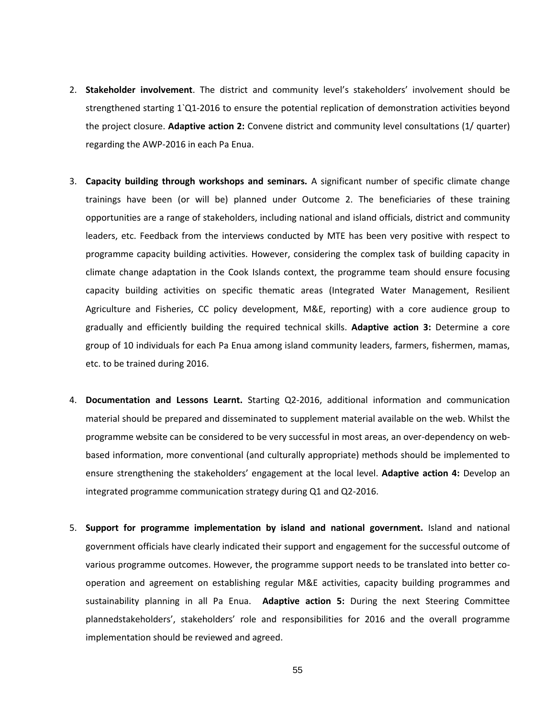- 2. **Stakeholder involvement**. The district and community level's stakeholders' involvement should be strengthened starting 1`Q1-2016 to ensure the potential replication of demonstration activities beyond the project closure. **Adaptive action 2:** Convene district and community level consultations (1/ quarter) regarding the AWP-2016 in each Pa Enua.
- 3. **Capacity building through workshops and seminars.** A significant number of specific climate change trainings have been (or will be) planned under Outcome 2. The beneficiaries of these training opportunities are a range of stakeholders, including national and island officials, district and community leaders, etc. Feedback from the interviews conducted by MTE has been very positive with respect to programme capacity building activities. However, considering the complex task of building capacity in climate change adaptation in the Cook Islands context, the programme team should ensure focusing capacity building activities on specific thematic areas (Integrated Water Management, Resilient Agriculture and Fisheries, CC policy development, M&E, reporting) with a core audience group to gradually and efficiently building the required technical skills. **Adaptive action 3:** Determine a core group of 10 individuals for each Pa Enua among island community leaders, farmers, fishermen, mamas, etc. to be trained during 2016.
- 4. **Documentation and Lessons Learnt.** Starting Q2-2016, additional information and communication material should be prepared and disseminated to supplement material available on the web. Whilst the programme website can be considered to be very successful in most areas, an over-dependency on webbased information, more conventional (and culturally appropriate) methods should be implemented to ensure strengthening the stakeholders' engagement at the local level. **Adaptive action 4:** Develop an integrated programme communication strategy during Q1 and Q2-2016.
- 5. **Support for programme implementation by island and national government.** Island and national government officials have clearly indicated their support and engagement for the successful outcome of various programme outcomes. However, the programme support needs to be translated into better cooperation and agreement on establishing regular M&E activities, capacity building programmes and sustainability planning in all Pa Enua. **Adaptive action 5:** During the next Steering Committee plannedstakeholders', stakeholders' role and responsibilities for 2016 and the overall programme implementation should be reviewed and agreed.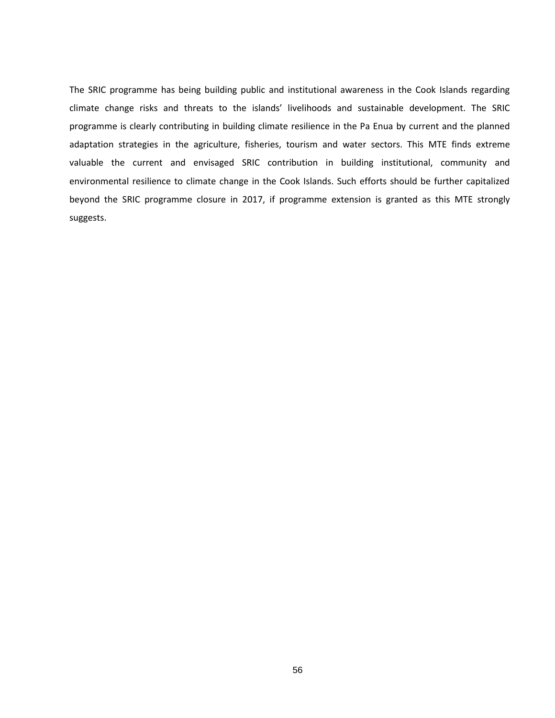The SRIC programme has being building public and institutional awareness in the Cook Islands regarding climate change risks and threats to the islands' livelihoods and sustainable development. The SRIC programme is clearly contributing in building climate resilience in the Pa Enua by current and the planned adaptation strategies in the agriculture, fisheries, tourism and water sectors. This MTE finds extreme valuable the current and envisaged SRIC contribution in building institutional, community and environmental resilience to climate change in the Cook Islands. Such efforts should be further capitalized beyond the SRIC programme closure in 2017, if programme extension is granted as this MTE strongly suggests.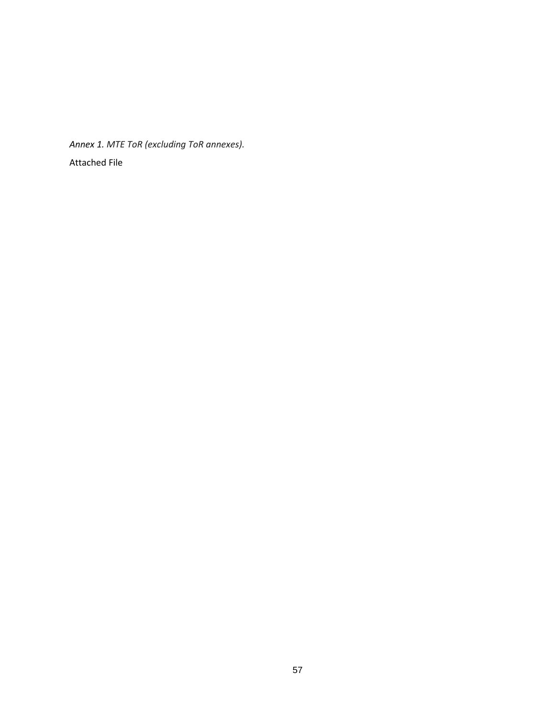*Annex 1. MTE ToR (excluding ToR annexes).* Attached File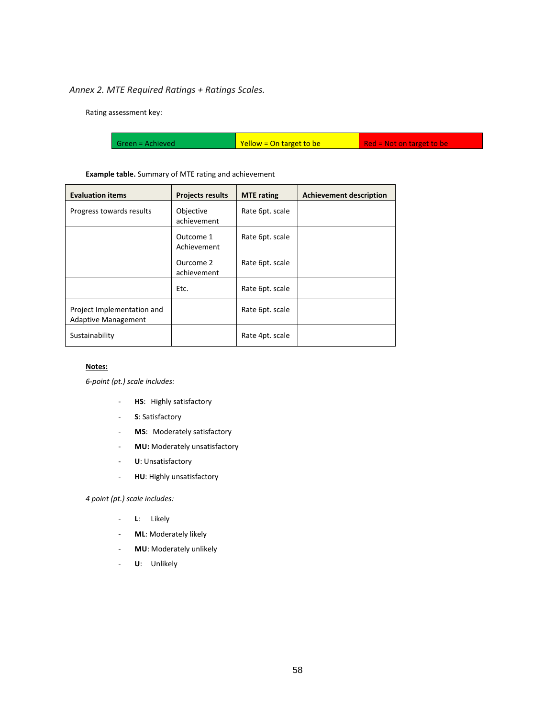# *Annex 2. MTE Required Ratings + Ratings Scales.*

Rating assessment key:

|  | Green = Achieved | Yellow = On target to be | Red = Not on target to be |
|--|------------------|--------------------------|---------------------------|
|--|------------------|--------------------------|---------------------------|

## **Example table.** Summary of MTE rating and achievement

| <b>Evaluation items</b>                                  | <b>Projects results</b>  | <b>MTE</b> rating | <b>Achievement description</b> |
|----------------------------------------------------------|--------------------------|-------------------|--------------------------------|
| Progress towards results                                 | Objective<br>achievement | Rate 6pt. scale   |                                |
|                                                          | Outcome 1<br>Achievement | Rate 6pt. scale   |                                |
|                                                          | Ourcome 2<br>achievement | Rate 6pt. scale   |                                |
|                                                          | Etc.                     | Rate 6pt. scale   |                                |
| Project Implementation and<br><b>Adaptive Management</b> |                          | Rate 6pt. scale   |                                |
| Sustainability                                           |                          | Rate 4pt. scale   |                                |

### **Notes:**

*6-point (pt.) scale includes:*

- **HS**: Highly satisfactory
- **S**: Satisfactory
- **MS**: Moderately satisfactory
- **MU:** Moderately unsatisfactory
- **U**: Unsatisfactory
- **HU**: Highly unsatisfactory

## *4 point (pt.) scale includes:*

- **L**: Likely
- **ML**: Moderately likely
- **MU**: Moderately unlikely
- **U**: Unlikely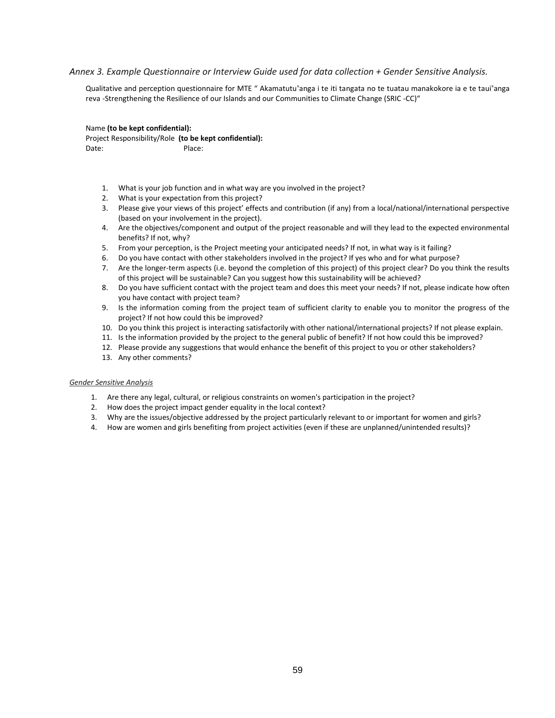### *Annex 3. Example Questionnaire or Interview Guide used for data collection + Gender Sensitive Analysis.*

Qualitative and perception questionnaire for MTE " Akamatutu"anga i te iti tangata no te tuatau manakokore ia e te taui"anga reva -Strengthening the Resilience of our Islands and our Communities to Climate Change (SRIC -CC)"

Name **(to be kept confidential):** Project Responsibility/Role **(to be kept confidential):** Date: Place:

- 1. What is your job function and in what way are you involved in the project?
- 2. What is your expectation from this project?
- 3. Please give your views of this project' effects and contribution (if any) from a local/national/international perspective (based on your involvement in the project).
- 4. Are the objectives/component and output of the project reasonable and will they lead to the expected environmental benefits? If not, why?
- 5. From your perception, is the Project meeting your anticipated needs? If not, in what way is it failing?
- 6. Do you have contact with other stakeholders involved in the project? If yes who and for what purpose?
- 7. Are the longer-term aspects (i.e. beyond the completion of this project) of this project clear? Do you think the results of this project will be sustainable? Can you suggest how this sustainability will be achieved?
- 8. Do you have sufficient contact with the project team and does this meet your needs? If not, please indicate how often you have contact with project team?
- 9. Is the information coming from the project team of sufficient clarity to enable you to monitor the progress of the project? If not how could this be improved?
- 10. Do you think this project is interacting satisfactorily with other national/international projects? If not please explain.
- 11. Is the information provided by the project to the general public of benefit? If not how could this be improved?
- 12. Please provide any suggestions that would enhance the benefit of this project to you or other stakeholders?
- 13. Any other comments?

#### *Gender Sensitive Analysis*

- 1. Are there any legal, cultural, or religious constraints on women's participation in the project?
- 2. How does the project impact gender equality in the local context?
- 3. Why are the issues/objective addressed by the project particularly relevant to or important for women and girls?
- 4. How are women and girls benefiting from project activities (even if these are unplanned/unintended results)?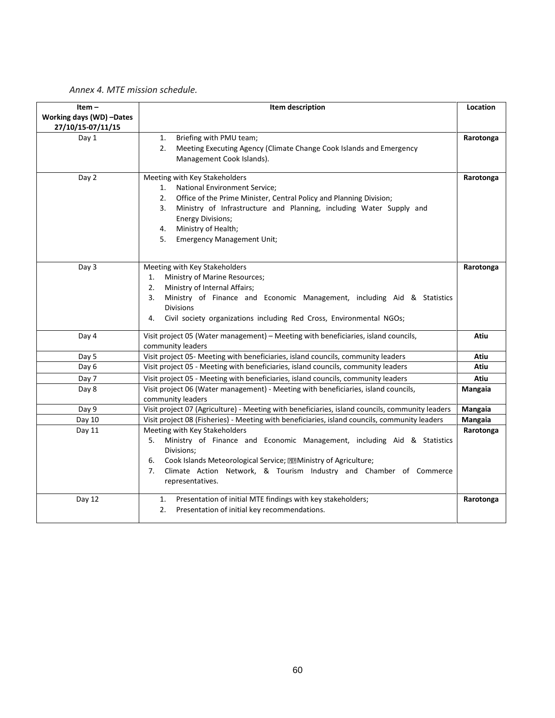|  |  |  | Annex 4. MTE mission schedule. |
|--|--|--|--------------------------------|
|--|--|--|--------------------------------|

| Item-<br>Working days (WD) -Dates<br>27/10/15-07/11/15 | Item description                                                                                                                                                                                                                                                                                                                   | Location  |
|--------------------------------------------------------|------------------------------------------------------------------------------------------------------------------------------------------------------------------------------------------------------------------------------------------------------------------------------------------------------------------------------------|-----------|
| Day 1                                                  | Briefing with PMU team;<br>1.<br>2.<br>Meeting Executing Agency (Climate Change Cook Islands and Emergency<br>Management Cook Islands).                                                                                                                                                                                            | Rarotonga |
| Day 2                                                  | Meeting with Key Stakeholders<br>1.<br>National Environment Service;<br>Office of the Prime Minister, Central Policy and Planning Division;<br>2.<br>Ministry of Infrastructure and Planning, including Water Supply and<br>3.<br><b>Energy Divisions;</b><br>Ministry of Health;<br>4.<br>5.<br><b>Emergency Management Unit;</b> | Rarotonga |
| Day 3                                                  | Meeting with Key Stakeholders<br>Ministry of Marine Resources;<br>1.<br>Ministry of Internal Affairs;<br>2.<br>3.<br>Ministry of Finance and Economic Management, including Aid & Statistics<br><b>Divisions</b><br>4.<br>Civil society organizations including Red Cross, Environmental NGOs;                                     | Rarotonga |
| Day 4                                                  | Visit project 05 (Water management) - Meeting with beneficiaries, island councils,<br>community leaders                                                                                                                                                                                                                            | Atiu      |
| Day 5                                                  | Visit project 05- Meeting with beneficiaries, island councils, community leaders                                                                                                                                                                                                                                                   | Atiu      |
| Day 6                                                  | Visit project 05 - Meeting with beneficiaries, island councils, community leaders                                                                                                                                                                                                                                                  | Atiu      |
| Day 7                                                  | Visit project 05 - Meeting with beneficiaries, island councils, community leaders                                                                                                                                                                                                                                                  | Atiu      |
| Day 8                                                  | Visit project 06 (Water management) - Meeting with beneficiaries, island councils,<br>community leaders                                                                                                                                                                                                                            | Mangaia   |
| Day 9                                                  | Visit project 07 (Agriculture) - Meeting with beneficiaries, island councils, community leaders                                                                                                                                                                                                                                    | Mangaia   |
| Day 10                                                 | Visit project 08 (Fisheries) - Meeting with beneficiaries, island councils, community leaders                                                                                                                                                                                                                                      | Mangaia   |
| Day 11                                                 | Meeting with Key Stakeholders<br>Ministry of Finance and Economic Management, including Aid & Statistics<br>5.<br>Divisions;<br>Cook Islands Meteorological Service; <b>22 Ministry of Agriculture</b> ;<br>6.<br>Climate Action Network, & Tourism Industry and Chamber of Commerce<br>7.<br>representatives.                     | Rarotonga |
| Day 12                                                 | Presentation of initial MTE findings with key stakeholders;<br>1.<br>2.<br>Presentation of initial key recommendations.                                                                                                                                                                                                            | Rarotonga |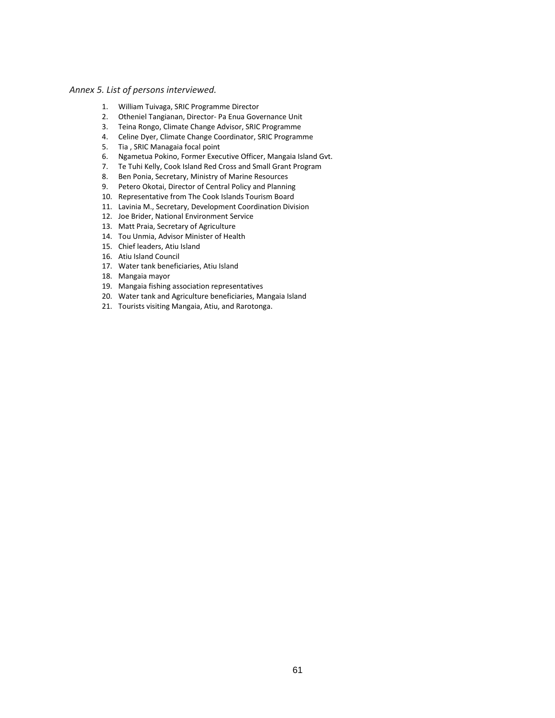## *Annex 5. List of persons interviewed.*

- 1. William Tuivaga, SRIC Programme Director
- 2. Otheniel Tangianan, Director- Pa Enua Governance Unit
- 3. Teina Rongo, Climate Change Advisor, SRIC Programme
- 4. Celine Dyer, Climate Change Coordinator, SRIC Programme
- 5. Tia , SRIC Managaia focal point
- 6. Ngametua Pokino, Former Executive Officer, Mangaia Island Gvt.
- 7. Te Tuhi Kelly, Cook Island Red Cross and Small Grant Program
- 8. Ben Ponia, Secretary, Ministry of Marine Resources<br>9. Petero Okotai. Director of Central Policy and Plannir
- Petero Okotai, Director of Central Policy and Planning
- 10. Representative from The Cook Islands Tourism Board
- 11. Lavinia M., Secretary, Development Coordination Division
- 12. Joe Brider, National Environment Service
- 13. Matt Praia, Secretary of Agriculture
- 14. Tou Unmia, Advisor Minister of Health
- 15. Chief leaders, Atiu Island
- 16. Atiu Island Council
- 17. Water tank beneficiaries, Atiu Island
- 18. Mangaia mayor
- 19. Mangaia fishing association representatives
- 20. Water tank and Agriculture beneficiaries, Mangaia Island
- 21. Tourists visiting Mangaia, Atiu, and Rarotonga.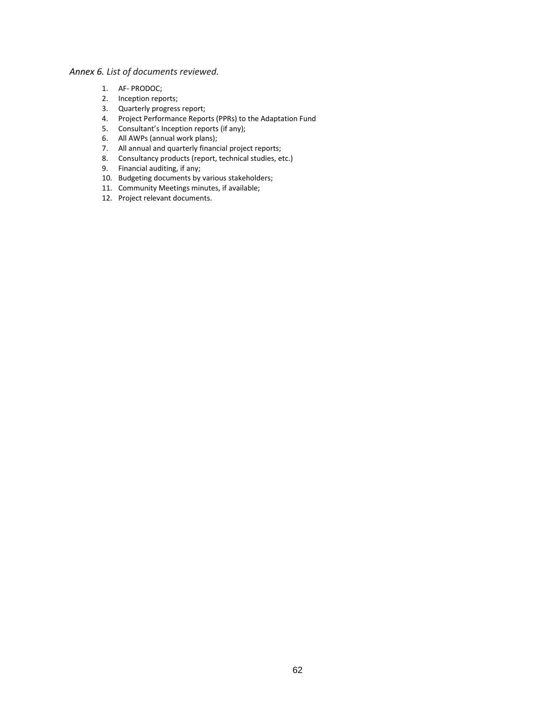# *Annex 6. List of documents reviewed.*

- 1. AF- PRODOC;
- 2. Inception reports;
- 3. Quarterly progress report;
- 4. Project Performance Reports (PPRs) to the Adaptation Fund
- 5. Consultant's Inception reports (if any);
- 6. All AWPs (annual work plans);
- 7. All annual and quarterly financial project reports;
- 8. Consultancy products (report, technical studies, etc.)
- 9. Financial auditing, if any;
- 10. Budgeting documents by various stakeholders;
- 11. Community Meetings minutes, if available;
- 12. Project relevant documents.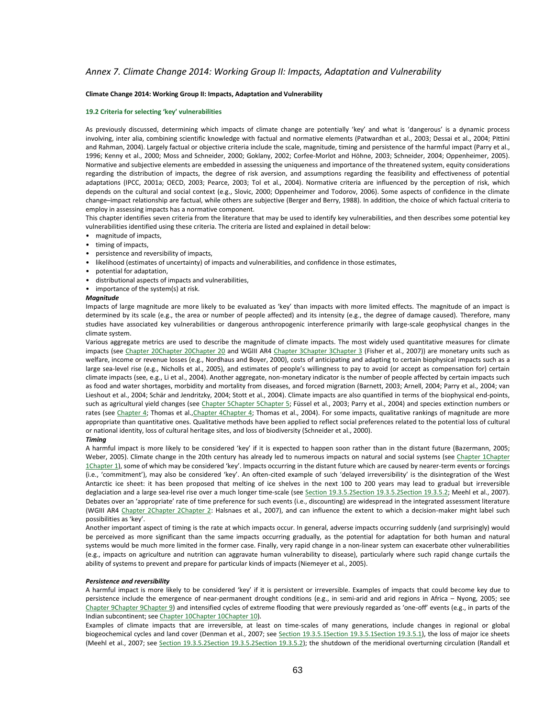#### *Annex 7. Climate Change 2014: Working Group II: Impacts, Adaptation and Vulnerability*

#### **Climate Change 2014: Working Group II: Impacts, Adaptation and Vulnerability**

#### **19.2 Criteria for selecting 'key' vulnerabilities**

As previously discussed, determining which impacts of climate change are potentially 'key' and what is 'dangerous' is a dynamic process involving, inter alia, combining scientific knowledge with factual and normative elements (Patwardhan et al., 2003; Dessai et al., 2004; Pittini and Rahman, 2004). Largely factual or objective criteria include the scale, magnitude, timing and persistence of the harmful impact (Parry et al., 1996; Kenny et al., 2000; Moss and Schneider, 2000; Goklany, 2002; Corfee-Morlot and Höhne, 2003; Schneider, 2004; Oppenheimer, 2005). Normative and subjective elements are embedded in assessing the uniqueness and importance of the threatened system, equity considerations regarding the distribution of impacts, the degree of risk aversion, and assumptions regarding the feasibility and effectiveness of potential adaptations (IPCC, 2001a; OECD, 2003; Pearce, 2003; Tol et al., 2004). Normative criteria are influenced by the perception of risk, which depends on the cultural and social context (e.g., Slovic, 2000; Oppenheimer and Todorov, 2006). Some aspects of confidence in the climate change–impact relationship are factual, while others are subjective (Berger and Berry, 1988). In addition, the choice of which factual criteria to employ in assessing impacts has a normative component.

This chapter identifies seven criteria from the literature that may be used to identify key vulnerabilities, and then describes some potential key vulnerabilities identified using these criteria. The criteria are listed and explained in detail below:

- magnitude of impacts,
- timing of impacts,
- persistence and reversibility of impacts,
- likelihood (estimates of uncertainty) of impacts and vulnerabilities, and confidence in those estimates,
- potential for adaptation,
- distributional aspects of impacts and vulnerabilities,
- importance of the system(s) at risk.

#### *Magnitude*

Impacts of large magnitude are more likely to be evaluated as 'key' than impacts with more limited effects. The magnitude of an impact is determined by its scale (e.g., the area or number of people affected) and its intensity (e.g., the degree of damage caused). Therefore, many studies have associated key vulnerabilities or dangerous anthropogenic interference primarily with large-scale geophysical changes in the climate system.

Various aggregate metrics are used to describe the magnitude of climate impacts. The most widely used quantitative measures for climate impacts (se[e Chapter 20Chapter 20Chapter 20](https://www.ipcc.ch/publications_and_data/ar4/wg2/en/ch20.html) and WGIII AR4 [Chapter 3Chapter 3Chapter 3](https://www.ipcc.ch/publications_and_data/ar4/wg2/en/ch3.html) (Fisher et al., 2007)) are monetary units such as welfare, income or revenue losses (e.g., Nordhaus and Boyer, 2000), costs of anticipating and adapting to certain biophysical impacts such as a large sea-level rise (e.g., Nicholls et al., 2005), and estimates of people's willingness to pay to avoid (or accept as compensation for) certain climate impacts (see, e.g., Li et al., 2004). Another aggregate, non-monetary indicator is the number of people affected by certain impacts such as food and water shortages, morbidity and mortality from diseases, and forced migration (Barnett, 2003; Arnell, 2004; Parry et al., 2004; van Lieshout et al., 2004; Schär and Jendritzky, 2004; Stott et al., 2004). Climate impacts are also quantified in terms of the biophysical end-points, such as agricultural yield changes (se[e Chapter 5Chapter 5Chapter 5;](https://www.ipcc.ch/publications_and_data/ar4/wg2/en/ch5.html) Füssel et al., 2003; Parry et al., 2004) and species extinction numbers or rates (see [Chapter 4;](https://www.ipcc.ch/publications_and_data/ar4/wg2/en/ch4.html) Thomas et al., Chapter 4Chapter 4; Thomas et al., 2004). For some impacts, qualitative rankings of magnitude are more appropriate than quantitative ones. Qualitative methods have been applied to reflect social preferences related to the potential loss of cultural or national identity, loss of cultural heritage sites, and loss of biodiversity (Schneider et al., 2000).

#### *Timing*

A harmful impact is more likely to be considered 'key' if it is expected to happen soon rather than in the distant future (Bazermann, 2005; Weber, 2005). Climate change in the 20th century has already led to numerous impacts on natural and social systems (see [Chapter 1Chapter](https://www.ipcc.ch/publications_and_data/ar4/wg2/en/ch1.html)  [1Chapter 1](https://www.ipcc.ch/publications_and_data/ar4/wg2/en/ch1.html)), some of which may be considered 'key'. Impacts occurring in the distant future which are caused by nearer-term events or forcings (i.e., 'commitment'), may also be considered 'key'. An often-cited example of such 'delayed irreversibility' is the disintegration of the West Antarctic ice sheet: it has been proposed that melting of ice shelves in the next 100 to 200 years may lead to gradual but irreversible deglaciation and a large sea-level rise over a much longer time-scale (see Section 19.3.5.2Section 19.3.5.2Section 19.3.5.2) Meehl et al., 2007). Debates over an 'appropriate' rate of time preference for such events (i.e., discounting) are widespread in the integrated assessment literature (WGIII AR4 [Chapter 2Chapter 2Chapter 2:](https://www.ipcc.ch/publications_and_data/ar4/wg2/en/ch2.html) Halsnaes et al., 2007), and can influence the extent to which a decision-maker might label such possibilities as 'key'.

Another important aspect of timing is the rate at which impacts occur. In general, adverse impacts occurring suddenly (and surprisingly) would be perceived as more significant than the same impacts occurring gradually, as the potential for adaptation for both human and natural systems would be much more limited in the former case. Finally, very rapid change in a non-linear system can exacerbate other vulnerabilities (e.g., impacts on agriculture and nutrition can aggravate human vulnerability to disease), particularly where such rapid change curtails the ability of systems to prevent and prepare for particular kinds of impacts (Niemeyer et al., 2005).

#### *Persistence and reversibility*

A harmful impact is more likely to be considered 'key' if it is persistent or irreversible. Examples of impacts that could become key due to persistence include the emergence of near-permanent drought conditions (e.g., in semi-arid and arid regions in Africa – Nyong, 2005; see [Chapter 9Chapter 9Chapter 9](https://www.ipcc.ch/publications_and_data/ar4/wg2/en/ch9.html)) and intensified cycles of extreme flooding that were previously regarded as 'one-off' events (e.g., in parts of the Indian subcontinent; se[e Chapter 10Chapter 10Chapter 10\)](https://www.ipcc.ch/publications_and_data/ar4/wg2/en/ch10.html).

Examples of climate impacts that are irreversible, at least on time-scales of many generations, include changes in regional or global biogeochemical cycles and land cover (Denman et al., 2007; se[e Section 19.3.5.1Section 19.3.5.1Section 19.3.5.1\)](https://www.ipcc.ch/publications_and_data/ar4/wg2/en/ch19s19-3-5.html#19-3-5-1), the loss of major ice sheets (Meehl et al., 2007; see [Section 19.3.5.2Section 19.3.5.2Section 19.3.5.2\)](https://www.ipcc.ch/publications_and_data/ar4/wg2/en/ch19s19-3-5-2.html); the shutdown of the meridional overturning circulation (Randall et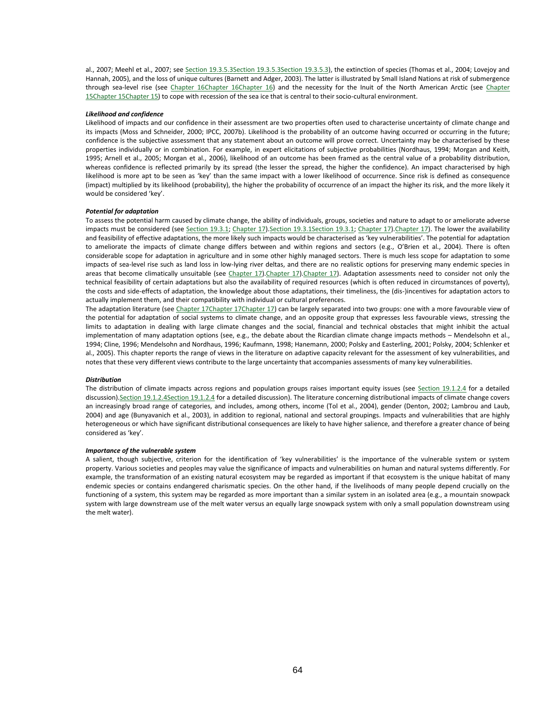al., 2007; Meehl et al., 2007; se[e Section 19.3.5.3Section 19.3.5.3Section 19.3.5.3\),](https://www.ipcc.ch/publications_and_data/ar4/wg2/en/ch19s19-3-5-3.html) the extinction of species (Thomas et al., 2004; Lovejoy and Hannah, 2005), and the loss of unique cultures (Barnett and Adger, 2003). The latter is illustrated by Small Island Nations at risk of submergence through sea-level rise (see [Chapter 16Chapter 16Chapter 16\)](https://www.ipcc.ch/publications_and_data/ar4/wg2/en/ch16.html) and the necessity for the Inuit of the North American Arctic (see Chapter [15Chapter 15Chapter 15\)](https://www.ipcc.ch/publications_and_data/ar4/wg2/en/ch15.html) to cope with recession of the sea ice that is central to their socio-cultural environment.

#### *Likelihood and confidence*

Likelihood of impacts and our confidence in their assessment are two properties often used to characterise uncertainty of climate change and its impacts (Moss and Schneider, 2000; IPCC, 2007b). Likelihood is the probability of an outcome having occurred or occurring in the future; confidence is the subjective assessment that any statement about an outcome will prove correct. Uncertainty may be characterised by these properties individually or in combination. For example, in expert elicitations of subjective probabilities (Nordhaus, 1994; Morgan and Keith, 1995; Arnell et al., 2005; Morgan et al., 2006), likelihood of an outcome has been framed as the central value of a probability distribution, whereas confidence is reflected primarily by its spread (the lesser the spread, the higher the confidence). An impact characterised by high likelihood is more apt to be seen as 'key' than the same impact with a lower likelihood of occurrence. Since risk is defined as consequence (impact) multiplied by its likelihood (probability), the higher the probability of occurrence of an impact the higher its risk, and the more likely it would be considered 'key'.

#### *Potential for adaptation*

To assess the potential harm caused by climate change, the ability of individuals, groups, societies and nature to adapt to or ameliorate adverse impacts must be considered (se[e Section 19.3.1;](https://www.ipcc.ch/publications_and_data/ar4/wg2/en/ch19s19-3-1.html) [Chapter 17\)](https://www.ipcc.ch/publications_and_data/ar4/wg2/en/ch17.html). Section 19.3.1 Section 19.3.1; Chapter 17). Chapter 17). The lower the availability and feasibility of effective adaptations, the more likely such impacts would be characterised as 'key vulnerabilities'. The potential for adaptation to ameliorate the impacts of climate change differs between and within regions and sectors (e.g., O'Brien et al., 2004). There is often considerable scope for adaptation in agriculture and in some other highly managed sectors. There is much less scope for adaptation to some impacts of sea-level rise such as land loss in low-lying river deltas, and there are no realistic options for preserving many endemic species in areas that become climatically unsuitable (see Chapter 17). Chapter 17). Chapter 17). Adaptation assessments need to consider not only the technical feasibility of certain adaptations but also the availability of required resources (which is often reduced in circumstances of poverty), the costs and side-effects of adaptation, the knowledge about those adaptations, their timeliness, the (dis-)incentives for adaptation actors to actually implement them, and their compatibility with individual or cultural preferences.

The adaptation literature (se[e Chapter 17Chapter 17Chapter 17\)](https://www.ipcc.ch/publications_and_data/ar4/wg2/en/ch17.html) can be largely separated into two groups: one with a more favourable view of the potential for adaptation of social systems to climate change, and an opposite group that expresses less favourable views, stressing the limits to adaptation in dealing with large climate changes and the social, financial and technical obstacles that might inhibit the actual implementation of many adaptation options (see, e.g., the debate about the Ricardian climate change impacts methods – Mendelsohn et al., 1994; Cline, 1996; Mendelsohn and Nordhaus, 1996; Kaufmann, 1998; Hanemann, 2000; Polsky and Easterling, 2001; Polsky, 2004; Schlenker et al., 2005). This chapter reports the range of views in the literature on adaptive capacity relevant for the assessment of key vulnerabilities, and notes that these very different views contribute to the large uncertainty that accompanies assessments of many key vulnerabilities.

#### *Distribution*

The distribution of climate impacts across regions and population groups raises important equity issues (see [Section 19.1.2.4](https://www.ipcc.ch/publications_and_data/ar4/wg2/en/ch19s19-1-2-4.html) for a detailed discussion[\).Section 19.1.2.4Section 19.1.2.4](https://www.ipcc.ch/publications_and_data/ar4/wg2/en/ch19s19-1-2-4.html) for a detailed discussion). The literature concerning distributional impacts of climate change covers an increasingly broad range of categories, and includes, among others, income (Tol et al., 2004), gender (Denton, 2002; Lambrou and Laub, 2004) and age (Bunyavanich et al., 2003), in addition to regional, national and sectoral groupings. Impacts and vulnerabilities that are highly heterogeneous or which have significant distributional consequences are likely to have higher salience, and therefore a greater chance of being considered as 'key'.

#### *Importance of the vulnerable system*

A salient, though subjective, criterion for the identification of 'key vulnerabilities' is the importance of the vulnerable system or system property. Various societies and peoples may value the significance of impacts and vulnerabilities on human and natural systems differently. For example, the transformation of an existing natural ecosystem may be regarded as important if that ecosystem is the unique habitat of many endemic species or contains endangered charismatic species. On the other hand, if the livelihoods of many people depend crucially on the functioning of a system, this system may be regarded as more important than a similar system in an isolated area (e.g., a mountain snowpack system with large downstream use of the melt water versus an equally large snowpack system with only a small population downstream using the melt water).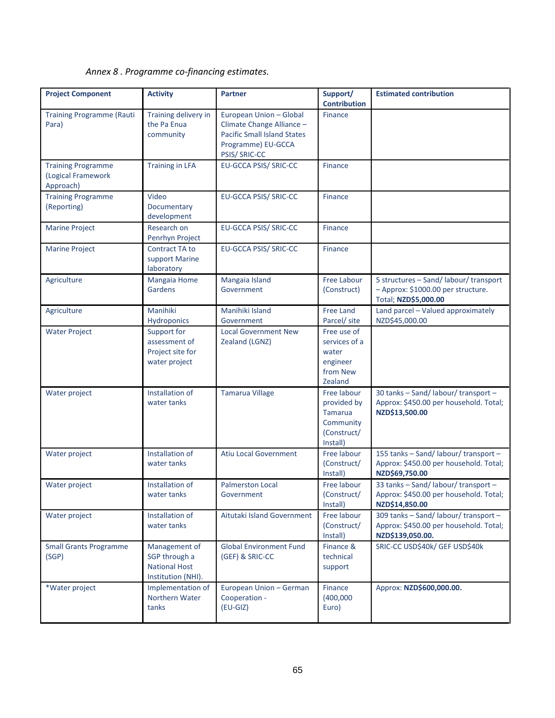*Annex 8 . Programme co-financing estimates.*

| <b>Project Component</b>                                     | <b>Activity</b>                                                              | <b>Partner</b>                                                                                                                    | Support/<br><b>Contribution</b>                                                      | <b>Estimated contribution</b>                                                                               |
|--------------------------------------------------------------|------------------------------------------------------------------------------|-----------------------------------------------------------------------------------------------------------------------------------|--------------------------------------------------------------------------------------|-------------------------------------------------------------------------------------------------------------|
| <b>Training Programme (Rauti</b><br>Para)                    | Training delivery in<br>the Pa Enua<br>community                             | European Union - Global<br>Climate Change Alliance -<br><b>Pacific Small Island States</b><br>Programme) EU-GCCA<br>PSIS/ SRIC-CC | Finance                                                                              |                                                                                                             |
| <b>Training Programme</b><br>(Logical Framework<br>Approach) | <b>Training in LFA</b>                                                       | EU-GCCA PSIS/ SRIC-CC                                                                                                             | Finance                                                                              |                                                                                                             |
| <b>Training Programme</b><br>(Reporting)                     | Video<br>Documentary<br>development                                          | EU-GCCA PSIS/ SRIC-CC                                                                                                             | <b>Finance</b>                                                                       |                                                                                                             |
| <b>Marine Project</b>                                        | Research on<br>Penrhyn Project                                               | EU-GCCA PSIS/ SRIC-CC                                                                                                             | Finance                                                                              |                                                                                                             |
| <b>Marine Project</b>                                        | <b>Contract TA to</b><br>support Marine<br>laboratory                        | EU-GCCA PSIS/ SRIC-CC                                                                                                             | Finance                                                                              |                                                                                                             |
| Agriculture                                                  | <b>Mangaia Home</b><br>Gardens                                               | Mangaia Island<br>Government                                                                                                      | Free Labour<br>(Construct)                                                           | 5 structures - Sand/ labour/ transport<br>- Approx: \$1000.00 per structure.<br><b>Total: NZD\$5.000.00</b> |
| Agriculture                                                  | Manihiki<br>Hydroponics                                                      | Manihiki Island<br>Government                                                                                                     | <b>Free Land</b><br>Parcel/ site                                                     | Land parcel - Valued approximately<br>NZD\$45,000.00                                                        |
| <b>Water Project</b>                                         | Support for<br>assessment of<br>Project site for<br>water project            | <b>Local Government New</b><br>Zealand (LGNZ)                                                                                     | Free use of<br>services of a<br>water<br>engineer<br>from New<br>Zealand             |                                                                                                             |
| Water project                                                | Installation of<br>water tanks                                               | <b>Tamarua Village</b>                                                                                                            | Free labour<br>provided by<br><b>Tamarua</b><br>Community<br>(Construct/<br>Install) | 30 tanks - Sand/ labour/ transport -<br>Approx: \$450.00 per household. Total;<br>NZD\$13,500.00            |
| Water project                                                | Installation of<br>water tanks                                               | <b>Atiu Local Government</b>                                                                                                      | Free labour<br>(Construct/<br>Install)                                               | 155 tanks - Sand/ labour/ transport -<br>Approx: \$450.00 per household. Total;<br>NZD\$69,750.00           |
| Water project                                                | Installation of<br>water tanks                                               | <b>Palmerston Local</b><br>Government                                                                                             | Free labour<br>(Construct/<br>Install)                                               | 33 tanks - Sand/ labour/ transport -<br>Approx: \$450.00 per household. Total;<br>NZD\$14,850.00            |
| Water project                                                | Installation of<br>water tanks                                               | Aitutaki Island Government                                                                                                        | Free labour<br>(Construct/<br>Install)                                               | 309 tanks - Sand/ labour/ transport -<br>Approx: \$450.00 per household. Total;<br>NZD\$139,050.00.         |
| <b>Small Grants Programme</b><br>(SGP)                       | Management of<br>SGP through a<br><b>National Host</b><br>Institution (NHI). | <b>Global Environment Fund</b><br>(GEF) & SRIC-CC                                                                                 | Finance &<br>technical<br>support                                                    | SRIC-CC USD\$40k/ GEF USD\$40k                                                                              |
| *Water project                                               | Implementation of<br>Northern Water<br>tanks                                 | European Union - German<br>Cooperation -<br>$(EU-GIZ)$                                                                            | Finance<br>(400,000)<br>Euro)                                                        | Approx: NZD\$600,000.00.                                                                                    |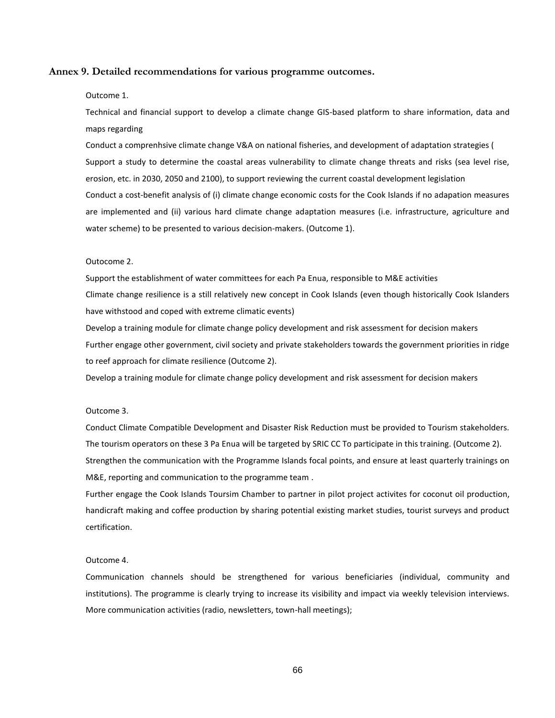#### **Annex 9. Detailed recommendations for various programme outcomes.**

#### Outcome 1.

Technical and financial support to develop a climate change GIS-based platform to share information, data and maps regarding

Conduct a comprenhsive climate change V&A on national fisheries, and development of adaptation strategies ( Support a study to determine the coastal areas vulnerability to climate change threats and risks (sea level rise, erosion, etc. in 2030, 2050 and 2100), to support reviewing the current coastal development legislation Conduct a cost-benefit analysis of (i) climate change economic costs for the Cook Islands if no adapation measures are implemented and (ii) various hard climate change adaptation measures (i.e. infrastructure, agriculture and water scheme) to be presented to various decision-makers. (Outcome 1).

#### Outocome 2.

Support the establishment of water committees for each Pa Enua, responsible to M&E activities Climate change resilience is a still relatively new concept in Cook Islands (even though historically Cook Islanders have withstood and coped with extreme climatic events)

Develop a training module for climate change policy development and risk assessment for decision makers Further engage other government, civil society and private stakeholders towards the government priorities in ridge to reef approach for climate resilience (Outcome 2).

Develop a training module for climate change policy development and risk assessment for decision makers

#### Outcome 3.

Conduct Climate Compatible Development and Disaster Risk Reduction must be provided to Tourism stakeholders. The tourism operators on these 3 Pa Enua will be targeted by SRIC CC To participate in this training. (Outcome 2). Strengthen the communication with the Programme Islands focal points, and ensure at least quarterly trainings on M&E, reporting and communication to the programme team .

Further engage the Cook Islands Toursim Chamber to partner in pilot project activites for coconut oil production, handicraft making and coffee production by sharing potential existing market studies, tourist surveys and product certification.

#### Outcome 4.

Communication channels should be strengthened for various beneficiaries (individual, community and institutions). The programme is clearly trying to increase its visibility and impact via weekly television interviews. More communication activities (radio, newsletters, town-hall meetings);